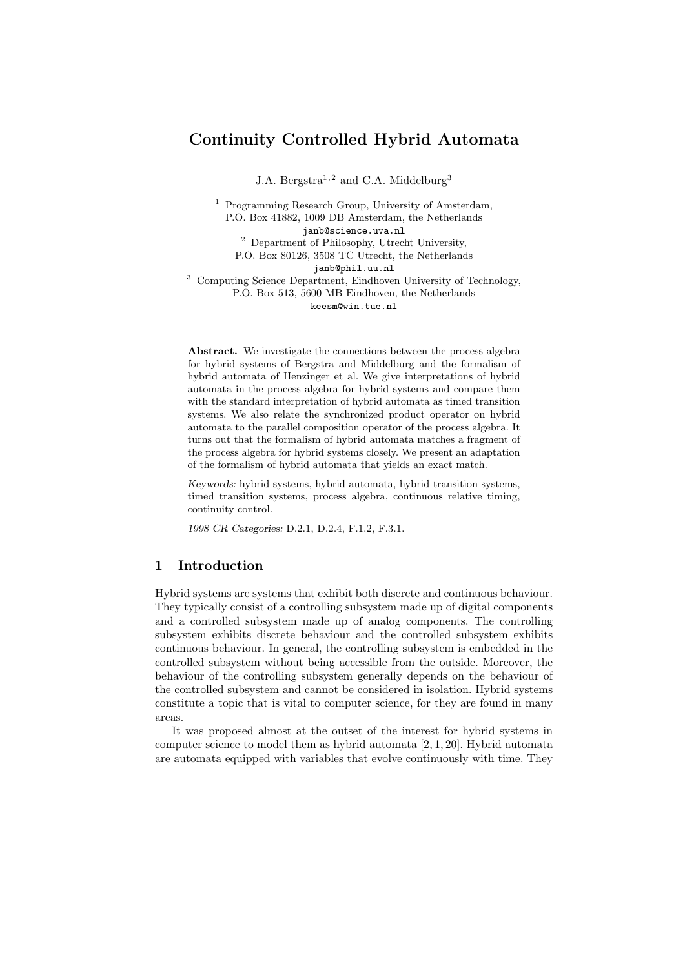# Continuity Controlled Hybrid Automata

J.A. Bergstra<sup>1,2</sup> and C.A. Middelburg<sup>3</sup>

<sup>1</sup> Programming Research Group, University of Amsterdam, P.O. Box 41882, 1009 DB Amsterdam, the Netherlands janb@science.uva.nl <sup>2</sup> Department of Philosophy, Utrecht University,

P.O. Box 80126, 3508 TC Utrecht, the Netherlands

janb@phil.uu.nl

<sup>3</sup> Computing Science Department, Eindhoven University of Technology, P.O. Box 513, 5600 MB Eindhoven, the Netherlands keesm@win.tue.nl

Abstract. We investigate the connections between the process algebra for hybrid systems of Bergstra and Middelburg and the formalism of hybrid automata of Henzinger et al. We give interpretations of hybrid automata in the process algebra for hybrid systems and compare them with the standard interpretation of hybrid automata as timed transition systems. We also relate the synchronized product operator on hybrid automata to the parallel composition operator of the process algebra. It turns out that the formalism of hybrid automata matches a fragment of the process algebra for hybrid systems closely. We present an adaptation of the formalism of hybrid automata that yields an exact match.

Keywords: hybrid systems, hybrid automata, hybrid transition systems, timed transition systems, process algebra, continuous relative timing, continuity control.

1998 CR Categories: D.2.1, D.2.4, F.1.2, F.3.1.

# 1 Introduction

Hybrid systems are systems that exhibit both discrete and continuous behaviour. They typically consist of a controlling subsystem made up of digital components and a controlled subsystem made up of analog components. The controlling subsystem exhibits discrete behaviour and the controlled subsystem exhibits continuous behaviour. In general, the controlling subsystem is embedded in the controlled subsystem without being accessible from the outside. Moreover, the behaviour of the controlling subsystem generally depends on the behaviour of the controlled subsystem and cannot be considered in isolation. Hybrid systems constitute a topic that is vital to computer science, for they are found in many areas.

It was proposed almost at the outset of the interest for hybrid systems in computer science to model them as hybrid automata [2, 1, 20]. Hybrid automata are automata equipped with variables that evolve continuously with time. They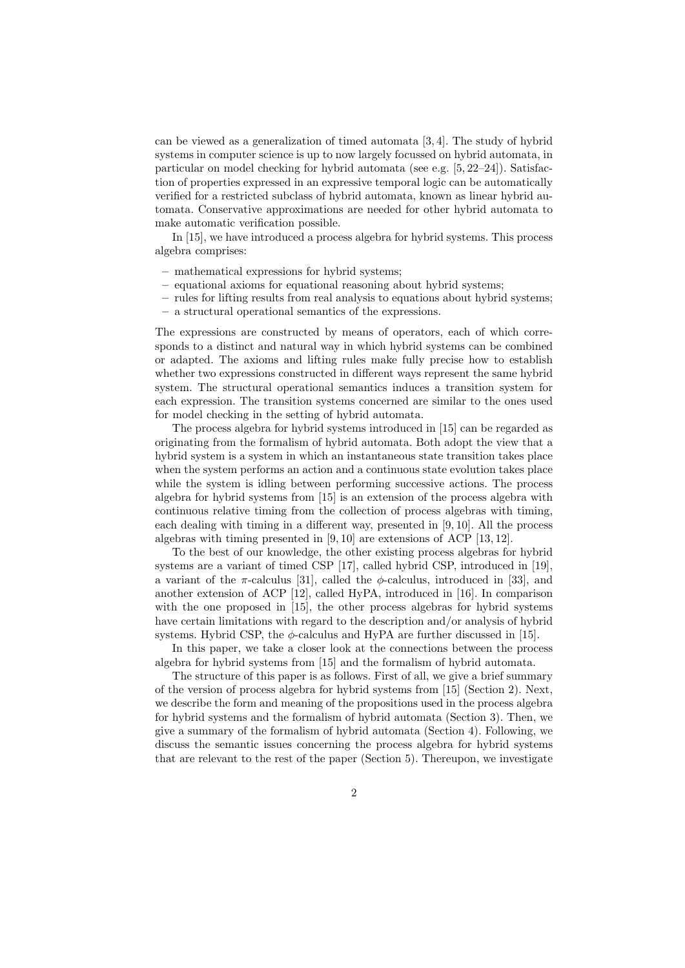can be viewed as a generalization of timed automata [3, 4]. The study of hybrid systems in computer science is up to now largely focussed on hybrid automata, in particular on model checking for hybrid automata (see e.g. [5, 22–24]). Satisfaction of properties expressed in an expressive temporal logic can be automatically verified for a restricted subclass of hybrid automata, known as linear hybrid automata. Conservative approximations are needed for other hybrid automata to make automatic verification possible.

In [15], we have introduced a process algebra for hybrid systems. This process algebra comprises:

- mathematical expressions for hybrid systems;
- equational axioms for equational reasoning about hybrid systems;
- rules for lifting results from real analysis to equations about hybrid systems;
- a structural operational semantics of the expressions.

The expressions are constructed by means of operators, each of which corresponds to a distinct and natural way in which hybrid systems can be combined or adapted. The axioms and lifting rules make fully precise how to establish whether two expressions constructed in different ways represent the same hybrid system. The structural operational semantics induces a transition system for each expression. The transition systems concerned are similar to the ones used for model checking in the setting of hybrid automata.

The process algebra for hybrid systems introduced in [15] can be regarded as originating from the formalism of hybrid automata. Both adopt the view that a hybrid system is a system in which an instantaneous state transition takes place when the system performs an action and a continuous state evolution takes place while the system is idling between performing successive actions. The process algebra for hybrid systems from [15] is an extension of the process algebra with continuous relative timing from the collection of process algebras with timing, each dealing with timing in a different way, presented in [9, 10]. All the process algebras with timing presented in [9, 10] are extensions of ACP [13, 12].

To the best of our knowledge, the other existing process algebras for hybrid systems are a variant of timed CSP [17], called hybrid CSP, introduced in [19], a variant of the  $\pi$ -calculus [31], called the  $\phi$ -calculus, introduced in [33], and another extension of ACP [12], called HyPA, introduced in [16]. In comparison with the one proposed in [15], the other process algebras for hybrid systems have certain limitations with regard to the description and/or analysis of hybrid systems. Hybrid CSP, the  $\phi$ -calculus and HyPA are further discussed in [15].

In this paper, we take a closer look at the connections between the process algebra for hybrid systems from [15] and the formalism of hybrid automata.

The structure of this paper is as follows. First of all, we give a brief summary of the version of process algebra for hybrid systems from [15] (Section 2). Next, we describe the form and meaning of the propositions used in the process algebra for hybrid systems and the formalism of hybrid automata (Section 3). Then, we give a summary of the formalism of hybrid automata (Section 4). Following, we discuss the semantic issues concerning the process algebra for hybrid systems that are relevant to the rest of the paper (Section 5). Thereupon, we investigate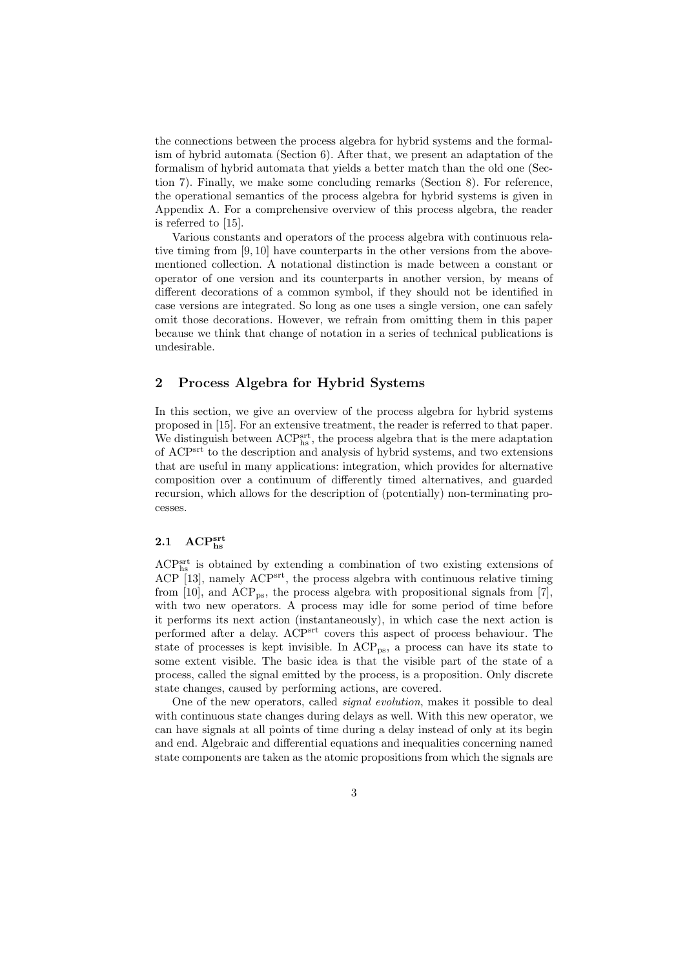the connections between the process algebra for hybrid systems and the formalism of hybrid automata (Section 6). After that, we present an adaptation of the formalism of hybrid automata that yields a better match than the old one (Section 7). Finally, we make some concluding remarks (Section 8). For reference, the operational semantics of the process algebra for hybrid systems is given in Appendix A. For a comprehensive overview of this process algebra, the reader is referred to [15].

Various constants and operators of the process algebra with continuous relative timing from [9, 10] have counterparts in the other versions from the abovementioned collection. A notational distinction is made between a constant or operator of one version and its counterparts in another version, by means of different decorations of a common symbol, if they should not be identified in case versions are integrated. So long as one uses a single version, one can safely omit those decorations. However, we refrain from omitting them in this paper because we think that change of notation in a series of technical publications is undesirable.

## 2 Process Algebra for Hybrid Systems

In this section, we give an overview of the process algebra for hybrid systems proposed in [15]. For an extensive treatment, the reader is referred to that paper. We distinguish between  $\mathrm{ACP^{srt}_{hs}}$  , the process algebra that is the mere adaptation of ACPsrt to the description and analysis of hybrid systems, and two extensions that are useful in many applications: integration, which provides for alternative composition over a continuum of differently timed alternatives, and guarded recursion, which allows for the description of (potentially) non-terminating processes.

# $2.1\quad {\rm ACP^{srt}_{hs}}$

ACP<sup>srt</sup> is obtained by extending a combination of two existing extensions of ACP [13], namely ACP<sup>srt</sup>, the process algebra with continuous relative timing from [10], and  $\text{ACP}_{\text{ps}}$ , the process algebra with propositional signals from [7], with two new operators. A process may idle for some period of time before it performs its next action (instantaneously), in which case the next action is performed after a delay. ACPsrt covers this aspect of process behaviour. The state of processes is kept invisible. In  $\text{ACP}_{\text{ps}}$ , a process can have its state to some extent visible. The basic idea is that the visible part of the state of a process, called the signal emitted by the process, is a proposition. Only discrete state changes, caused by performing actions, are covered.

One of the new operators, called *signal evolution*, makes it possible to deal with continuous state changes during delays as well. With this new operator, we can have signals at all points of time during a delay instead of only at its begin and end. Algebraic and differential equations and inequalities concerning named state components are taken as the atomic propositions from which the signals are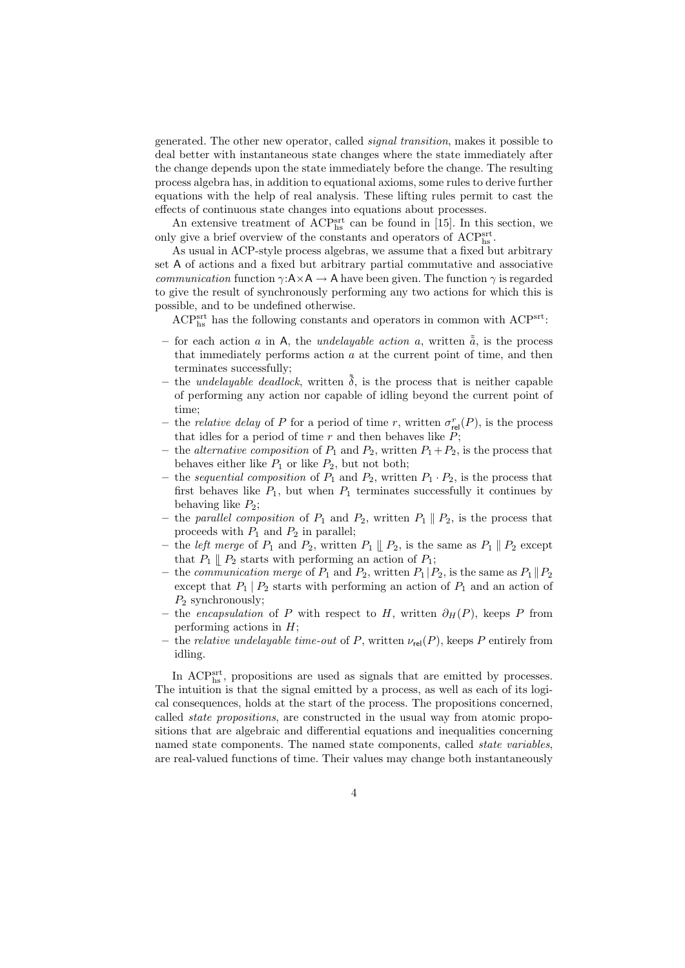generated. The other new operator, called signal transition, makes it possible to deal better with instantaneous state changes where the state immediately after the change depends upon the state immediately before the change. The resulting process algebra has, in addition to equational axioms, some rules to derive further equations with the help of real analysis. These lifting rules permit to cast the effects of continuous state changes into equations about processes.

An extensive treatment of  $\text{ACP}_{\text{hs}}^{\text{srt}}$  can be found in [15]. In this section, we only give a brief overview of the constants and operators of  $\text{ACP}^{\text{srt}}_{\text{hs}}$ .

As usual in ACP-style process algebras, we assume that a fixed but arbitrary set A of actions and a fixed but arbitrary partial commutative and associative communication function  $\gamma: A \times A \rightarrow A$  have been given. The function  $\gamma$  is regarded to give the result of synchronously performing any two actions for which this is possible, and to be undefined otherwise.

ACP<sup>srt</sup> has the following constants and operators in common with ACP<sup>srt</sup>:

- for each action a in A, the *undelayable action a*, written  $\tilde{a}$ , is the process that immediately performs action  $a$  at the current point of time, and then terminates successfully;
- the *undelayable deadlock*, written  $\tilde{\delta}$ , is the process that is neither capable of performing any action nor capable of idling beyond the current point of time;
- the *relative delay* of P for a period of time r, written  $\sigma_{rel}^r(P)$ , is the process that idles for a period of time  $r$  and then behaves like  $P$ ;
- the *alternative composition* of  $P_1$  and  $P_2$ , written  $P_1+P_2$ , is the process that behaves either like  $P_1$  or like  $P_2$ , but not both;
- the sequential composition of  $P_1$  and  $P_2$ , written  $P_1 \cdot P_2$ , is the process that first behaves like  $P_1$ , but when  $P_1$  terminates successfully it continues by behaving like  $P_2$ ;
- the parallel composition of  $P_1$  and  $P_2$ , written  $P_1 \parallel P_2$ , is the process that proceeds with  $P_1$  and  $P_2$  in parallel;
- the *left merge* of  $P_1$  and  $P_2$ , written  $P_1 \parallel P_2$ , is the same as  $P_1 \parallel P_2$  except that  $P_1 \parallel P_2$  starts with performing an action of  $P_1$ ;
- the communication merge of  $P_1$  and  $P_2$ , written  $P_1 | P_2$ , is the same as  $P_1 | P_2$ except that  $P_1 | P_2$  starts with performing an action of  $P_1$  and an action of  $P_2$  synchronously;
- the encapsulation of P with respect to H, written  $\partial_H(P)$ , keeps P from performing actions in  $H$ ;
- the *relative undelayable time-out* of P, written  $\nu_{rel}(P)$ , keeps P entirely from idling.

In ACPsrt, propositions are used as signals that are emitted by processes. The intuition is that the signal emitted by a process, as well as each of its logical consequences, holds at the start of the process. The propositions concerned, called state propositions, are constructed in the usual way from atomic propositions that are algebraic and differential equations and inequalities concerning named state components. The named state components, called *state variables*, are real-valued functions of time. Their values may change both instantaneously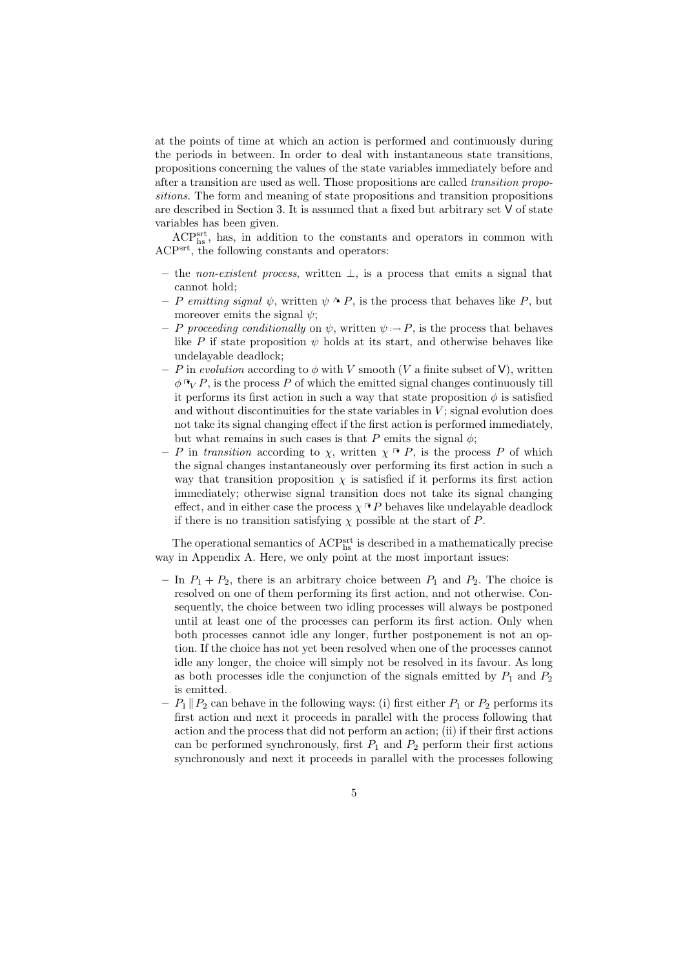at the points of time at which an action is performed and continuously during the periods in between. In order to deal with instantaneous state transitions, propositions concerning the values of the state variables immediately before and after a transition are used as well. Those propositions are called transition propositions. The form and meaning of state propositions and transition propositions are described in Section 3. It is assumed that a fixed but arbitrary set V of state variables has been given.

ACP<sup>srt</sup>, has, in addition to the constants and operators in common with ACPsrt, the following constants and operators:

- the non-existent process, written  $\perp$ , is a process that emits a signal that cannot hold;
- P emitting signal  $\psi$ , written  $\psi \wedge P$ , is the process that behaves like P, but moreover emits the signal  $\psi$ ;
- P proceeding conditionally on  $\psi$ , written  $\psi \to P$ , is the process that behaves like P if state proposition  $\psi$  holds at its start, and otherwise behaves like undelayable deadlock;
- P in evolution according to  $\phi$  with V smooth (V a finite subset of V), written  $\phi \cap_{V} P$ , is the process P of which the emitted signal changes continuously till it performs its first action in such a way that state proposition  $\phi$  is satisfied and without discontinuities for the state variables in  $V$ ; signal evolution does not take its signal changing effect if the first action is performed immediately, but what remains in such cases is that P emits the signal  $\phi$ ;
- P in transition according to  $\chi$ , written  $\chi \vdash P$ , is the process P of which the signal changes instantaneously over performing its first action in such a way that transition proposition  $\chi$  is satisfied if it performs its first action immediately; otherwise signal transition does not take its signal changing effect, and in either case the process  $\chi \rightarrow P$  behaves like undelayable deadlock if there is no transition satisfying  $\chi$  possible at the start of P.

The operational semantics of ACPs<sup>rt</sup> is described in a mathematically precise way in Appendix A. Here, we only point at the most important issues:

- In  $P_1 + P_2$ , there is an arbitrary choice between  $P_1$  and  $P_2$ . The choice is resolved on one of them performing its first action, and not otherwise. Consequently, the choice between two idling processes will always be postponed until at least one of the processes can perform its first action. Only when both processes cannot idle any longer, further postponement is not an option. If the choice has not yet been resolved when one of the processes cannot idle any longer, the choice will simply not be resolved in its favour. As long as both processes idle the conjunction of the signals emitted by  $P_1$  and  $P_2$ is emitted.
- $P_1 \| P_2$  can behave in the following ways: (i) first either  $P_1$  or  $P_2$  performs its first action and next it proceeds in parallel with the process following that action and the process that did not perform an action; (ii) if their first actions can be performed synchronously, first  $P_1$  and  $P_2$  perform their first actions synchronously and next it proceeds in parallel with the processes following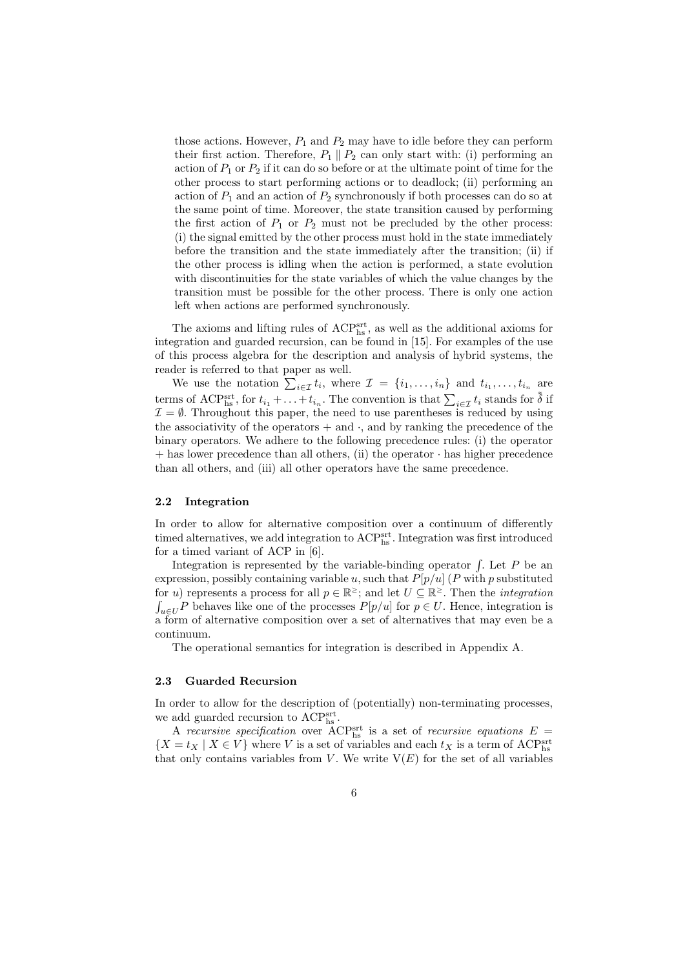those actions. However,  $P_1$  and  $P_2$  may have to idle before they can perform their first action. Therefore,  $P_1 \parallel P_2$  can only start with: (i) performing an action of  $P_1$  or  $P_2$  if it can do so before or at the ultimate point of time for the other process to start performing actions or to deadlock; (ii) performing an action of  $P_1$  and an action of  $P_2$  synchronously if both processes can do so at the same point of time. Moreover, the state transition caused by performing the first action of  $P_1$  or  $P_2$  must not be precluded by the other process: (i) the signal emitted by the other process must hold in the state immediately before the transition and the state immediately after the transition; (ii) if the other process is idling when the action is performed, a state evolution with discontinuities for the state variables of which the value changes by the transition must be possible for the other process. There is only one action left when actions are performed synchronously.

The axioms and lifting rules of  $\text{ACP}^{\text{srt}}_{\text{hs}}$  , as well as the additional axioms for integration and guarded recursion, can be found in [15]. For examples of the use of this process algebra for the description and analysis of hybrid systems, the reader is referred to that paper as well.

We use the notation  $\sum_{i \in \mathcal{I}} t_i$ , where  $\mathcal{I} = \{i_1, \ldots, i_n\}$  and  $t_{i_1}, \ldots, t_{i_n}$  are terms of ACP<sup>srt</sup>, for  $t_{i_1} + \ldots + t_{i_n}$ . The convention is that  $\sum_{i \in \mathcal{I}} t_i$  stands for  $\tilde{\delta}$  if  $\mathcal{I} = \emptyset$ . Throughout this paper, the need to use parentheses is reduced by using the associativity of the operators  $+$  and  $\cdot$ , and by ranking the precedence of the binary operators. We adhere to the following precedence rules: (i) the operator  $+$  has lower precedence than all others, (ii) the operator  $\cdot$  has higher precedence than all others, and (iii) all other operators have the same precedence.

### 2.2 Integration

In order to allow for alternative composition over a continuum of differently timed alternatives, we add integration to  $\mathrm{ACP}^\mathrm{srt}_\mathrm{hs}$ . Integration was first introduced for a timed variant of ACP in [6].

Integration is represented by the variable-binding operator  $\int$ . Let P be an expression, possibly containing variable u, such that  $P[p/u]$  (P with p substituted for u) represents a process for all  $p \in \mathbb{R}^{\ge}$ ; and let  $U \subseteq \mathbb{R}^{\ge}$ . Then the *integration*  $\int_{u\in U} P$  behaves like one of the processes  $P[p/u]$  for  $p\in U$ . Hence, integration is a form of alternative composition over a set of alternatives that may even be a continuum.

The operational semantics for integration is described in Appendix A.

### 2.3 Guarded Recursion

In order to allow for the description of (potentially) non-terminating processes, we add guarded recursion to ACP<sup>srt</sup><sub>hs</sub>.

A recursive specification over ACP<sup>srt</sup> is a set of recursive equations  $E =$  $\{X = t_X \mid X \in V\}$  where  $V$  is a set of variables and each  $t_X$  is a term of ACPs  $\rm ^{s}$ that only contains variables from V. We write  $V(E)$  for the set of all variables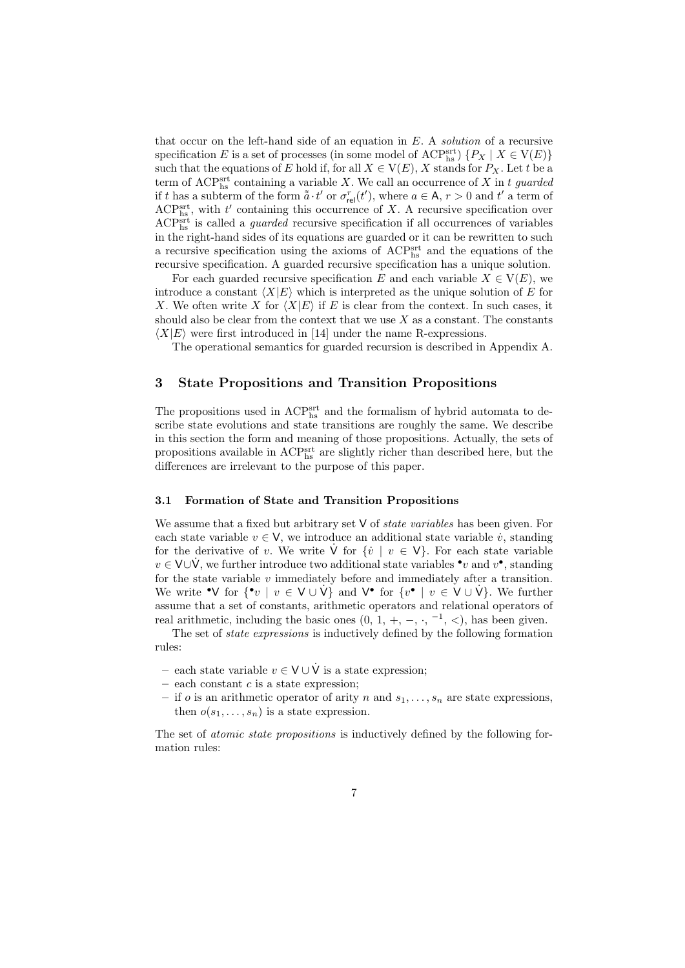that occur on the left-hand side of an equation in  $E$ . A solution of a recursive specification E is a set of processes (in some model of ACPsrt)  $\{P_X \mid X \in V(E)\}$ such that the equations of E hold if, for all  $X \in V(E)$ , X stands for  $P_X$ . Let t be a term of ACPs<sup>rt</sup> containing a variable X. We call an occurrence of X in t guarded if t has a subterm of the form  $\tilde{a} \cdot t'$  or  $\sigma_{rel}^r(t')$ , where  $a \in A$ ,  $r > 0$  and  $t'$  a term of  $\text{ACP}_{\text{hs}}^{\text{srt}}$ , with  $t'$  containing this occurrence of X. A recursive specification over ACP<sup>srt</sup> is called a *guarded* recursive specification if all occurrences of variables in the right-hand sides of its equations are guarded or it can be rewritten to such a recursive specification using the axioms of ACP<sup>srt</sup> and the equations of the recursive specification. A guarded recursive specification has a unique solution.

For each guarded recursive specification E and each variable  $X \in V(E)$ , we introduce a constant  $\langle X|E\rangle$  which is interpreted as the unique solution of E for X. We often write X for  $\langle X|E \rangle$  if E is clear from the context. In such cases, it should also be clear from the context that we use  $X$  as a constant. The constants  $\langle X|E \rangle$  were first introduced in [14] under the name R-expressions.

The operational semantics for guarded recursion is described in Appendix A.

## 3 State Propositions and Transition Propositions

The propositions used in  $\text{ACP}^{\text{srt}}_{\text{hs}}$  and the formalism of hybrid automata to describe state evolutions and state transitions are roughly the same. We describe in this section the form and meaning of those propositions. Actually, the sets of propositions available in  $\text{ACP}^{\text{srt}}_{\text{hs}}$  are slightly richer than described here, but the differences are irrelevant to the purpose of this paper.

### 3.1 Formation of State and Transition Propositions

We assume that a fixed but arbitrary set  $V$  of *state variables* has been given. For each state variable  $v \in V$ , we introduce an additional state variable  $\dot{v}$ , standing for the derivative of v. We write  $\dot{\mathsf{V}}$  for  $\{v \mid v \in \mathsf{V}\}\)$ . For each state variable  $v \in V \cup V$ , we further introduce two additional state variables  $\cdot v$  and  $v^{\bullet}$ , standing for the state variable  $v$  immediately before and immediately after a transition. We write • V for  $\{ \cdot v \mid v \in V \cup V \}$  and  $V^{\bullet}$  for  $\{ v^{\bullet} \mid v \in V \cup V \}$ . We further assume that a set of constants, arithmetic operators and relational operators of real arithmetic, including the basic ones  $(0, 1, +, -, \cdot, ^{-1}, <)$ , has been given.

The set of state expressions is inductively defined by the following formation rules:

- each state variable  $v \in V \cup \dot{V}$  is a state expression;
- each constant  $c$  is a state expression;
- if o is an arithmetic operator of arity n and  $s_1, \ldots, s_n$  are state expressions, then  $o(s_1, \ldots, s_n)$  is a state expression.

The set of *atomic state propositions* is inductively defined by the following formation rules: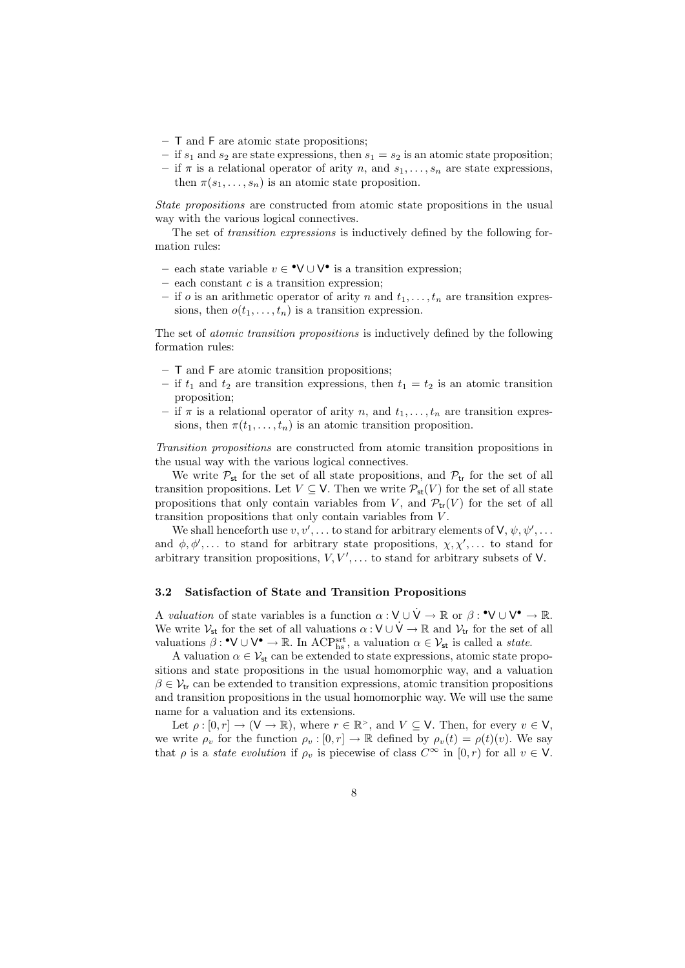- T and F are atomic state propositions;
- if  $s_1$  and  $s_2$  are state expressions, then  $s_1 = s_2$  is an atomic state proposition;
- if  $\pi$  is a relational operator of arity n, and  $s_1, \ldots, s_n$  are state expressions, then  $\pi(s_1, \ldots, s_n)$  is an atomic state proposition.

State propositions are constructed from atomic state propositions in the usual way with the various logical connectives.

The set of transition expressions is inductively defined by the following formation rules:

- each state variable  $v \in \mathbf{°V} \cup \mathbf{V}$  is a transition expression;
- $-$  each constant  $c$  is a transition expression;
- if o is an arithmetic operator of arity n and  $t_1, \ldots, t_n$  are transition expressions, then  $o(t_1, \ldots, t_n)$  is a transition expression.

The set of atomic transition propositions is inductively defined by the following formation rules:

- T and F are atomic transition propositions;
- if  $t_1$  and  $t_2$  are transition expressions, then  $t_1 = t_2$  is an atomic transition proposition;
- if  $\pi$  is a relational operator of arity n, and  $t_1, \ldots, t_n$  are transition expressions, then  $\pi(t_1, \ldots, t_n)$  is an atomic transition proposition.

Transition propositions are constructed from atomic transition propositions in the usual way with the various logical connectives.

We write  $P_{st}$  for the set of all state propositions, and  $P_{tr}$  for the set of all transition propositions. Let  $V \subseteq V$ . Then we write  $\mathcal{P}_{st}(V)$  for the set of all state propositions that only contain variables from V, and  $\mathcal{P}_{tr}(V)$  for the set of all transition propositions that only contain variables from V .

We shall henceforth use  $v, v', \ldots$  to stand for arbitrary elements of  $V, \psi, \psi', \ldots$ and  $\phi, \phi', \ldots$  to stand for arbitrary state propositions,  $\chi, \chi', \ldots$  to stand for arbitrary transition propositions,  $V, V', \ldots$  to stand for arbitrary subsets of V.

### 3.2 Satisfaction of State and Transition Propositions

A valuation of state variables is a function  $\alpha: V \cup V \to \mathbb{R}$  or  $\beta: \mathbf{Y} \cup V^{\bullet} \to \mathbb{R}$ . We write  $\mathcal{V}_{st}$  for the set of all valuations  $\alpha : V \cup V \to \mathbb{R}$  and  $\mathcal{V}_{tr}$  for the set of all valuations  $\beta: \mathbf{V} \cup \mathbf{V}^{\bullet} \to \mathbb{R}$ . In ACP<sup>srt</sup><sub>hs</sub>, a valuation  $\alpha \in \mathcal{V}_{st}$  is called a *state*.

A valuation  $\alpha \in \mathcal{V}_{st}$  can be extended to state expressions, atomic state propositions and state propositions in the usual homomorphic way, and a valuation  $\beta \in V_{tr}$  can be extended to transition expressions, atomic transition propositions and transition propositions in the usual homomorphic way. We will use the same name for a valuation and its extensions.

Let  $\rho : [0, r] \to (\mathsf{V} \to \mathbb{R})$ , where  $r \in \mathbb{R}^>$ , and  $V \subseteq \mathsf{V}$ . Then, for every  $v \in \mathsf{V}$ , we write  $\rho_v$  for the function  $\rho_v : [0, r] \to \mathbb{R}$  defined by  $\rho_v(t) = \rho(t)(v)$ . We say that  $\rho$  is a *state evolution* if  $\rho_v$  is piecewise of class  $C^{\infty}$  in  $[0, r)$  for all  $v \in V$ .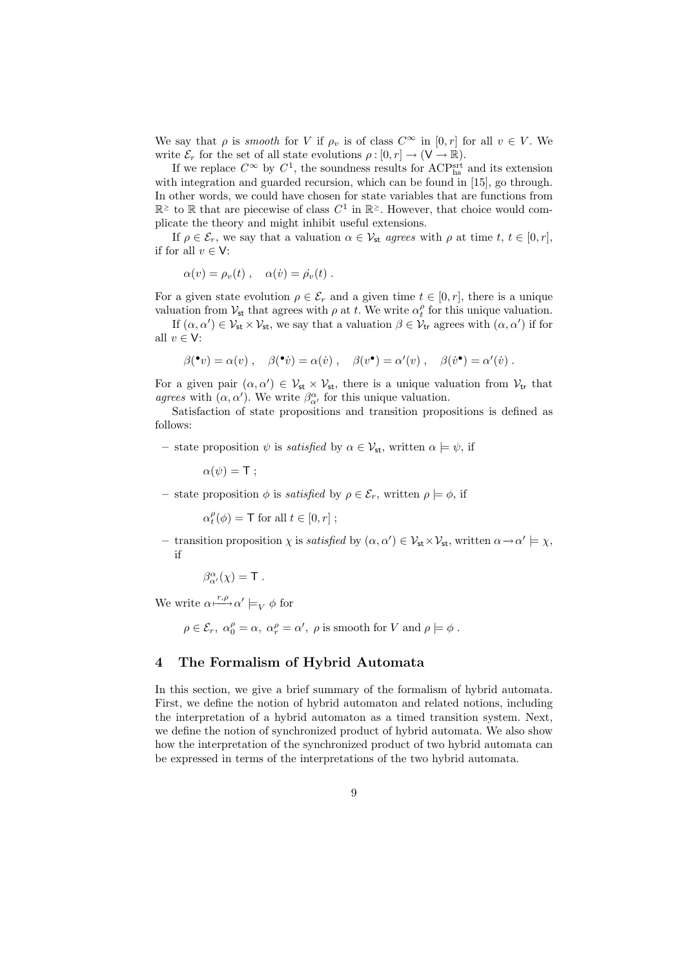We say that  $\rho$  is smooth for V if  $\rho_v$  is of class  $C^{\infty}$  in  $[0, r]$  for all  $v \in V$ . We write  $\mathcal{E}_r$  for the set of all state evolutions  $\rho : [0, r] \to (\mathsf{V} \to \mathbb{R})$ .

If we replace  $C^{\infty}$  by  $C^1$ , the soundness results for ACP<sup>srt</sup> and its extension with integration and guarded recursion, which can be found in [15], go through. In other words, we could have chosen for state variables that are functions from  $\mathbb{R}^{\ge}$  to  $\mathbb R$  that are piecewise of class  $C^1$  in  $\mathbb{R}^{\ge}$ . However, that choice would complicate the theory and might inhibit useful extensions.

If  $\rho \in \mathcal{E}_r$ , we say that a valuation  $\alpha \in \mathcal{V}_{st}$  agrees with  $\rho$  at time  $t, t \in [0, r]$ , if for all  $v \in V$ :

$$
\alpha(v) = \rho_v(t) , \quad \alpha(v) = \dot{\rho_v}(t) .
$$

For a given state evolution  $\rho \in \mathcal{E}_r$  and a given time  $t \in [0, r]$ , there is a unique valuation from  $V_{st}$  that agrees with  $\rho$  at t. We write  $\alpha_t^{\rho}$  for this unique valuation. If  $(\alpha, \alpha') \in \mathcal{V}_{st} \times \mathcal{V}_{st}$ , we say that a valuation  $\beta \in \mathcal{V}_{tr}$  agrees with  $(\alpha, \alpha')$  if for all  $v \in V$ :

$$
\beta(\bullet v) = \alpha(v) , \quad \beta(\bullet v) = \alpha(v) , \quad \beta(v^{\bullet}) = \alpha'(v) , \quad \beta(v^{\bullet}) = \alpha'(v) .
$$

For a given pair  $(\alpha, \alpha') \in V_{st} \times V_{st}$ , there is a unique valuation from  $V_{tr}$  that agrees with  $(\alpha, \alpha')$ . We write  $\beta^{\alpha}_{\alpha'}$  for this unique valuation.

Satisfaction of state propositions and transition propositions is defined as follows:

– state proposition  $\psi$  is *satisfied* by  $\alpha \in \mathcal{V}_{st}$ , written  $\alpha \models \psi$ , if

$$
\alpha(\psi) = \mathsf{T} \; ;
$$

– state proposition  $\phi$  is *satisfied* by  $\rho \in \mathcal{E}_r$ , written  $\rho \models \phi$ , if

$$
\alpha_t^{\rho}(\phi) = \mathsf{T} \text{ for all } t \in [0, r] ;
$$

- transition proposition  $\chi$  is *satisfied* by  $(\alpha, \alpha') \in \mathcal{V}_{st} \times \mathcal{V}_{st}$ , written  $\alpha \to \alpha' \models \chi$ , if

$$
\beta^{\alpha}_{\alpha'}(\chi) = {\sf T} \; .
$$

We write  $\alpha \stackrel{r,\rho}{\longmapsto} \alpha' \models_V \phi$  for

 $\rho \in \mathcal{E}_r$ ,  $\alpha_0^{\rho} = \alpha$ ,  $\alpha_r^{\rho} = \alpha'$ ,  $\rho$  is smooth for V and  $\rho \models \phi$ .

# 4 The Formalism of Hybrid Automata

In this section, we give a brief summary of the formalism of hybrid automata. First, we define the notion of hybrid automaton and related notions, including the interpretation of a hybrid automaton as a timed transition system. Next, we define the notion of synchronized product of hybrid automata. We also show how the interpretation of the synchronized product of two hybrid automata can be expressed in terms of the interpretations of the two hybrid automata.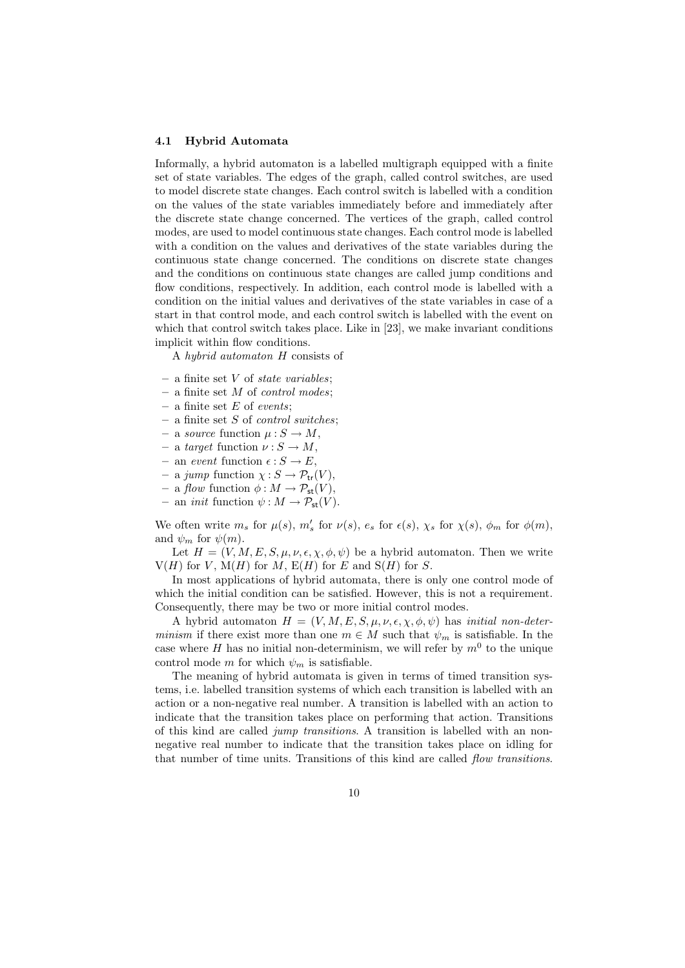#### 4.1 Hybrid Automata

Informally, a hybrid automaton is a labelled multigraph equipped with a finite set of state variables. The edges of the graph, called control switches, are used to model discrete state changes. Each control switch is labelled with a condition on the values of the state variables immediately before and immediately after the discrete state change concerned. The vertices of the graph, called control modes, are used to model continuous state changes. Each control mode is labelled with a condition on the values and derivatives of the state variables during the continuous state change concerned. The conditions on discrete state changes and the conditions on continuous state changes are called jump conditions and flow conditions, respectively. In addition, each control mode is labelled with a condition on the initial values and derivatives of the state variables in case of a start in that control mode, and each control switch is labelled with the event on which that control switch takes place. Like in [23], we make invariant conditions implicit within flow conditions.

A hybrid automaton H consists of

- a finite set  $V$  of *state variables*;
- $-$  a finite set M of *control modes*;
- a finite set  $E$  of events;
- $-$  a finite set S of *control switches*;
- a source function  $\mu : S \to M$ ,
- a target function  $\nu : S \to M$ ,
- an event function  $\epsilon : S \to E$ ,
- a jump function  $\chi: S \to \mathcal{P}_{tr}(V)$ ,
- a flow function  $\phi : M \to \mathcal{P}_{st}(V)$ ,
- an *init* function  $\psi : M \to \mathcal{P}_{st}(V)$ .

We often write  $m_s$  for  $\mu(s)$ ,  $m'_s$  for  $\nu(s)$ ,  $e_s$  for  $\epsilon(s)$ ,  $\chi_s$  for  $\chi(s)$ ,  $\phi_m$  for  $\phi(m)$ , and  $\psi_m$  for  $\psi(m)$ .

Let  $H = (V, M, E, S, \mu, \nu, \epsilon, \chi, \phi, \psi)$  be a hybrid automaton. Then we write  $V(H)$  for V,  $M(H)$  for M,  $E(H)$  for E and  $S(H)$  for S.

In most applications of hybrid automata, there is only one control mode of which the initial condition can be satisfied. However, this is not a requirement. Consequently, there may be two or more initial control modes.

A hybrid automaton  $H = (V, M, E, S, \mu, \nu, \epsilon, \chi, \phi, \psi)$  has *initial non-deter*minism if there exist more than one  $m \in M$  such that  $\psi_m$  is satisfiable. In the case where H has no initial non-determinism, we will refer by  $m^0$  to the unique control mode m for which  $\psi_m$  is satisfiable.

The meaning of hybrid automata is given in terms of timed transition systems, i.e. labelled transition systems of which each transition is labelled with an action or a non-negative real number. A transition is labelled with an action to indicate that the transition takes place on performing that action. Transitions of this kind are called jump transitions. A transition is labelled with an nonnegative real number to indicate that the transition takes place on idling for that number of time units. Transitions of this kind are called flow transitions.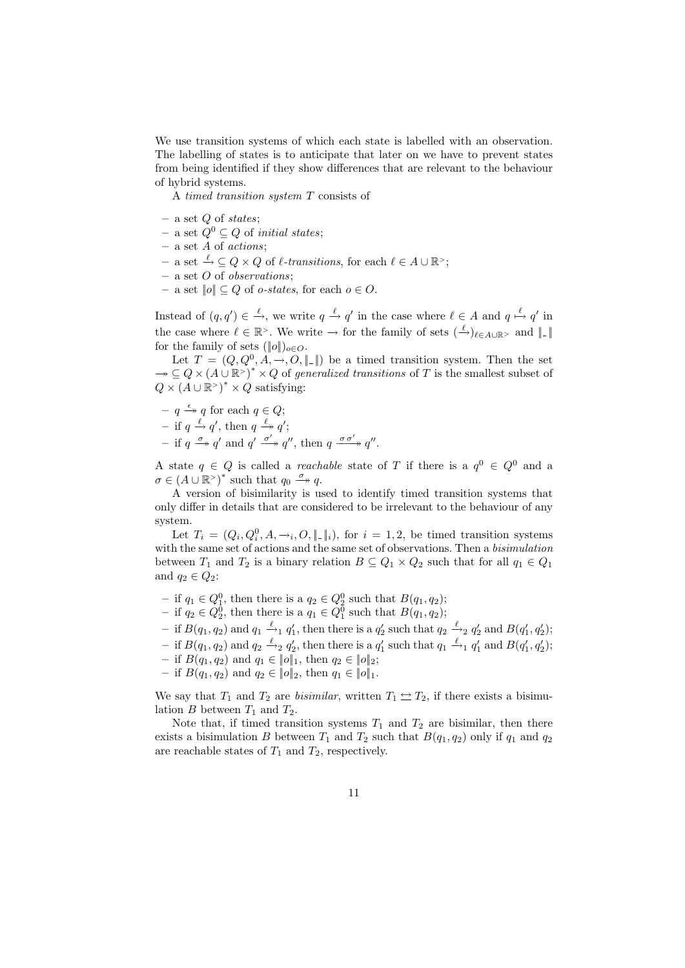We use transition systems of which each state is labelled with an observation. The labelling of states is to anticipate that later on we have to prevent states from being identified if they show differences that are relevant to the behaviour of hybrid systems.

A timed transition system T consists of

- $-$  a set  $Q$  of states;
- − a set  $Q^0$  ⊆  $Q$  of *initial states*;
- a set A of actions;
- $-$  a set  $\stackrel{\ell}{\to} \subseteq Q \times Q$  of  $\ell$ -transitions, for each  $\ell \in A \cup \mathbb{R}^>$ ;
- $-$  a set O of *observations*:
- $-$  a set  $||o|| ⊆ Q$  of *o-states*, for each *o* ∈ *O*.

Instead of  $(q, q') \in \stackrel{\ell}{\to} \infty$ , we write  $q \stackrel{\ell}{\to} q'$  in the case where  $\ell \in A$  and  $q \stackrel{\ell}{\mapsto} q'$  in the case where  $\ell \in \mathbb{R}^>$ . We write  $\to$  for the family of sets  $(\frac{\ell}{\to})_{\ell \in A \cup \mathbb{R}^>}$  and  $||$ . for the family of sets  $(\|o\|)_{o\in O}$ .

Let  $T = (Q, Q^0, A, \rightarrow, O, \|\cdot\|)$  be a timed transition system. Then the set  $\rightarrow \subseteq Q \times (A \cup \mathbb{R}^*)^* \times Q$  of generalized transitions of T is the smallest subset of  $Q \times (A \cup \mathbb{R}^*)^* \times Q$  satisfying:

- $q \xrightarrow{\epsilon} q$  for each  $q \in Q$ ;
- if  $q \stackrel{\ell}{\rightarrow} q'$ , then  $q \stackrel{\ell}{\rightarrow} q'$ ;
- $-$  if  $q \xrightarrow{\sigma} q'$  and  $q' \xrightarrow{\sigma'} q''$ , then  $q \xrightarrow{\sigma \sigma'} q''$ .

A state  $q \in Q$  is called a *reachable* state of T if there is a  $q^0 \in Q^0$  and a  $\sigma \in (A \cup \mathbb{R}^>)^*$  such that  $q_0 \stackrel{\sigma}{\longrightarrow} q$ .

A version of bisimilarity is used to identify timed transition systems that only differ in details that are considered to be irrelevant to the behaviour of any system.

Let  $T_i = (Q_i, Q_i^0, A, \rightarrow_i, O, \|\cdot\|_i)$ , for  $i = 1, 2$ , be timed transition systems with the same set of actions and the same set of observations. Then a *bisimulation* between  $T_1$  and  $T_2$  is a binary relation  $B \subseteq Q_1 \times Q_2$  such that for all  $q_1 \in Q_1$ and  $q_2 \in Q_2$ :

- − if  $q_1 \in Q_1^0$ , then there is a  $q_2 \in Q_2^0$  such that  $B(q_1, q_2)$ ;
- − if  $q_2 \in Q_2^0$ , then there is a  $q_1 \in Q_1^0$  such that  $B(q_1, q_2)$ ;
- $-$  if  $B(q_1, q_2)$  and  $q_1 \stackrel{\ell}{\rightarrow}_1 q'_1$ , then there is a  $q'_2$  such that  $q_2 \stackrel{\ell}{\rightarrow}_2 q'_2$  and  $B(q'_1, q'_2)$ ;
- $-$  if  $B(q_1, q_2)$  and  $q_2 \stackrel{\ell}{\rightarrow}_2 q'_2$ , then there is a  $q'_1$  such that  $q_1 \stackrel{\ell}{\rightarrow}_1 q'_1$  and  $B(q'_1, q'_2)$ ;
- if  $B(q_1, q_2)$  and  $q_1 \in ||o||_1$ , then  $q_2 \in ||o||_2$ ;
- if  $B(q_1, q_2)$  and  $q_2 \in ||q_2||$ , then  $q_1 \in ||q_1||$ .

We say that  $T_1$  and  $T_2$  are *bisimilar*, written  $T_1 \nightharpoonup T_2$ , if there exists a bisimulation  $B$  between  $T_1$  and  $T_2$ .

Note that, if timed transition systems  $T_1$  and  $T_2$  are bisimilar, then there exists a bisimulation B between  $T_1$  and  $T_2$  such that  $B(q_1, q_2)$  only if  $q_1$  and  $q_2$ are reachable states of  $T_1$  and  $T_2$ , respectively.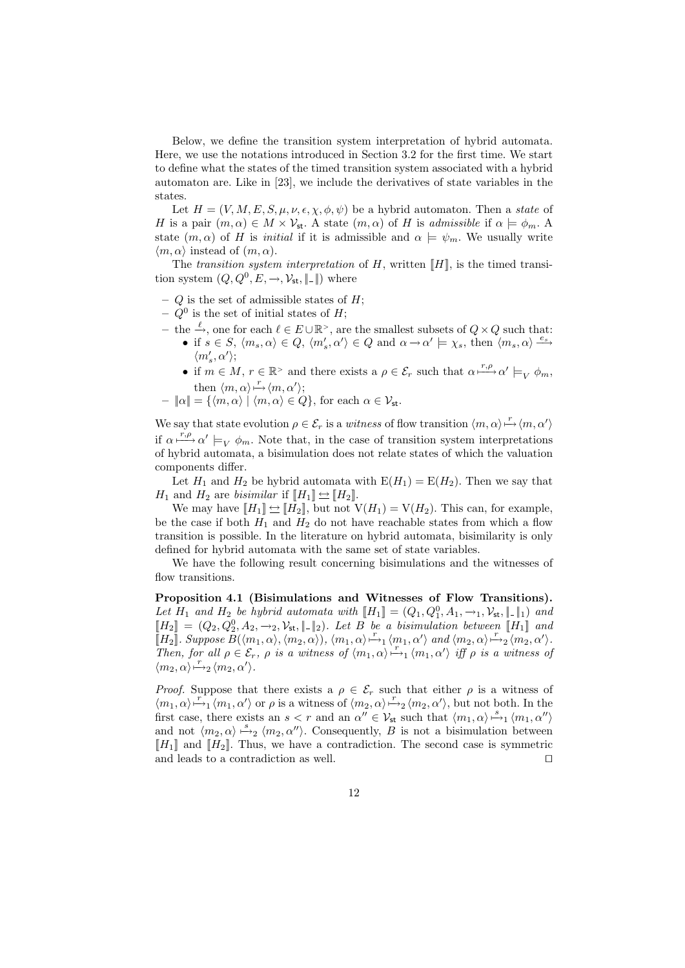Below, we define the transition system interpretation of hybrid automata. Here, we use the notations introduced in Section 3.2 for the first time. We start to define what the states of the timed transition system associated with a hybrid automaton are. Like in [23], we include the derivatives of state variables in the states.

Let  $H = (V, M, E, S, \mu, \nu, \epsilon, \chi, \phi, \psi)$  be a hybrid automaton. Then a state of H is a pair  $(m, \alpha) \in M \times V_{st}$ . A state  $(m, \alpha)$  of H is admissible if  $\alpha \models \phi_m$ . A state  $(m, \alpha)$  of H is *initial* if it is admissible and  $\alpha \models \psi_m$ . We usually write  $\langle m, \alpha \rangle$  instead of  $(m, \alpha)$ .

The transition system interpretation of H, written  $\llbracket H \rrbracket$ , is the timed transition system  $(Q, Q^0, E, \rightarrow, \mathcal{V}_{st}, \|\cdot\|)$  where

- $Q$  is the set of admissible states of  $H$ ;
- $Q^0$  is the set of initial states of H;
- $-$  the  $\xrightarrow{\ell}$ , one for each  $\ell \in E \cup \mathbb{R}^>$ , are the smallest subsets of  $Q \times Q$  such that: • if  $s \in S$ ,  $\langle m_s, \alpha \rangle \in Q$ ,  $\langle m'_s, \alpha' \rangle \in Q$  and  $\alpha \to \alpha' \models \chi_s$ , then  $\langle m_s, \alpha \rangle \stackrel{e_s}{\longrightarrow}$  $\langle m_s',\alpha'\rangle;$ 
	- if  $m \in M$ ,  $r \in \mathbb{R}^>$  and there exists a  $\rho \in \mathcal{E}_r$  such that  $\alpha \xrightarrow{r,\rho} \alpha' \models_V \phi_m$ , then  $\langle m, \alpha \rangle \stackrel{r}{\mapsto} \langle m, \alpha' \rangle;$
- $||\alpha|| = {\langle m, \alpha \rangle | \langle m, \alpha \rangle \in Q},$  for each  $\alpha \in \mathcal{V}_{st}$ .

We say that state evolution  $\rho \in \mathcal{E}_r$  is a witness of flow transition  $\langle m, \alpha \rangle \stackrel{r}{\mapsto} \langle m, \alpha' \rangle$ if  $\alpha \stackrel{r,\rho}{\longmapsto} \alpha' \models_V \phi_m$ . Note that, in the case of transition system interpretations of hybrid automata, a bisimulation does not relate states of which the valuation components differ.

Let  $H_1$  and  $H_2$  be hybrid automata with  $E(H_1) = E(H_2)$ . Then we say that  $H_1$  and  $H_2$  are *bisimilar* if  $[[H_1]] \rightleftharpoons [[H_2]]$ .

We may have  $[[H_1]] \leftrightarrow [[H_2]]$ , but not  $V(H_1) = V(H_2)$ . This can, for example, be the case if both  $H_1$  and  $H_2$  do not have reachable states from which a flow transition is possible. In the literature on hybrid automata, bisimilarity is only defined for hybrid automata with the same set of state variables.

We have the following result concerning bisimulations and the witnesses of flow transitions.

Proposition 4.1 (Bisimulations and Witnesses of Flow Transitions). Let  $H_1$  and  $H_2$  be hybrid automata with  $[[H_1]] = (Q_1, Q_1^0, A_1, \rightarrow_1, \mathcal{V}_{st}, \|\cdot\|_1)$  and  $[H_2] = (Q_2, Q_2^0, A_2, \rightarrow_2, \mathcal{V}_{st}, \|\,.\,\|_2)$ . Let B be a bisimulation between [H<sub>1</sub>] and  $\llbracket H_2 \rrbracket$ . Suppose  $B(\langle m_1, \alpha \rangle, \langle m_2, \alpha \rangle)$ ,  $\langle m_1, \alpha \rangle \rightarrow_1 \langle m_1, \alpha' \rangle$  and  $\langle m_2, \alpha \rangle \rightarrow_2 \langle m_2, \alpha' \rangle$ . Then, for all  $\rho \in \mathcal{E}_r$ ,  $\rho$  is a witness of  $\langle m_1, \alpha \rangle \stackrel{r}{\mapsto}_1 \langle m_1, \alpha' \rangle$  iff  $\rho$  is a witness of  $\langle m_2, \alpha \rangle \stackrel{r}{\mapsto}{}_{2} \langle m_2, \alpha' \rangle.$ 

*Proof.* Suppose that there exists a  $\rho \in \mathcal{E}_r$  such that either  $\rho$  is a witness of  $\langle m_1, \alpha \rangle \stackrel{r}{\mapsto}_1 \langle m_1, \alpha' \rangle$  or  $\rho$  is a witness of  $\langle m_2, \alpha \rangle \stackrel{r}{\mapsto}_2 \langle m_2, \alpha' \rangle$ , but not both. In the first case, there exists an  $s < r$  and an  $\alpha'' \in V_{st}$  such that  $\langle m_1, \alpha \rangle \stackrel{s}{\mapsto}_1 \langle m_1, \alpha'' \rangle$ and not  $\langle m_2, \alpha \rangle \stackrel{s}{\mapsto}_2 \langle m_2, \alpha'' \rangle$ . Consequently, B is not a bisimulation between  $[[H_1]]$  and  $[[H_2]]$ . Thus, we have a contradiction. The second case is symmetric and leads to a contradiction as well.  $\Box$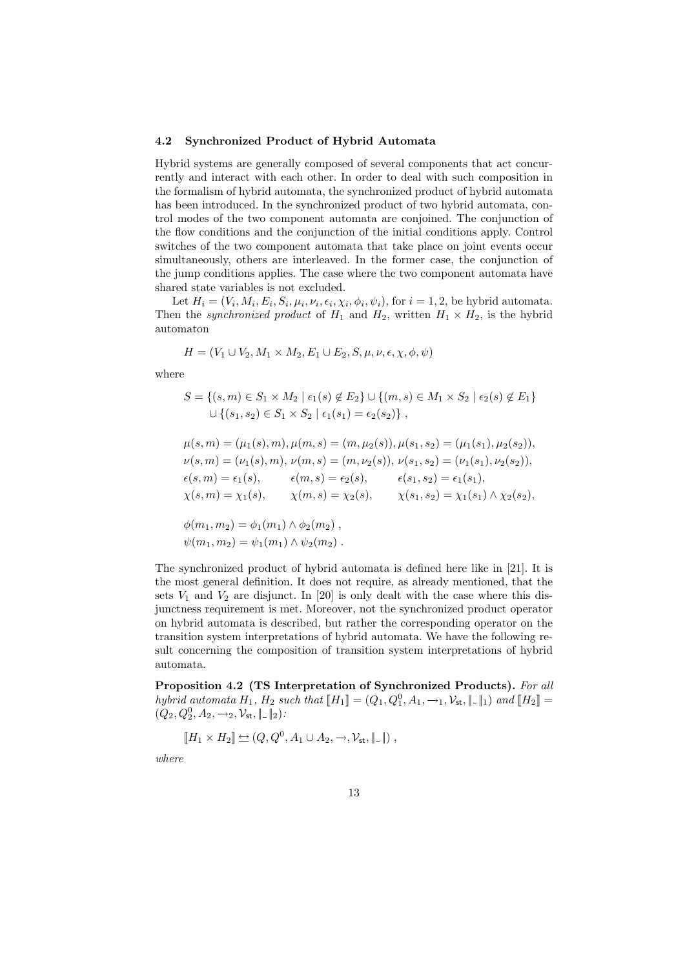#### 4.2 Synchronized Product of Hybrid Automata

Hybrid systems are generally composed of several components that act concurrently and interact with each other. In order to deal with such composition in the formalism of hybrid automata, the synchronized product of hybrid automata has been introduced. In the synchronized product of two hybrid automata, control modes of the two component automata are conjoined. The conjunction of the flow conditions and the conjunction of the initial conditions apply. Control switches of the two component automata that take place on joint events occur simultaneously, others are interleaved. In the former case, the conjunction of the jump conditions applies. The case where the two component automata have shared state variables is not excluded.

Let  $H_i = (V_i, M_i, E_i, S_i, \mu_i, \nu_i, \epsilon_i, \chi_i, \phi_i, \psi_i)$ , for  $i = 1, 2$ , be hybrid automata. Then the synchronized product of  $H_1$  and  $H_2$ , written  $H_1 \times H_2$ , is the hybrid automaton

$$
H = (V_1 \cup V_2, M_1 \times M_2, E_1 \cup E_2, S, \mu, \nu, \epsilon, \chi, \phi, \psi)
$$

where

$$
S = \{(s, m) \in S_1 \times M_2 \mid \epsilon_1(s) \notin E_2\} \cup \{(m, s) \in M_1 \times S_2 \mid \epsilon_2(s) \notin E_1\}
$$
  
 
$$
\cup \{(s_1, s_2) \in S_1 \times S_2 \mid \epsilon_1(s_1) = \epsilon_2(s_2)\},
$$

$$
\mu(s,m) = (\mu_1(s), m), \mu(m, s) = (m, \mu_2(s)), \mu(s_1, s_2) = (\mu_1(s_1), \mu_2(s_2)),
$$
  
\n
$$
\nu(s,m) = (\nu_1(s), m), \nu(m, s) = (m, \nu_2(s)), \nu(s_1, s_2) = (\nu_1(s_1), \nu_2(s_2)),
$$
  
\n
$$
\epsilon(s,m) = \epsilon_1(s), \qquad \epsilon(m, s) = \epsilon_2(s), \qquad \epsilon(s_1, s_2) = \epsilon_1(s_1),
$$
  
\n
$$
\chi(s,m) = \chi_1(s), \qquad \chi(m, s) = \chi_2(s), \qquad \chi(s_1, s_2) = \chi_1(s_1) \wedge \chi_2(s_2),
$$
  
\n
$$
\phi(m_1, m_2) = \phi_1(m_1) \wedge \phi_2(m_2),
$$
  
\n
$$
\psi(m_1, m_2) = \psi_1(m_1) \wedge \psi_2(m_2).
$$

The synchronized product of hybrid automata is defined here like in [21]. It is the most general definition. It does not require, as already mentioned, that the sets  $V_1$  and  $V_2$  are disjunct. In [20] is only dealt with the case where this disjunctness requirement is met. Moreover, not the synchronized product operator on hybrid automata is described, but rather the corresponding operator on the transition system interpretations of hybrid automata. We have the following result concerning the composition of transition system interpretations of hybrid automata.

Proposition 4.2 (TS Interpretation of Synchronized Products). For all hybrid automata  $H_1$ ,  $H_2$  such that  $[[H_1] = (Q_1, Q_1^0, A_1, \rightarrow_1, V_{st}, \| \_ \|_1)$  and  $[[H_2] =$  $(Q_2, Q_2^0, A_2, \rightarrow_2, \mathcal{V}_{\mathsf{st}}, \|\,.\,\|_2)$ :

$$
\llbracket H_1 \times H_2 \rrbracket \Leftrightarrow (Q, Q^0, A_1 \cup A_2, \rightarrow, \mathcal{V}_{\mathsf{st}}, \llbracket \_ \rrbracket),
$$

where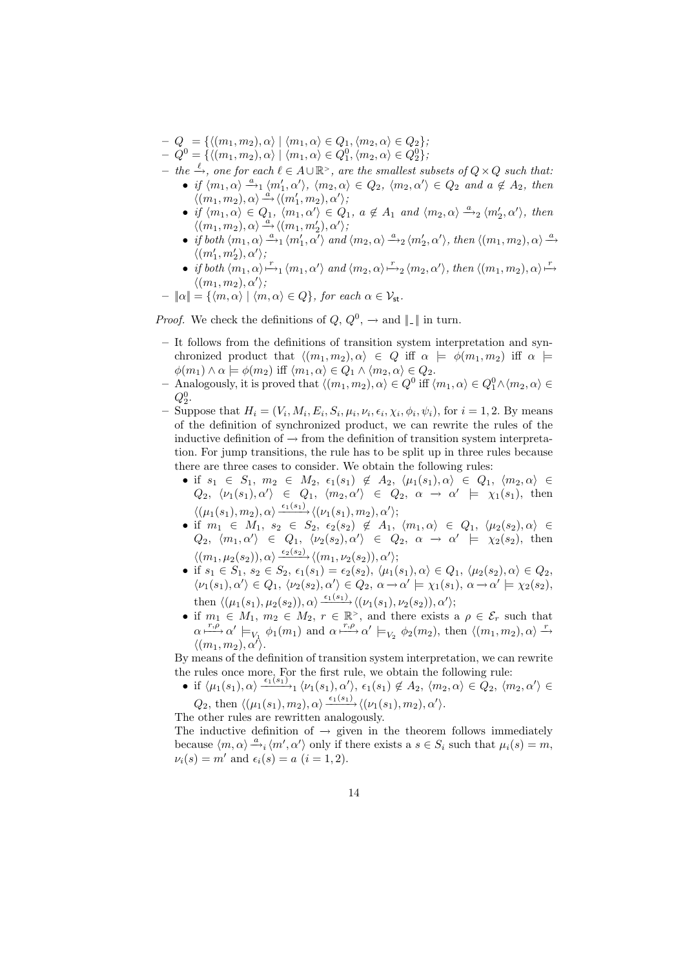- $-Q = \{ \langle (m_1, m_2), \alpha \rangle \mid \langle m_1, \alpha \rangle \in Q_1, \langle m_2, \alpha \rangle \in Q_2 \};$
- $-Q^0 = \{ \langle (m_1, m_2), \alpha \rangle \mid \langle m_1, \alpha \rangle \in Q_1^0, \langle m_2, \alpha \rangle \in Q_2^0 \};$
- $-$  the  $\xrightarrow{\ell}$ , one for each  $\ell \in A\cup \mathbb{R}^>$ , are the smallest subsets of  $Q\times Q$  such that:
	- if  $\langle m_1, \alpha \rangle \stackrel{a}{\longrightarrow}_1 \langle m_1', \alpha' \rangle$ ,  $\langle m_2, \alpha \rangle \in Q_2$ ,  $\langle m_2, \alpha' \rangle \in Q_2$  and  $a \notin A_2$ , then  $\langle (m_1, m_2), \alpha \rangle \stackrel{a}{\rightarrow} \langle (m_1', m_2), \alpha' \rangle,$
	- $\bullet$  if  $\langle m_1, m_2 \rangle, \alpha \rangle$   $\Rightarrow$   $\langle (m_1, m_2), \alpha \rangle$ ,  $\alpha \notin A_1$  and  $\langle m_2, \alpha \rangle \stackrel{a}{\rightarrow}_2 \langle m'_2, \alpha' \rangle$ , then  $\langle (m_1, m_2), \alpha \rangle \stackrel{a}{\longrightarrow} \langle (m_1, m_2'), \alpha' \rangle,$
	- if both  $\langle m_1, \alpha \rangle \stackrel{a}{\rightarrow}_1 \langle m_1', \alpha' \rangle$  and  $\langle m_2, \alpha \rangle \stackrel{a}{\rightarrow}_2 \langle m_2', \alpha' \rangle$ , then  $\langle (m_1, m_2), \alpha \rangle \stackrel{a}{\rightarrow}$  $\langle (m'_1, m'_2), \alpha' \rangle$ ;
	- if both  $\langle m_1, \alpha \rangle \stackrel{r}{\mapsto}_1 \langle m_1, \alpha' \rangle$  and  $\langle m_2, \alpha \rangle \stackrel{r}{\mapsto}_2 \langle m_2, \alpha' \rangle$ , then  $\langle (m_1, m_2), \alpha \rangle \stackrel{r}{\mapsto}$  $\langle (m_1, m_2), \alpha' \rangle;$

$$
- ||\alpha|| = \{ \langle m, \alpha \rangle \mid \langle m, \alpha \rangle \in Q \}, \text{ for each } \alpha \in \mathcal{V}_{st}.
$$

*Proof.* We check the definitions of  $Q, Q^0, \rightarrow$  and  $||$ . || in turn.

- It follows from the definitions of transition system interpretation and synchronized product that  $\langle (m_1, m_2), \alpha \rangle \in Q$  iff  $\alpha \models \phi(m_1, m_2)$  iff  $\alpha \models$  $\phi(m_1) \wedge \alpha \models \phi(m_2)$  iff  $\langle m_1, \alpha \rangle \in Q_1 \wedge \langle m_2, \alpha \rangle \in Q_2$ .
- $-$  Analogously, it is proved that  $\langle (m_1, m_2), \alpha \rangle \in Q^0$  iff  $\langle m_1, \alpha \rangle \in Q_1^0 \wedge \langle m_2, \alpha \rangle \in$  $Q_2^0$ .
- Suppose that  $H_i = (V_i, M_i, E_i, S_i, \mu_i, \nu_i, \epsilon_i, \chi_i, \phi_i, \psi_i)$ , for  $i = 1, 2$ . By means of the definition of synchronized product, we can rewrite the rules of the inductive definition of  $\rightarrow$  from the definition of transition system interpretation. For jump transitions, the rule has to be split up in three rules because there are three cases to consider. We obtain the following rules:
	- if  $s_1 \in S_1$ ,  $m_2 \in M_2$ ,  $\epsilon_1(s_1) \notin A_2$ ,  $\langle \mu_1(s_1), \alpha \rangle \in Q_1$ ,  $\langle m_2, \alpha \rangle \in$  $Q_2, \langle \nu_1(s_1), \alpha' \rangle \in Q_1, \langle m_2, \alpha' \rangle \in Q_2, \alpha \rightarrow \alpha' \models \chi_1(s_1),$  then  $\langle(\mu_1(s_1),m_2),\alpha\rangle\frac{\epsilon_1(s_1)}{\epsilon_1(s_1)},\langle(\nu_1(s_1),m_2),\alpha'\rangle;$
	- if  $m_1 \in M_1$ ,  $s_2 \in S_2$ ,  $\epsilon_2(s_2) \notin A_1$ ,  $\langle m_1, \alpha \rangle \in Q_1$ ,  $\langle \mu_2(s_2), \alpha \rangle \in$  $Q_2, \langle m_1, \alpha' \rangle \in Q_1, \langle \nu_2(s_2), \alpha' \rangle \in Q_2, \alpha \to \alpha' \models \chi_2(s_2),$  then  $\langle (m_1, \mu_2(s_2)), \alpha \rangle \frac{\epsilon_2(s_2)}{\epsilon_2(s_2)} \langle (m_1, \nu_2(s_2)), \alpha' \rangle;$
	- if  $s_1 \in S_1$ ,  $s_2 \in S_2$ ,  $\epsilon_1(s_1) = \epsilon_2(s_2)$ ,  $\langle \mu_1(s_1), \alpha \rangle \in Q_1$ ,  $\langle \mu_2(s_2), \alpha \rangle \in Q_2$ ,  $\langle \nu_1(s_1), \alpha' \rangle \in Q_1, \, \langle \nu_2(s_2), \alpha' \rangle \in Q_2, \, \alpha \to \alpha' \models \chi_1(s_1), \, \alpha \to \alpha' \models \chi_2(s_2),$ then  $\langle(\mu_1(s_1), \mu_2(s_2)), \alpha\rangle \frac{\epsilon_1(s_1)}{\epsilon_2} \langle(\nu_1(s_1), \nu_2(s_2)), \alpha'\rangle;$
	- if  $m_1 \in M_1$ ,  $m_2 \in M_2$ ,  $r \in \mathbb{R}^>$ , and there exists a  $\rho \in \mathcal{E}_r$  such that  $\alpha \xrightarrow{r,\rho} \alpha' \models_{V_1} \phi_1(m_1)$  and  $\alpha \xrightarrow{r,\rho} \alpha' \models_{V_2} \phi_2(m_2)$ , then  $\langle (m_1, m_2), \alpha \rangle \xrightarrow{r}$  $\langle (m_1, m_2), \alpha' \rangle$ .

By means of the definition of transition system interpretation, we can rewrite the rules once more. For the first rule, we obtain the following rule:

• if  $\langle \mu_1(s_1), \alpha \rangle \xrightarrow{\epsilon_1(s_1)} \langle \nu_1(s_1), \alpha \rangle$ ,  $\epsilon_1(s_1) \notin A_2$ ,  $\langle m_2, \alpha \rangle \in \overset{\circ}{Q}_2$ ,  $\langle m_2, \alpha \rangle \in$  $Q_2$ , then  $\langle (\mu_1(s_1), m_2), \alpha \rangle \stackrel{\epsilon_1(s_1)}{\longrightarrow} \langle (\nu_1(s_1), m_2), \alpha' \rangle$ .

The other rules are rewritten analogously.

The inductive definition of  $\rightarrow$  given in the theorem follows immediately because  $\langle m, \alpha \rangle \stackrel{a}{\rightarrow}_i \langle m', \alpha' \rangle$  only if there exists a  $s \in S_i$  such that  $\mu_i(s) = m$ ,  $\nu_i(s) = m'$  and  $\epsilon_i(s) = a$   $(i = 1, 2)$ .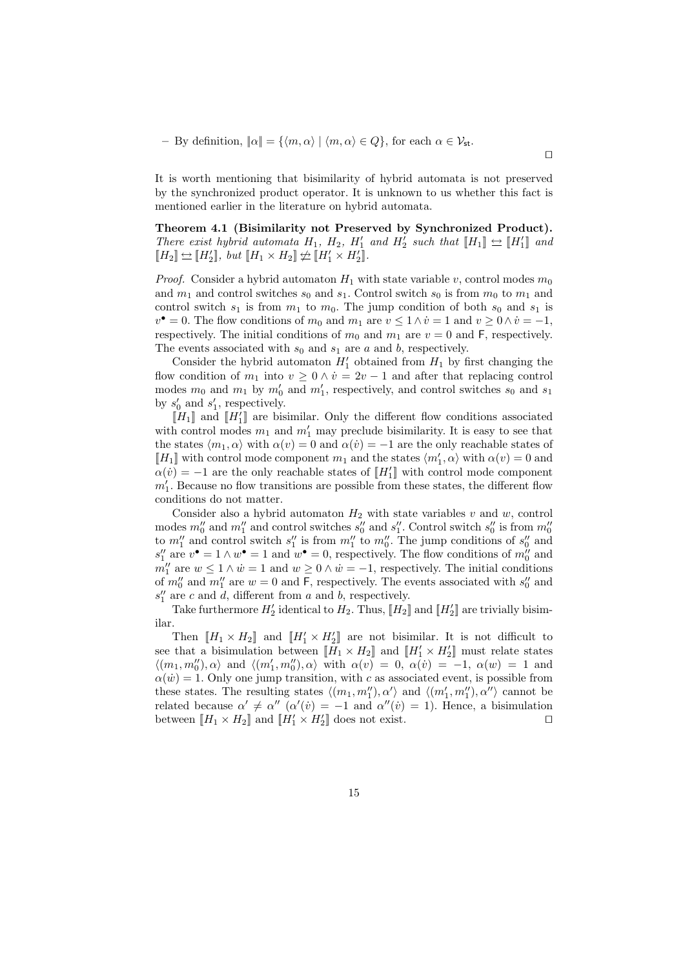– By definition,  $\|\alpha\| = \{\langle m, \alpha \rangle \mid \langle m, \alpha \rangle \in Q\}$ , for each  $\alpha \in \mathcal{V}_{st}$ .

It is worth mentioning that bisimilarity of hybrid automata is not preserved by the synchronized product operator. It is unknown to us whether this fact is mentioned earlier in the literature on hybrid automata.

 $\Box$ 

Theorem 4.1 (Bisimilarity not Preserved by Synchronized Product). There exist hybrid automata  $H_1$ ,  $H_2$ ,  $H'_1$  and  $H'_2$  such that  $[[H_1]] \rightleftharpoons [[H'_1]]$  and  $\llbracket H_2 \rrbracket \Leftrightarrow \llbracket H_2' \rrbracket, \; but \; \llbracket H_1 \times H_2 \rrbracket \not\leftrightharpoons \llbracket H_1' \times H_2' \rrbracket.$ 

*Proof.* Consider a hybrid automaton  $H_1$  with state variable v, control modes  $m_0$ and  $m_1$  and control switches  $s_0$  and  $s_1$ . Control switch  $s_0$  is from  $m_0$  to  $m_1$  and control switch  $s_1$  is from  $m_1$  to  $m_0$ . The jump condition of both  $s_0$  and  $s_1$  is  $v^{\bullet} = 0$ . The flow conditions of  $m_0$  and  $m_1$  are  $v \leq 1 \wedge \dot{v} = 1$  and  $v \geq 0 \wedge \dot{v} = -1$ , respectively. The initial conditions of  $m_0$  and  $m_1$  are  $v = 0$  and F, respectively. The events associated with  $s_0$  and  $s_1$  are a and b, respectively.

Consider the hybrid automaton  $H'_1$  obtained from  $H_1$  by first changing the flow condition of  $m_1$  into  $v \geq 0 \wedge \dot{v} = 2v - 1$  and after that replacing control modes  $m_0$  and  $m_1$  by  $m'_0$  and  $m'_1$ , respectively, and control switches  $s_0$  and  $s_1$ by  $s'_0$  and  $s'_1$ , respectively.

 $[[H_1]]$  and  $[[H_1']]$  are bisimilar. Only the different flow conditions associated with control modes  $m_1$  and  $m'_1$  may preclude bisimilarity. It is easy to see that the states  $\langle m_1, \alpha \rangle$  with  $\alpha(v) = 0$  and  $\alpha(v) = -1$  are the only reachable states of  $[[H_1]]$  with control mode component  $m_1$  and the states  $\langle m_1', \alpha \rangle$  with  $\alpha(v) = 0$  and  $\alpha(\dot{v}) = -1$  are the only reachable states of  $[[H_1']]$  with control mode component  $m'_1$ . Because no flow transitions are possible from these states, the different flow conditions do not matter.

Consider also a hybrid automaton  $H_2$  with state variables v and w, control modes  $m_0''$  and  $m_1''$  and control switches  $s_0''$  and  $s_1''$ . Control switch  $s_0''$  is from  $m_0''$ to  $m_1''$  and control switch  $s_1''$  is from  $m_1''$  to  $m_0''$ . The jump conditions of  $s_0''$  and  $s''_1$  are  $v^{\bullet} = 1 \wedge w^{\bullet} = 1$  and  $w^{\bullet} = 0$ , respectively. The flow conditions of  $m''_0$  and  $m''_1$  are  $w \leq 1 \wedge \dot{w} = 1$  and  $w \geq 0 \wedge \dot{w} = -1$ , respectively. The initial conditions of  $m_0''$  and  $m_1''$  are  $w = 0$  and F, respectively. The events associated with  $s_0''$  and  $s_1''$  are c and d, different from a and b, respectively.

Take furthermore  $H_2'$  identical to  $H_2$ . Thus,  $[[H_2]]$  and  $[[H_2']]$  are trivially bisimilar.

Then  $[[H_1 \times H_2]]$  and  $[[H'_1 \times H'_2]]$  are not bisimilar. It is not difficult to see that a bisimulation between  $[[H_1 \times H_2]]$  and  $[[H'_1 \times H'_2]]$  must relate states  $\langle (m_1, m''_0), \alpha \rangle$  and  $\langle (m'_1, m''_0), \alpha \rangle$  with  $\alpha(v) = 0, \alpha(v) = -1, \alpha(w) = 1$  and  $\alpha(\dot{w}) = 1$ . Only one jump transition, with c as associated event, is possible from these states. The resulting states  $\langle (m_1, m_1''), \alpha' \rangle$  and  $\langle (m_1', m_1''), \alpha'' \rangle$  cannot be related because  $\alpha' \neq \alpha''$   $(\alpha'(v) = -1$  and  $\alpha''(v) = 1)$ . Hence, a bisimulation between  $[[H_1 \times H_2]]$  and  $[[H'_1 \times H'_2]]$  does not exist.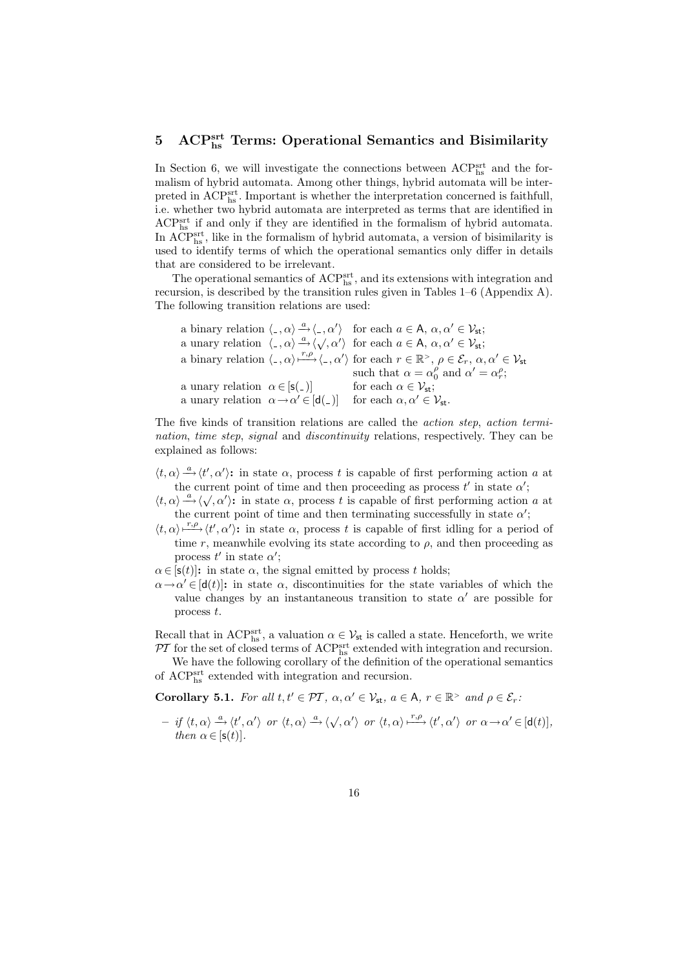# 5 ACP<sup>srt</sup> Terms: Operational Semantics and Bisimilarity

In Section 6, we will investigate the connections between  $\text{ACP}_{\text{hs}}^{\text{srt}}$  and the formalism of hybrid automata. Among other things, hybrid automata will be interpreted in  $\mathrm{ACP^{srt}_{hs}}$ . Important is whether the interpretation concerned is faithfull, i.e. whether two hybrid automata are interpreted as terms that are identified in ACPsrt hs if and only if they are identified in the formalism of hybrid automata. In ACP<sup>srt</sup>, like in the formalism of hybrid automata, a version of bisimilarity is used to identify terms of which the operational semantics only differ in details that are considered to be irrelevant.

The operational semantics of  $\text{ACP}^{\text{srt}}_{\text{hs}}$  , and its extensions with integration and recursion, is described by the transition rules given in Tables 1–6 (Appendix A). The following transition relations are used:

|                                                |                                                                        | a binary relation $\langle \cdot, \alpha \rangle \stackrel{a}{\rightarrow} \langle \cdot, \alpha' \rangle$ for each $a \in A$ , $\alpha, \alpha' \in V_{st}$ ;                                          |
|------------------------------------------------|------------------------------------------------------------------------|---------------------------------------------------------------------------------------------------------------------------------------------------------------------------------------------------------|
|                                                |                                                                        | a unary relation $\langle \cdot, \alpha \rangle \stackrel{a}{\rightarrow} \langle \sqrt{\alpha'} \rangle$ for each $a \in A$ , $\alpha, \alpha' \in V_{st}$ ;                                           |
|                                                |                                                                        | a binary relation $\langle \cdot, \alpha \rangle \xrightarrow{r,\rho} \langle \cdot, \alpha' \rangle$ for each $r \in \mathbb{R}^>$ , $\rho \in \mathcal{E}_r$ , $\alpha, \alpha' \in \mathcal{V}_{st}$ |
|                                                |                                                                        | such that $\alpha = \alpha_0^{\rho}$ and $\alpha' = \alpha_r^{\rho}$ ;                                                                                                                                  |
| a unary relation $\alpha \in [\mathsf{s}(\_)]$ |                                                                        | for each $\alpha \in \mathcal{V}_{st}$ ;                                                                                                                                                                |
|                                                | a unary relation $\alpha \rightarrow \alpha' \in [\mathsf{d}(\alpha)]$ | for each $\alpha, \alpha' \in \mathcal{V}_{st}$ .                                                                                                                                                       |

The five kinds of transition relations are called the action step, action termination, time step, signal and discontinuity relations, respectively. They can be explained as follows:

- $\langle t, \alpha \rangle \stackrel{a}{\longrightarrow} \langle t', \alpha' \rangle$ : in state  $\alpha$ , process t is capable of first performing action a at the current point of time and then proceeding as process  $t'$  in state  $\alpha'$ ;
- the current point of time and then proceeding as process t in state  $\alpha$ ,<br> $\langle t, \alpha \rangle \stackrel{a}{\longrightarrow} \langle \sqrt{x}, \alpha' \rangle$ : in state  $\alpha$ , process t is capable of first performing action a at the current point of time and then terminating successfully in state  $\alpha'$ ;
- $\langle t, \alpha \rangle \stackrel{r,\rho}{\longrightarrow} \langle t', \alpha' \rangle$ : in state  $\alpha$ , process t is capable of first idling for a period of time r, meanwhile evolving its state according to  $\rho$ , and then proceeding as process  $t'$  in state  $\alpha'$ ;
- $\alpha \in [\mathsf{s}(t)]$ : in state  $\alpha$ , the signal emitted by process t holds;
- $\alpha \rightarrow \alpha' \in [d(t)]$ : in state  $\alpha$ , discontinuities for the state variables of which the value changes by an instantaneous transition to state  $\alpha'$  are possible for process t.

Recall that in ACP<sup>srt</sup>, a valuation  $\alpha \in V_{st}$  is called a state. Henceforth, we write  $\mathcal{P}\mathcal{T}$  for the set of closed terms of ACP<sup>srt</sup> extended with integration and recursion.

We have the following corollary of the definition of the operational semantics of  $\mathrm{ACP}^\mathrm{srt}_\mathrm{hs}$  extended with integration and recursion.

**Corollary 5.1.** For all  $t, t' \in \mathcal{PT}$ ,  $\alpha, \alpha' \in \mathcal{V}_{st}$ ,  $a \in A$ ,  $r \in \mathbb{R}^>$  and  $\rho \in \mathcal{E}_r$ .

 $- if \langle t, \alpha \rangle \stackrel{a}{\longrightarrow} \langle t', \alpha' \rangle \text{ or } \langle t, \alpha \rangle \stackrel{a}{\longrightarrow} \langle \sqrt{, \alpha'} \rangle \text{ or } \langle t, \alpha \rangle \stackrel{r, \rho}{\longmapsto} \langle t', \alpha' \rangle \text{ or } \alpha \longrightarrow \alpha' \in [\mathsf{d}(t)],$ then  $\alpha \in [\mathsf{s}(t)].$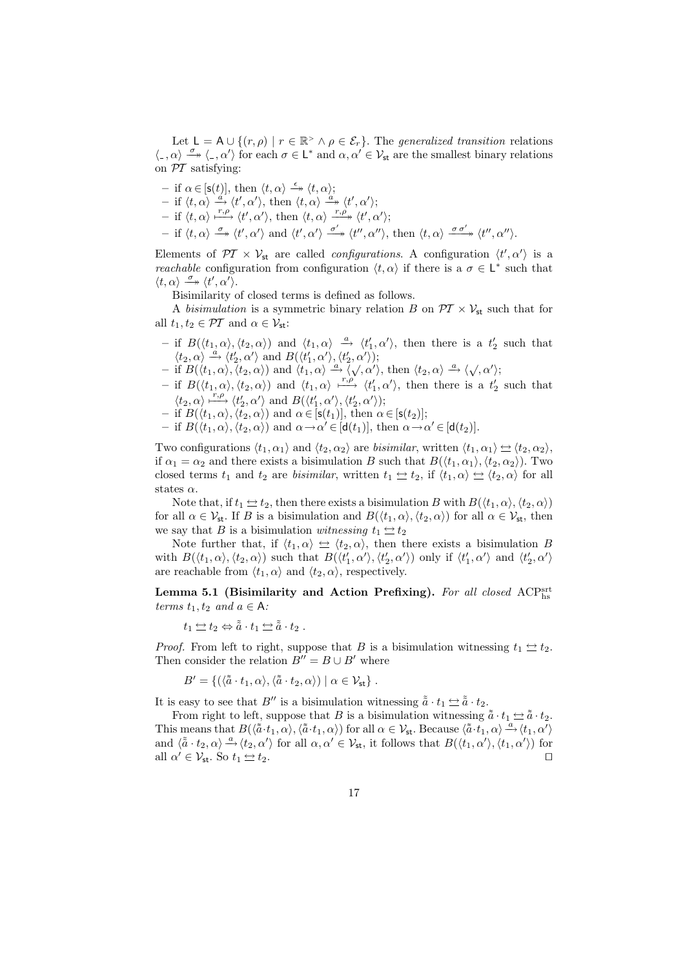Let  $L = A \cup \{(r, \rho) \mid r \in \mathbb{R}^> \land \rho \in \mathcal{E}_r\}$ . The generalized transition relations  $\langle \xi_-, \alpha \rangle \stackrel{\sigma}{\longrightarrow} \langle \xi_-, \alpha' \rangle$  for each  $\sigma \in L^*$  and  $\alpha, \alpha' \in \mathcal{V}_{st}$  are the smallest binary relations on  $\mathcal{P}\mathcal{T}$  satisfying:

 $-$  if  $\alpha \in [\mathsf{s}(t)],$  then  $\langle t, \alpha \rangle \stackrel{\epsilon}{\rightarrow} \langle t, \alpha \rangle;$  $-$  if  $\langle t, \alpha \rangle \stackrel{a}{\rightarrow} \langle t', \alpha' \rangle$ , then  $\langle t, \alpha \rangle \stackrel{a}{\rightarrow} \langle t', \alpha' \rangle$ ;  $-$  if  $\langle t, \alpha \rangle \stackrel{r,\rho}{\longrightarrow} \langle t', \alpha' \rangle$ , then  $\langle t, \alpha \rangle \stackrel{r,\rho}{\longrightarrow} \langle t', \alpha' \rangle$ ;  $-$  if  $\langle t, \alpha \rangle \stackrel{\sigma}{\twoheadrightarrow} \langle t', \alpha' \rangle$  and  $\langle t', \alpha' \rangle \stackrel{\sigma'}{\twoheadrightarrow} \langle t'', \alpha'' \rangle$ , then  $\langle t, \alpha \rangle \stackrel{\sigma \sigma'}{\twoheadrightarrow} \langle t'', \alpha'' \rangle$ .

Elements of  $\mathcal{PI} \times \mathcal{V}_{st}$  are called *configurations*. A configuration  $\langle t', \alpha' \rangle$  is a *reachable* configuration from configuration  $\langle t, \alpha \rangle$  if there is a  $\sigma \in L^*$  such that  $\langle t, \alpha \rangle \stackrel{\sigma}{\longrightarrow} \langle t', \alpha' \rangle.$ 

Bisimilarity of closed terms is defined as follows.

A bisimulation is a symmetric binary relation B on  $\mathcal{PT} \times \mathcal{V}_{st}$  such that for all  $t_1, t_2 \in \mathcal{PT}$  and  $\alpha \in \mathcal{V}_{st}$ :

- if  $B(\langle t_1, \alpha \rangle, \langle t_2, \alpha \rangle)$  and  $\langle t_1, \alpha \rangle \stackrel{a}{\rightarrow} \langle t_1', \alpha' \rangle$ , then there is a  $t_2'$  such that  $\langle t_2, \alpha \rangle \stackrel{a}{\rightarrow} \langle t_2', \alpha' \rangle$  and  $B(\langle t_1', \alpha' \rangle, \langle t_2', \alpha' \rangle);$
- $\langle \iota_2, \alpha \rangle \longrightarrow \langle \iota_2, \alpha \rangle$  and  $D(\langle \iota_1, \alpha \rangle, \langle \iota_2, \alpha \rangle)$ ,<br>  $-$  if  $B(\langle t_1, \alpha \rangle, \langle t_2, \alpha \rangle)$  and  $\langle t_1, \alpha \rangle \stackrel{a}{\longrightarrow} \langle \sqrt{\alpha'} \rangle$ , then  $\langle t_2, \alpha \rangle \stackrel{a}{\longrightarrow} \langle \sqrt{\alpha'} \rangle$ ;
- if  $B(\langle t_1,\alpha \rangle, \langle t_2,\alpha \rangle)$  and  $\langle t_1,\alpha \rangle \xrightarrow{r,\rho} \langle t'_1,\alpha' \rangle$ , then there is a  $t'_2$  such that  $\langle t_2, \alpha \rangle \stackrel{r,\rho}{\longmapsto} \langle t_2', \alpha' \rangle$  and  $B(\langle t_1', \alpha' \rangle, \langle t_2', \alpha' \rangle);$
- $-$  if  $B(\langle t_1, \alpha \rangle, \langle t_2, \alpha \rangle)$  and  $\alpha \in [\mathsf{s}(t_1)],$  then  $\alpha \in [\mathsf{s}(t_2)];$
- $-$  if  $B(\langle t_1, \alpha \rangle, \langle t_2, \alpha \rangle)$  and  $\alpha \to \alpha' \in [d(t_1)],$  then  $\alpha \to \alpha' \in [d(t_2)].$

Two configurations  $\langle t_1, \alpha_1 \rangle$  and  $\langle t_2, \alpha_2 \rangle$  are *bisimilar*, written  $\langle t_1, \alpha_1 \rangle \nightharpoonup \langle t_2, \alpha_2 \rangle$ , if  $\alpha_1 = \alpha_2$  and there exists a bisimulation B such that  $B(\langle t_1, \alpha_1 \rangle, \langle t_2, \alpha_2 \rangle)$ . Two closed terms  $t_1$  and  $t_2$  are *bisimilar*, written  $t_1 \nightharpoonup t_2$ , if  $\langle t_1, \alpha \rangle \nightharpoonup \langle t_2, \alpha \rangle$  for all states  $\alpha$ .

Note that, if  $t_1 \nightharpoonup t_2$ , then there exists a bisimulation B with  $B(\langle t_1, \alpha \rangle, \langle t_2, \alpha \rangle)$ for all  $\alpha \in \mathcal{V}_{st}$ . If B is a bisimulation and  $B(\langle t_1, \alpha \rangle, \langle t_2, \alpha \rangle)$  for all  $\alpha \in \mathcal{V}_{st}$ , then we say that B is a bisimulation witnessing  $t_1 \Leftrightarrow t_2$ 

Note further that, if  $\langle t_1, \alpha \rangle \Leftrightarrow \langle t_2, \alpha \rangle$ , then there exists a bisimulation B with  $B(\langle t_1, \alpha \rangle, \langle t_2, \alpha \rangle)$  such that  $B(\langle t_1', \alpha' \rangle, \langle t_2', \alpha' \rangle)$  only if  $\langle t_1', \alpha' \rangle$  and  $\langle t_2', \alpha' \rangle$ are reachable from  $\langle t_1, \alpha \rangle$  and  $\langle t_2, \alpha \rangle$ , respectively.

Lemma 5.1 (Bisimilarity and Action Prefixing). For all closed ACPs terms  $t_1, t_2$  and  $a \in A$ :

$$
t_1 \Leftrightarrow t_2 \Leftrightarrow \tilde{\tilde{a}} \cdot t_1 \Leftrightarrow \tilde{\tilde{a}} \cdot t_2 .
$$

*Proof.* From left to right, suppose that B is a bisimulation witnessing  $t_1 \nightharpoonup t_2$ . Then consider the relation  $B'' = B \cup B'$  where

$$
B' = \{ (\langle \tilde{a} \cdot t_1, \alpha \rangle, \langle \tilde{a} \cdot t_2, \alpha \rangle) \mid \alpha \in \mathcal{V}_{st} \}.
$$

It is easy to see that B<sup> $\prime\prime$ </sup> is a bisimulation witnessing  $\tilde{a} \cdot t_1 \leftrightarrow \tilde{a} \cdot t_2$ .

From right to left, suppose that B is a bisimulation witnessing  $\tilde{a} \cdot t_1 \leftrightarrow \tilde{a} \cdot t_2$ . This means that  $B(\langle \tilde{a} \cdot t_1, \alpha \rangle, \langle \tilde{a} \cdot t_1, \alpha \rangle)$  for all  $\alpha \in \mathcal{V}_{st}$ . Because  $\langle \tilde{a} \cdot t_1, \alpha \rangle \stackrel{a}{\rightarrow} \langle t_1, \alpha' \rangle$ and  $\langle \tilde{a} \cdot t_2, \alpha \rangle \stackrel{a}{\rightarrow} \langle t_2, \alpha' \rangle$  for all  $\alpha, \alpha' \in \mathcal{V}_{st}$ , it follows that  $B(\langle t_1, \alpha' \rangle, \langle t_1, \alpha' \rangle)$  for all  $\alpha' \in \mathcal{V}_{\text{st}}$ . So  $t_1 \leftrightarrow t_2$ .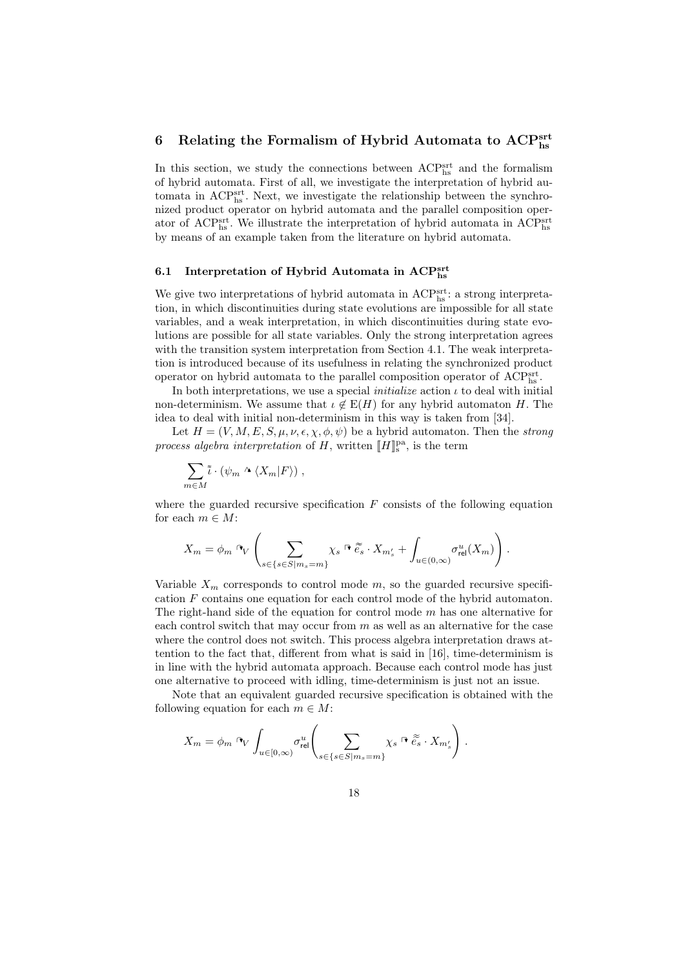# 6 Relating the Formalism of Hybrid Automata to  $\mathrm{ACP}^\mathrm{srt}_{\mathrm{hs}}$

In this section, we study the connections between  $\text{ACP}^{\text{srt}}_{\text{hs}}$  and the formalism of hybrid automata. First of all, we investigate the interpretation of hybrid automata in  $\text{ACP}_{\text{hs}}^{\text{srt}}$ . Next, we investigate the relationship between the synchronized product operator on hybrid automata and the parallel composition operator of ACP<sup>srt</sup><sub>hs</sub>. We illustrate the interpretation of hybrid automata in ACP<sup>srt</sup>hs by means of an example taken from the literature on hybrid automata.

# 6.1 Interpretation of Hybrid Automata in  $\mathrm{ACP}^\mathrm{srt}_{\mathrm{hs}}$

We give two interpretations of hybrid automata in  $\text{ACP}_{\text{hs}}^{\text{srt}}$  : a strong interpretation, in which discontinuities during state evolutions are impossible for all state variables, and a weak interpretation, in which discontinuities during state evolutions are possible for all state variables. Only the strong interpretation agrees with the transition system interpretation from Section 4.1. The weak interpretation is introduced because of its usefulness in relating the synchronized product operator on hybrid automata to the parallel composition operator of  $\mathrm{ACP}^{\mathrm{srt}}_{\mathrm{hs}}$ .

In both interpretations, we use a special *initialize* action  $\iota$  to deal with initial non-determinism. We assume that  $\iota \notin E(H)$  for any hybrid automaton H. The idea to deal with initial non-determinism in this way is taken from [34].

Let  $H = (V, M, E, S, \mu, \nu, \epsilon, \chi, \phi, \psi)$  be a hybrid automaton. Then the strong process algebra interpretation of H, written  $[[H]]_s^{\text{pa}}$ , is the term

$$
\sum_{m\in M}\tilde{\iota}\cdot(\psi_m\wedge\langle X_m|F\rangle)\,,
$$

where the guarded recursive specification  $F$  consists of the following equation for each  $m \in M$ :

$$
X_m = \phi_m \; \text{d}_V \left( \sum_{s \in \{s \in S | m_s = m\}} \chi_s \; \text{d} \; \widetilde{e_s} \cdot X_{m'_s} + \int_{u \in (0,\infty)} \sigma_{\text{rel}}^u(X_m) \right).
$$

Variable  $X_m$  corresponds to control mode m, so the guarded recursive specification F contains one equation for each control mode of the hybrid automaton. The right-hand side of the equation for control mode  $m$  has one alternative for each control switch that may occur from  $m$  as well as an alternative for the case where the control does not switch. This process algebra interpretation draws attention to the fact that, different from what is said in [16], time-determinism is in line with the hybrid automata approach. Because each control mode has just one alternative to proceed with idling, time-determinism is just not an issue.

Note that an equivalent guarded recursive specification is obtained with the following equation for each  $m \in M$ :

$$
X_m = \phi_m \circ_V \int_{u \in [0,\infty)} \sigma_{\text{rel}}^u \left( \sum_{s \in \{s \in S | m_s = m\}} \chi_s \circ \widetilde{e}_s \cdot X_{m'_s} \right).
$$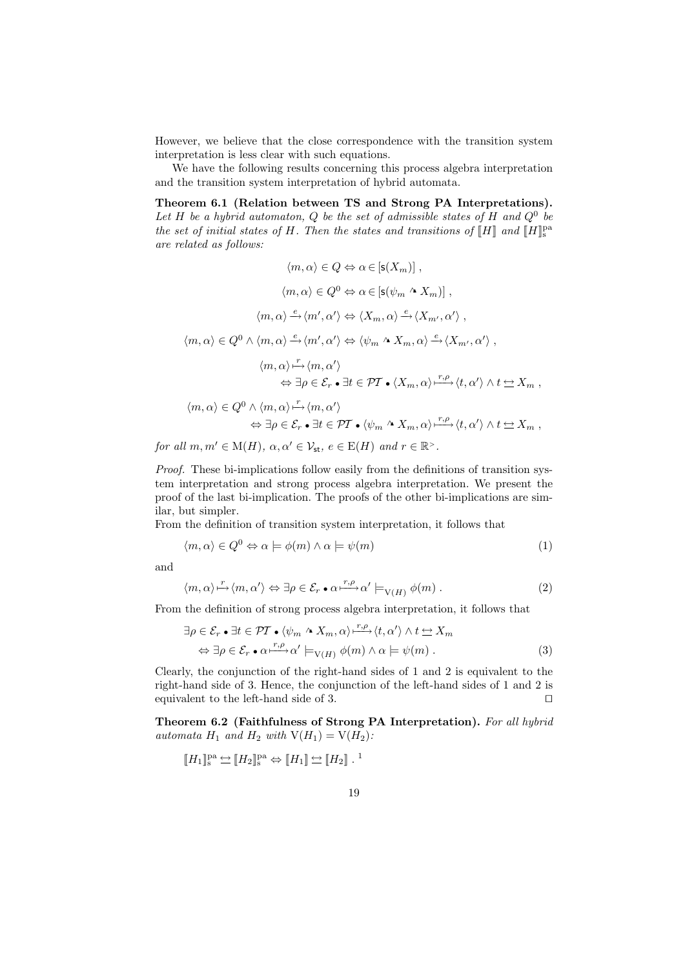However, we believe that the close correspondence with the transition system interpretation is less clear with such equations.

We have the following results concerning this process algebra interpretation and the transition system interpretation of hybrid automata.

Theorem 6.1 (Relation between TS and Strong PA Interpretations). Let H be a hybrid automaton, Q be the set of admissible states of H and  $Q^0$  be the set of initial states of H. Then the states and transitions of  $[[H]]$  and  $[[H]]_{\mathbb{S}}^{\text{pa}}$ are related as follows:

$$
\langle m, \alpha \rangle \in Q \Leftrightarrow \alpha \in [\mathsf{s}(X_m)],
$$

$$
\langle m, \alpha \rangle \in Q^0 \Leftrightarrow \alpha \in [\mathsf{s}(\psi_m \wedge X_m)],
$$

$$
\langle m, \alpha \rangle \xrightarrow{e} \langle m', \alpha' \rangle \Leftrightarrow \langle X_m, \alpha \rangle \xrightarrow{e} \langle X_{m'}, \alpha' \rangle,
$$

$$
\langle m, \alpha \rangle \in Q^0 \wedge \langle m, \alpha \rangle \xrightarrow{e} \langle m', \alpha' \rangle \Leftrightarrow \langle \psi_m \wedge X_m, \alpha \rangle \xrightarrow{e} \langle X_{m'}, \alpha' \rangle,
$$

$$
\langle m, \alpha \rangle \xrightarrow{\Gamma} \langle m, \alpha' \rangle
$$

$$
\Leftrightarrow \exists \rho \in \mathcal{E}_r \bullet \exists t \in \mathcal{PT} \bullet \langle X_m, \alpha \rangle \xrightarrow{r, \rho} \langle t, \alpha' \rangle \wedge t \Leftrightarrow X_m,
$$

$$
\langle m, \alpha \rangle \in Q^0 \wedge \langle m, \alpha \rangle \xrightarrow{\Gamma} \langle m, \alpha' \rangle
$$

$$
\Leftrightarrow \exists \rho \in \mathcal{E}_r \bullet \exists t \in \mathcal{PT} \bullet \langle \psi_m \wedge X_m, \alpha \rangle \xrightarrow{r, \rho} \langle t, \alpha' \rangle \wedge t \Leftrightarrow X_m,
$$

for all  $m, m' \in M(H)$ ,  $\alpha, \alpha' \in \mathcal{V}_{st}$ ,  $e \in E(H)$  and  $r \in \mathbb{R}^{\geq}$ .

Proof. These bi-implications follow easily from the definitions of transition system interpretation and strong process algebra interpretation. We present the proof of the last bi-implication. The proofs of the other bi-implications are similar, but simpler.

From the definition of transition system interpretation, it follows that

$$
\langle m, \alpha \rangle \in Q^0 \Leftrightarrow \alpha \models \phi(m) \land \alpha \models \psi(m)
$$
\n(1)

and

$$
\langle m, \alpha \rangle \stackrel{r}{\mapsto} \langle m, \alpha' \rangle \Leftrightarrow \exists \rho \in \mathcal{E}_r \bullet \alpha \stackrel{r, \rho}{\longmapsto} \alpha' \models_{V(H)} \phi(m) . \tag{2}
$$

From the definition of strong process algebra interpretation, it follows that

$$
\exists \rho \in \mathcal{E}_r \bullet \exists t \in \mathcal{PT} \bullet \langle \psi_m \wedge X_m, \alpha \rangle \xrightarrow{r, \rho} \langle t, \alpha' \rangle \wedge t \simeq X_m
$$

$$
\Leftrightarrow \exists \rho \in \mathcal{E}_r \bullet \alpha \xrightarrow{r, \rho} \alpha' \models_{V(H)} \phi(m) \wedge \alpha \models \psi(m) . \tag{3}
$$

Clearly, the conjunction of the right-hand sides of 1 and 2 is equivalent to the right-hand side of 3. Hence, the conjunction of the left-hand sides of 1 and 2 is equivalent to the left-hand side of 3.  $\Box$ 

Theorem 6.2 (Faithfulness of Strong PA Interpretation). For all hybrid automata  $H_1$  and  $H_2$  with  $V(H_1) = V(H_2)$ :

$$
\llbracket H_1 \rrbracket^{\text{pa}}_{\text{s}} \Leftrightarrow \llbracket H_2 \rrbracket^{\text{pa}}_{\text{s}} \Leftrightarrow \llbracket H_1 \rrbracket \Leftrightarrow \llbracket H_2 \rrbracket \ . \ ^1
$$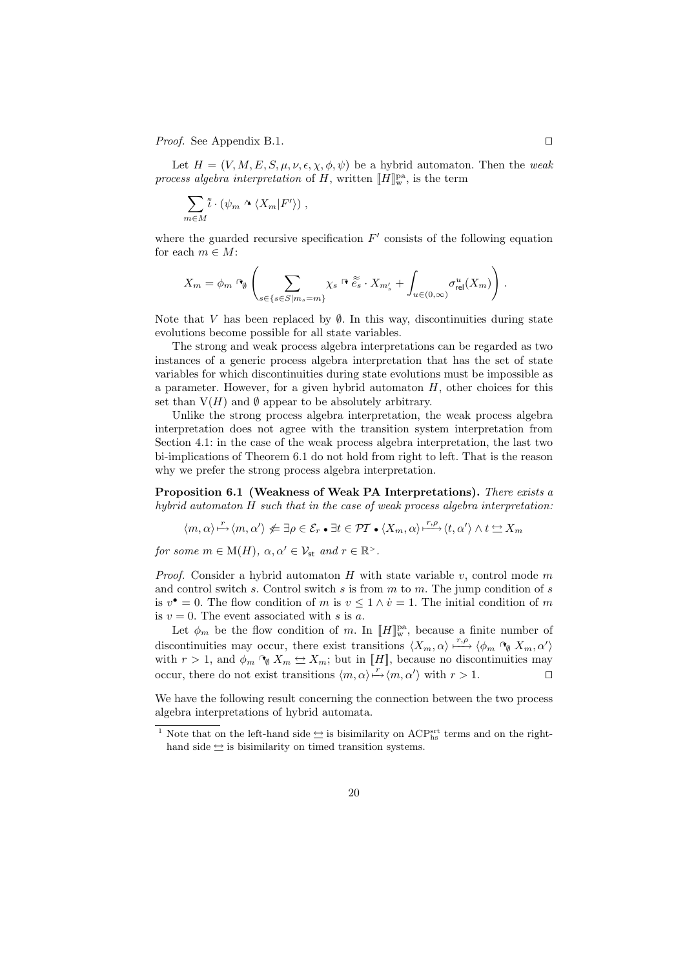*Proof.* See Appendix B.1.  $\Box$ 

Let  $H = (V, M, E, S, \mu, \nu, \epsilon, \chi, \phi, \psi)$  be a hybrid automaton. Then the weak process algebra interpretation of H, written  $[[H]]_w^{\text{pa}}$ , is the term

$$
\sum_{m\in M}\tilde{\iota}\cdot(\psi_m\wedge\langle X_m|F'\rangle)\;,
$$

where the guarded recursive specification  $F'$  consists of the following equation for each  $m \in M$ :

$$
X_m = \phi_m \cap_{\emptyset} \left( \sum_{s \in \{s \in S | m_s = m\}} \chi_s \cap \widetilde{e_s} \cdot X_{m'_s} + \int_{u \in (0,\infty)} \sigma_{\text{rel}}^u(X_m) \right).
$$

Note that V has been replaced by  $\emptyset$ . In this way, discontinuities during state evolutions become possible for all state variables.

The strong and weak process algebra interpretations can be regarded as two instances of a generic process algebra interpretation that has the set of state variables for which discontinuities during state evolutions must be impossible as a parameter. However, for a given hybrid automaton  $H$ , other choices for this set than  $V(H)$  and  $\emptyset$  appear to be absolutely arbitrary.

Unlike the strong process algebra interpretation, the weak process algebra interpretation does not agree with the transition system interpretation from Section 4.1: in the case of the weak process algebra interpretation, the last two bi-implications of Theorem 6.1 do not hold from right to left. That is the reason why we prefer the strong process algebra interpretation.

Proposition 6.1 (Weakness of Weak PA Interpretations). There exists a hybrid automaton H such that in the case of weak process algebra interpretation:

$$
\langle m, \alpha \rangle \overset{r}{\mapsto} \langle m, \alpha' \rangle \neq \exists \rho \in \mathcal{E}_r \bullet \exists t \in \mathcal{PT} \bullet \langle X_m, \alpha \rangle \overset{r, \rho}{\longmapsto} \langle t, \alpha' \rangle \land t \hookrightarrow X_m
$$

for some  $m \in M(H)$ ,  $\alpha, \alpha' \in \mathcal{V}_{st}$  and  $r \in \mathbb{R}^{\geq}$ .

*Proof.* Consider a hybrid automaton  $H$  with state variable  $v$ , control mode  $m$ and control switch s. Control switch s is from  $m$  to  $m$ . The jump condition of s is  $v^{\bullet} = 0$ . The flow condition of m is  $v \leq 1 \wedge \dot{v} = 1$ . The initial condition of m is  $v = 0$ . The event associated with s is a.

Let  $\phi_m$  be the flow condition of m. In  $[[H]]_{w}^{\text{pa}}$ , because a finite number of discontinuities may occur, there exist transitions  $\langle X_m, \alpha \rangle \stackrel{r, \rho}{\longmapsto} \langle \phi_m \, \cap_{\emptyset} X_m, \alpha' \rangle$ with  $r > 1$ , and  $\phi_m \circ_{\emptyset} X_m \leftrightarrow X_m$ ; but in [H], because no discontinuities may occur, there do not exist transitions  $\langle m, \alpha \rangle \stackrel{r}{\mapsto} \langle m, \alpha' \rangle$  with  $r > 1$ .

We have the following result concerning the connection between the two process algebra interpretations of hybrid automata.

<sup>&</sup>lt;sup>1</sup> Note that on the left-hand side  $\leq$  is bisimilarity on ACP<sup>srt</sup> terms and on the righthand side  $\leftrightarrow$  is bisimilarity on timed transition systems.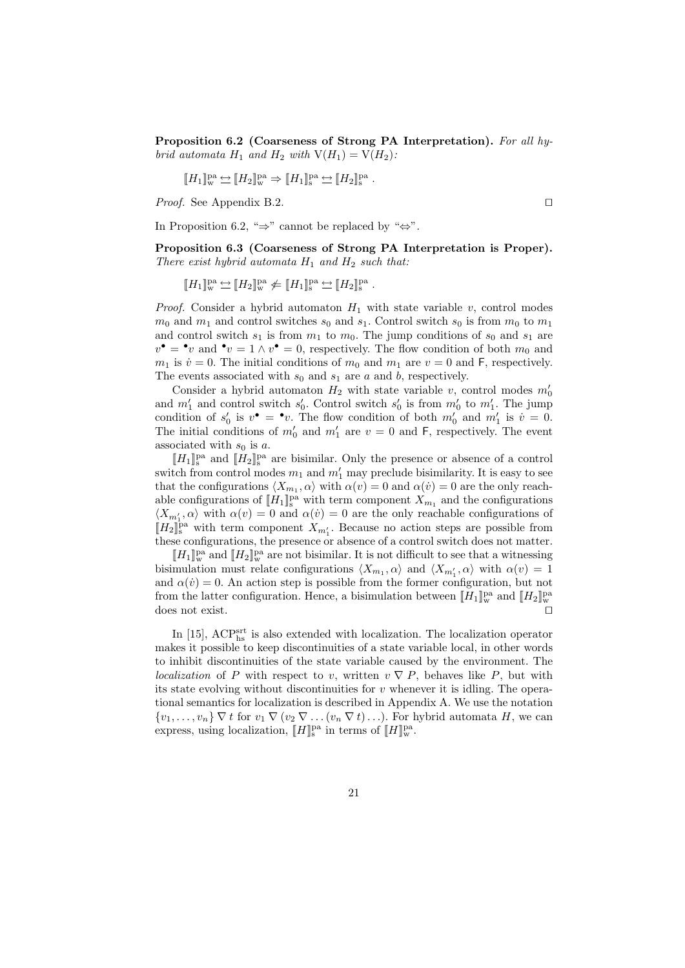Proposition 6.2 (Coarseness of Strong PA Interpretation). For all hybrid automata  $H_1$  and  $H_2$  with  $V(H_1) = V(H_2)$ :

$$
\llbracket H_1 \rrbracket_{\mathrm{w}}^{\mathrm{pa}} \Leftrightarrow \llbracket H_2 \rrbracket_{\mathrm{w}}^{\mathrm{pa}} \Rightarrow \llbracket H_1 \rrbracket_{\mathrm{s}}^{\mathrm{pa}} \Leftrightarrow \llbracket H_2 \rrbracket_{\mathrm{s}}^{\mathrm{pa}}.
$$

*Proof.* See Appendix B.2.

In Proposition 6.2, " $\Rightarrow$ " cannot be replaced by " $\Leftrightarrow$ ".

Proposition 6.3 (Coarseness of Strong PA Interpretation is Proper). There exist hybrid automata  $H_1$  and  $H_2$  such that:

 $[[H_1]]_w^{\text{pa}} \underline{\leftrightarrow} [[H_2]]_w^{\text{pa}} \underline{\not} \in [[H_1]]_s^{\text{pa}} \underline{\leftrightarrow} [[H_2]]_s^{\text{pa}}.$ 

*Proof.* Consider a hybrid automaton  $H_1$  with state variable v, control modes  $m_0$  and  $m_1$  and control switches  $s_0$  and  $s_1$ . Control switch  $s_0$  is from  $m_0$  to  $m_1$ and control switch  $s_1$  is from  $m_1$  to  $m_0$ . The jump conditions of  $s_0$  and  $s_1$  are  $v^{\bullet} = \mathbf{e} v$  and  $\mathbf{e} v = 1 \wedge v^{\bullet} = 0$ , respectively. The flow condition of both  $m_0$  and  $m_1$  is  $\dot{v} = 0$ . The initial conditions of  $m_0$  and  $m_1$  are  $v = 0$  and F, respectively. The events associated with  $s_0$  and  $s_1$  are a and b, respectively.

Consider a hybrid automaton  $H_2$  with state variable v, control modes  $m'_0$ and  $m'_1$  and control switch  $s'_0$ . Control switch  $s'_0$  is from  $m'_0$  to  $m'_1$ . The jump condition of  $s'_0$  is  $v^{\bullet} = \bullet v$ . The flow condition of both  $m'_0$  and  $m'_1$  is  $\dot{v} = 0$ . The initial conditions of  $m'_0$  and  $m'_1$  are  $v = 0$  and F, respectively. The event associated with  $s_0$  is a.

 $[[H_1]]_{s}^{\text{pa}}$  and  $[[H_2]]_{s}^{\text{pa}}$  are bisimilar. Only the presence or absence of a control switch from control modes  $m_1$  and  $m'_1$  may preclude bisimilarity. It is easy to see that the configurations  $\langle X_{m_1}, \alpha \rangle$  with  $\alpha(v) = 0$  and  $\alpha(v) = 0$  are the only reachable configurations of  $[[H_1]]_s^{\text{pa}}$  with term component  $X_{m_1}$  and the configurations  $\langle X_{m'_1}, \alpha \rangle$  with  $\alpha(v) = 0$  and  $\alpha(v) = 0$  are the only reachable configurations of  $[H_2]_s^{\text{pa}}$  with term component  $X_{m'_1}$ . Because no action steps are possible from these configurations, the presence or absence of a control switch does not matter.

 $[[H_1]]^{\text{pa}}_{\text{w}}$  and  $[[H_2]]^{\text{pa}}_{\text{w}}$  are not bisimilar. It is not difficult to see that a witnessing bisimulation must relate configurations  $\langle X_{m_1}, \alpha \rangle$  and  $\langle X_{m'_1}, \alpha \rangle$  with  $\alpha(v) = 1$ and  $\alpha(\dot{v}) = 0$ . An action step is possible from the former configuration, but not from the latter configuration. Hence, a bisimulation between  $[[H_1]]_{\text{w}}^{\text{pa}}$  and  $[[H_2]]_{\text{w}}^{\text{pa}}$ does not exist.  $\square$ 

In [15],  $\text{ACP}^{\text{srt}}_{\text{hs}}$  is also extended with localization. The localization operator makes it possible to keep discontinuities of a state variable local, in other words to inhibit discontinuities of the state variable caused by the environment. The localization of P with respect to v, written  $v \nabla P$ , behaves like P, but with its state evolving without discontinuities for  $v$  whenever it is idling. The operational semantics for localization is described in Appendix A. We use the notation  $\{v_1,\ldots,v_n\}\nabla t$  for  $v_1\nabla (v_2\nabla \ldots (v_n\nabla t)\ldots)$ . For hybrid automata H, we can express, using localization,  $[[H]]_{\text{s}}^{\text{pa}}$  in terms of  $[[H]]_{\text{w}}^{\text{pa}}$ .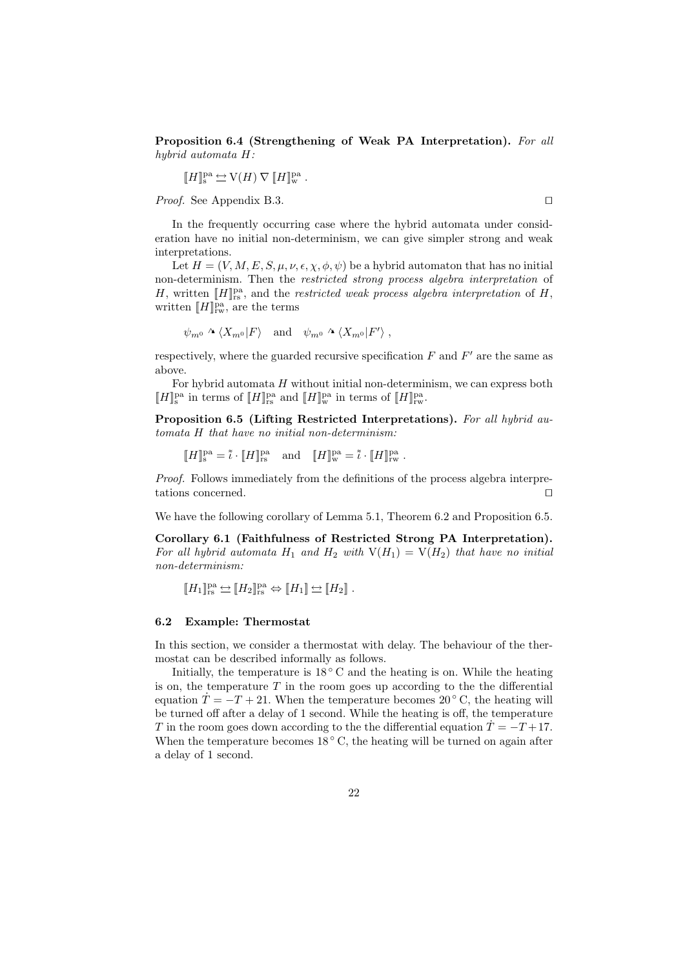Proposition 6.4 (Strengthening of Weak PA Interpretation). For all hybrid automata H:

$$
[\![H]\!]_{{\operatorname{s}}}^{{\operatorname{pa}}} \hookrightarrow {\operatorname{V}}(H) \, \nabla \, [\![H]\!]_{{\operatorname{w}}}^{{\operatorname{pa}}} \, .
$$

*Proof.* See Appendix B.3.

In the frequently occurring case where the hybrid automata under consideration have no initial non-determinism, we can give simpler strong and weak interpretations.

Let  $H = (V, M, E, S, \mu, \nu, \epsilon, \chi, \phi, \psi)$  be a hybrid automaton that has no initial non-determinism. Then the restricted strong process algebra interpretation of H, written  $[[H]]_{rs}^{pa}$ , and the *restricted weak process algebra interpretation* of H, written  $[[H]]<sub>rw</sub><sup>pa</sup>$ , are the terms

$$
\psi_{m^0} \wedge \langle X_{m^0} | F \rangle
$$
 and  $\psi_{m^0} \wedge \langle X_{m^0} | F' \rangle$ ,

respectively, where the guarded recursive specification  $F$  and  $F'$  are the same as above.

For hybrid automata  $H$  without initial non-determinism, we can express both  $[[H]]_{\text{ss}}^{\text{pa}}$  in terms of  $[[H]]_{\text{rs}}^{\text{pa}}$  and  $[[H]]_{\text{w}}^{\text{pa}}$  in terms of  $[[H]]_{\text{rw}}^{\text{pa}}$ .

Proposition 6.5 (Lifting Restricted Interpretations). For all hybrid automata H that have no initial non-determinism:

$$
[\![H]\!]_{\textup{s}}^{\textup{pa}} = \tilde{\iota} \cdot [\![H]\!]_{\textup{rs}}^{\textup{pa}} \quad \text{and} \quad [\![H]\!]_{\textup{w}}^{\textup{pa}} = \tilde{\iota} \cdot [\![H]\!]_{\textup{rw}}^{\textup{pa}} \; .
$$

Proof. Follows immediately from the definitions of the process algebra interpretations concerned.  $\Box$ 

We have the following corollary of Lemma 5.1, Theorem 6.2 and Proposition 6.5.

Corollary 6.1 (Faithfulness of Restricted Strong PA Interpretation). For all hybrid automata  $H_1$  and  $H_2$  with  $V(H_1) = V(H_2)$  that have no initial non-determinism:

 $[[H_1]]_{{\rm rs}}^{{\rm pa}}\hookleftarrow [H_2]]_{{\rm rs}}^{{\rm pa}}\Leftrightarrow [H_1]\hookrightarrow [H_2]$ .

### 6.2 Example: Thermostat

In this section, we consider a thermostat with delay. The behaviour of the thermostat can be described informally as follows.

Initially, the temperature is  $18^{\circ}$  C and the heating is on. While the heating is on, the temperature  $T$  in the room goes up according to the the differential equation  $\hat{T} = -T + 21$ . When the temperature becomes 20 ° C, the heating will be turned off after a delay of 1 second. While the heating is off, the temperature T in the room goes down according to the the differential equation  $\dot{T} = -T + 17$ . When the temperature becomes  $18^{\circ}$  C, the heating will be turned on again after a delay of 1 second.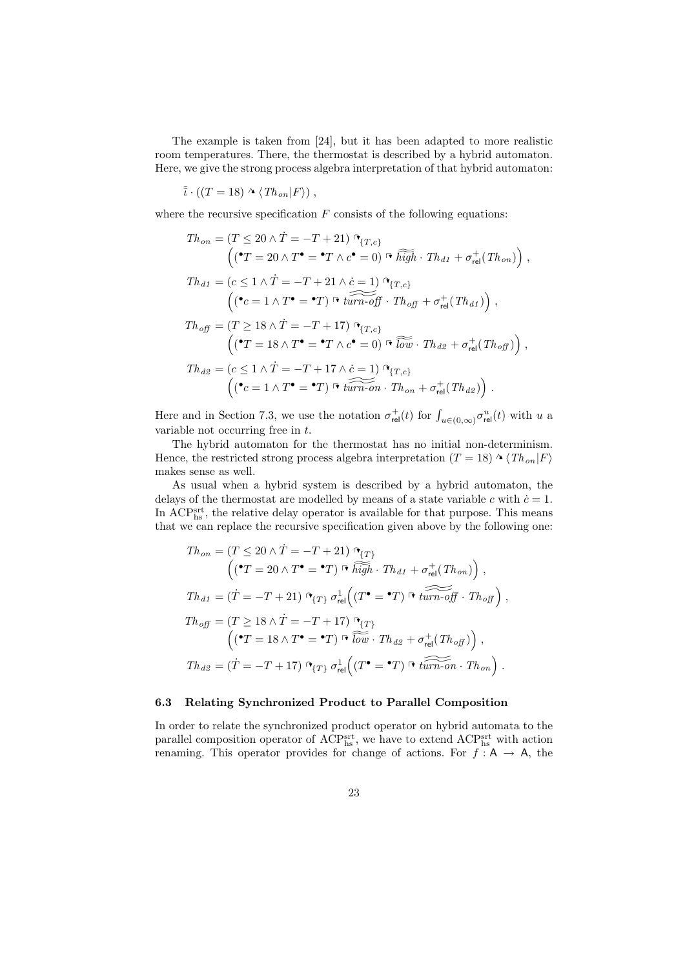The example is taken from [24], but it has been adapted to more realistic room temperatures. There, the thermostat is described by a hybrid automaton. Here, we give the strong process algebra interpretation of that hybrid automaton:

$$
\tilde{i} \cdot ((T = 18) \wedge (Th_{on}|F\rangle),
$$

where the recursive specification  $F$  consists of the following equations:

$$
Th_{on} = (T \le 20 \land \dot{T} = -T + 21) \, \mathcal{F}_{\{T,c\}}
$$
\n
$$
\left( (\mathbf{C}T = 20 \land T^{\bullet} = \mathbf{C}T \land c^{\bullet} = 0) \, \mathcal{F} \, \widetilde{high} \cdot Th_{d1} + \sigma_{\text{rel}}^{+}(Th_{on}) \right),
$$
\n
$$
Th_{d1} = (c \le 1 \land \dot{T} = -T + 21 \land \dot{c} = 1) \, \mathcal{F}_{\{T,c\}}
$$
\n
$$
\left( (\mathbf{C}c = 1 \land T^{\bullet} = \mathbf{C}T) \, \mathcal{F} \, \widetilde{turn\text{-}off} \cdot Th_{off} + \sigma_{\text{rel}}^{+}(Th_{d1}) \right),
$$
\n
$$
Th_{off} = (T \ge 18 \land \dot{T} = -T + 17) \, \mathcal{F}_{\{T,c\}}
$$
\n
$$
\left( (\mathbf{C}T = 18 \land T^{\bullet} = \mathbf{C}T \land c^{\bullet} = 0) \, \mathcal{F} \, \widetilde{low} \cdot Th_{d2} + \sigma_{\text{rel}}^{+}(Th_{off}) \right),
$$
\n
$$
Th_{d2} = (c \le 1 \land \dot{T} = -T + 17 \land \dot{c} = 1) \, \mathcal{F}_{\{T,c\}}
$$
\n
$$
\left( (\mathbf{C}c = 1 \land T^{\bullet} = \mathbf{C}T) \, \mathcal{F} \, \widetilde{turn\text{-}on} \cdot Th_{on} + \sigma_{\text{rel}}^{+}(Th_{d2}) \right).
$$

Here and in Section 7.3, we use the notation  $\sigma_{rel}^+(t)$  for  $\int_{u \in (0,\infty)} \sigma_{rel}^u(t)$  with u a variable not occurring free in t.

The hybrid automaton for the thermostat has no initial non-determinism. Hence, the restricted strong process algebra interpretation (T = 18)  $\land$   $\langle Th_{on}|F\rangle$ makes sense as well.

As usual when a hybrid system is described by a hybrid automaton, the delays of the thermostat are modelled by means of a state variable c with  $\dot{c} = 1$ . In ACP<sup>srt</sup>, the relative delay operator is available for that purpose. This means that we can replace the recursive specification given above by the following one:

$$
Th_{on} = (T \le 20 \land \dot{T} = -T + 21) \, \mathbf{G}_{T}
$$
\n
$$
\left( (\mathbf{C}T = 20 \land T^{\bullet} = \mathbf{C}T) \stackrel{\frown}{n} \overline{high} \cdot Th_{d1} + \sigma_{rel}^{+}(Th_{on}) \right),
$$
\n
$$
Th_{d1} = (\dot{T} = -T + 21) \, \mathbf{G}_{T} \, \sigma_{rel}^{1} \left( (T^{\bullet} = \mathbf{C}T) \stackrel{\frown}{n} \, \overline{turn \cdot \text{off}} \cdot Th_{off} \right),
$$
\n
$$
Th_{off} = (T \ge 18 \land \dot{T} = -T + 17) \, \mathbf{G}_{T}
$$
\n
$$
\left( (\mathbf{C}T = 18 \land T^{\bullet} = \mathbf{C}T) \stackrel{\frown}{n} \, \overline{\overline{\text{low}}} \cdot Th_{d2} + \sigma_{rel}^{+}(Th_{off}) \right),
$$
\n
$$
Th_{d2} = (\dot{T} = -T + 17) \, \mathbf{G}_{T} \, \sigma_{rel}^{1} \left( (T^{\bullet} = \mathbf{C}T) \stackrel{\frown}{n} \, \overline{turn \cdot \text{on}} \cdot Th_{on} \right).
$$

### 6.3 Relating Synchronized Product to Parallel Composition

In order to relate the synchronized product operator on hybrid automata to the parallel composition operator of  $\text{ACP}^{\text{srt}}_{\text{hs}}$ , we have to extend  $\text{ACP}^{\text{srt}}_{\text{hs}}$  with action renaming. This operator provides for change of actions. For  $f : A \rightarrow A$ , the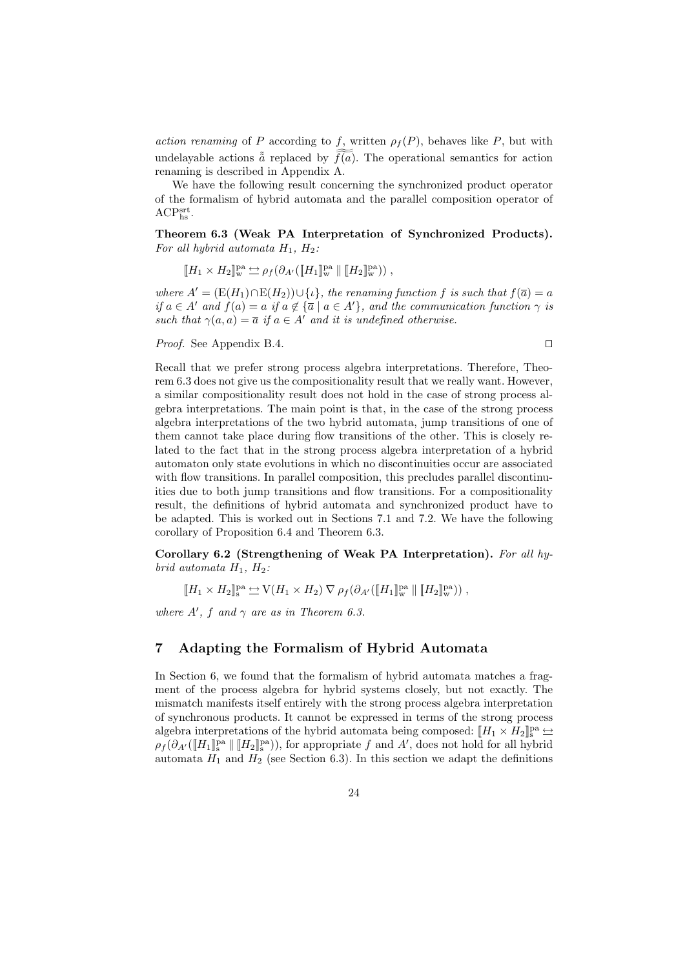action renaming of P according to f, written  $\rho_f(P)$ , behaves like P, but with undelayable actions  $\tilde{a}$  replaced by  $\tilde{f}(a)$ . The operational semantics for action renaming is described in Appendix A.

We have the following result concerning the synchronized product operator of the formalism of hybrid automata and the parallel composition operator of  $\mathrm{ACP^{srt}_{hs}}$ .

Theorem 6.3 (Weak PA Interpretation of Synchronized Products). For all hybrid automata  $H_1$ ,  $H_2$ :

$$
\llbracket H_1 \times H_2 \rrbracket_{\mathrm{w}}^{\mathrm{pa}} \Leftrightarrow \rho_f(\partial_{A'}([\llbracket H_1 \rrbracket_{\mathrm{w}}^{\mathrm{pa}} \parallel [\llbracket H_2 \rrbracket_{\mathrm{w}}^{\mathrm{pa}})) ,
$$

where  $A' = (E(H_1) \cap E(H_2)) \cup \{ \iota \},\$  the renaming function f is such that  $f(\overline{a}) = a$ if  $a \in A'$  and  $f(a) = a$  if  $a \notin {\overline{a} \mid a \in A'}$ , and the communication function  $\gamma$  is such that  $\gamma(a, a) = \overline{a}$  if  $a \in A'$  and it is undefined otherwise.

*Proof.* See Appendix B.4.  $\Box$ 

Recall that we prefer strong process algebra interpretations. Therefore, Theorem 6.3 does not give us the compositionality result that we really want. However, a similar compositionality result does not hold in the case of strong process algebra interpretations. The main point is that, in the case of the strong process algebra interpretations of the two hybrid automata, jump transitions of one of them cannot take place during flow transitions of the other. This is closely related to the fact that in the strong process algebra interpretation of a hybrid automaton only state evolutions in which no discontinuities occur are associated with flow transitions. In parallel composition, this precludes parallel discontinuities due to both jump transitions and flow transitions. For a compositionality result, the definitions of hybrid automata and synchronized product have to be adapted. This is worked out in Sections 7.1 and 7.2. We have the following corollary of Proposition 6.4 and Theorem 6.3.

Corollary 6.2 (Strengthening of Weak PA Interpretation). For all hybrid automata  $H_1$ ,  $H_2$ :

$$
[\![H_1 \times H_2]\!]_s^{\text{pa}} \underset{\smile}{\hookrightarrow} \mathrm{V}(H_1 \times H_2) \, \nabla \, \rho_f(\partial_{A'}([\![H_1]\!]_w^{\text{pa}} \, || \, [\![H_2]\!]_w^{\text{pa}})),
$$

where  $A'$ , f and  $\gamma$  are as in Theorem 6.3.

# 7 Adapting the Formalism of Hybrid Automata

In Section 6, we found that the formalism of hybrid automata matches a fragment of the process algebra for hybrid systems closely, but not exactly. The mismatch manifests itself entirely with the strong process algebra interpretation of synchronous products. It cannot be expressed in terms of the strong process algebra interpretations of the hybrid automata being composed:  $[\![H_1 \times H_2]\!]_s^{\text{pa}} \rightleftharpoons$  $\rho_f(\partial_{A'}(\llbracket H_1 \rrbracket_s^{\text{pa}} \parallel \llbracket H_2 \rrbracket_s^{\text{pa}})),$  for appropriate f and A', does not hold for all hybrid automata  $H_1$  and  $H_2$  (see Section 6.3). In this section we adapt the definitions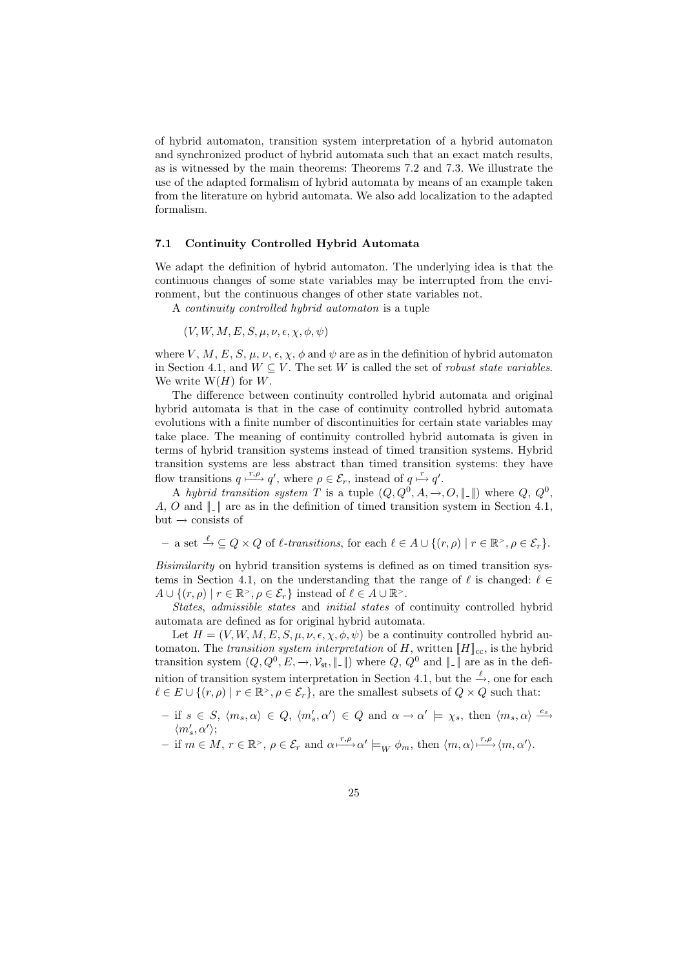of hybrid automaton, transition system interpretation of a hybrid automaton and synchronized product of hybrid automata such that an exact match results, as is witnessed by the main theorems: Theorems 7.2 and 7.3. We illustrate the use of the adapted formalism of hybrid automata by means of an example taken from the literature on hybrid automata. We also add localization to the adapted formalism.

### 7.1 Continuity Controlled Hybrid Automata

We adapt the definition of hybrid automaton. The underlying idea is that the continuous changes of some state variables may be interrupted from the environment, but the continuous changes of other state variables not.

A continuity controlled hybrid automaton is a tuple

 $(V, W, M, E, S, \mu, \nu, \epsilon, \chi, \phi, \psi)$ 

where V, M, E, S,  $\mu$ ,  $\nu$ ,  $\epsilon$ ,  $\chi$ ,  $\phi$  and  $\psi$  are as in the definition of hybrid automaton in Section 4.1, and  $W \subseteq V$ . The set W is called the set of *robust state variables*. We write  $W(H)$  for W.

The difference between continuity controlled hybrid automata and original hybrid automata is that in the case of continuity controlled hybrid automata evolutions with a finite number of discontinuities for certain state variables may take place. The meaning of continuity controlled hybrid automata is given in terms of hybrid transition systems instead of timed transition systems. Hybrid transition systems are less abstract than timed transition systems: they have flow transitions  $q \stackrel{r,\rho}{\longmapsto} q'$ , where  $\rho \in \mathcal{E}_r$ , instead of  $q \stackrel{r}{\longmapsto} q'$ .

A hybrid transition system T is a tuple  $(Q, Q^0, A, \rightarrow, O, \|\_ \|)$  where  $Q, Q^0, \$ A, O and  $\| \_ \|$  are as in the definition of timed transition system in Section 4.1, but  $\rightarrow$  consists of

 $-$  a set  $\stackrel{\ell}{\to} \subseteq Q \times Q$  of  $\ell$ -transitions, for each  $\ell \in A \cup \{(r, \rho) \mid r \in \mathbb{R}^> , \rho \in \mathcal{E}_r\}.$ 

Bisimilarity on hybrid transition systems is defined as on timed transition systems in Section 4.1, on the understanding that the range of  $\ell$  is changed:  $\ell \in$  $A \cup \{(r,\rho) \mid r \in \mathbb{R}^>, \rho \in \mathcal{E}_r\}$  instead of  $\ell \in A \cup \mathbb{R}^>.$ 

States, admissible states and initial states of continuity controlled hybrid automata are defined as for original hybrid automata.

Let  $H = (V, W, M, E, S, \mu, \nu, \epsilon, \chi, \phi, \psi)$  be a continuity controlled hybrid automaton. The transition system interpretation of H, written  $\llbracket H \rrbracket_{cc}$ , is the hybrid transition system  $(Q, Q^0, E, \rightarrow, \mathcal{V}_{st}, \|\, \|)$  where  $Q, Q^0$  and  $\|\, \|$  are as in the definition of transition system interpretation in Section 4.1, but the  $\stackrel{\ell}{\rightarrow}$ , one for each  $\ell \in E \cup \{(r, \rho) \mid r \in \mathbb{R}^>, \rho \in \mathcal{E}_r\},\$ are the smallest subsets of  $Q \times Q$  such that:

- $-$  if  $s \in S$ ,  $\langle m_s, \alpha \rangle \in Q$ ,  $\langle m'_s, \alpha' \rangle \in Q$  and  $\alpha \to \alpha' \models \chi_s$ , then  $\langle m_s, \alpha \rangle \stackrel{e_s}{\longrightarrow}$  $\langle m_s',\alpha'\rangle;$
- $-$  if  $m \in M$ ,  $r \in \mathbb{R}^>$ ,  $\rho \in \mathcal{E}_r$  and  $\alpha \xrightarrow{r,\rho} \alpha' \models_W \phi_m$ , then  $\langle m, \alpha \rangle \xrightarrow{r,\rho} \langle m, \alpha' \rangle$ .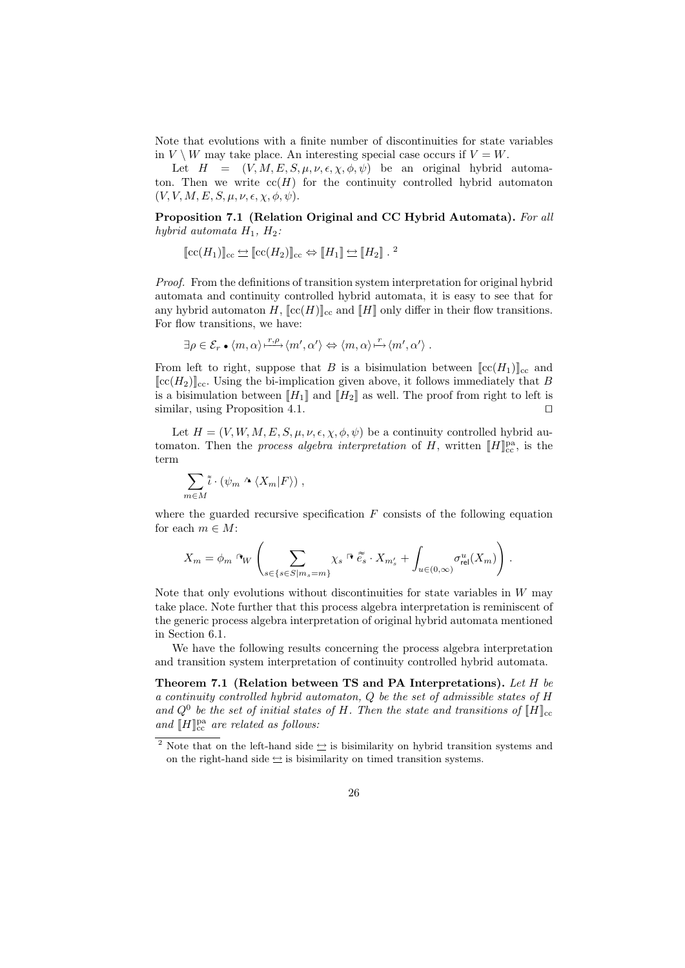Note that evolutions with a finite number of discontinuities for state variables in  $V \setminus W$  may take place. An interesting special case occurs if  $V = W$ .

Let  $H = (V, M, E, S, \mu, \nu, \epsilon, \chi, \phi, \psi)$  be an original hybrid automaton. Then we write  $cc(H)$  for the continuity controlled hybrid automaton  $(V, V, M, E, S, \mu, \nu, \epsilon, \chi, \phi, \psi).$ 

Proposition 7.1 (Relation Original and CC Hybrid Automata). For all hybrid automata  $H_1$ ,  $H_2$ :

$$
[\![\mathrm{cc}(H_1)]\!]_{\mathrm{cc}} \Leftrightarrow [\![\mathrm{cc}(H_2)]\!]_{\mathrm{cc}} \Leftrightarrow [\![H_1]\!] \Leftrightarrow [\![H_2]\!] \cdot \mathbb{1}
$$

Proof. From the definitions of transition system interpretation for original hybrid automata and continuity controlled hybrid automata, it is easy to see that for any hybrid automaton H,  $[cc(H)]_{cc}$  and  $[H]$  only differ in their flow transitions. For flow transitions, we have:

$$
\exists \rho \in \mathcal{E}_r \bullet \langle m, \alpha \rangle \xrightarrow{r, \rho} \langle m', \alpha' \rangle \Leftrightarrow \langle m, \alpha \rangle \xrightarrow{r} \langle m', \alpha' \rangle.
$$

From left to right, suppose that B is a bisimulation between  $\|cc(H_1)\|_{cc}$  and  $[{\rm [cc]}(H_2)]_{\rm cc}$ . Using the bi-implication given above, it follows immediately that B is a bisimulation between  $[[H_1]]$  and  $[[H_2]]$  as well. The proof from right to left is similar, using Proposition 4.1.  $\Box$ 

Let  $H = (V, W, M, E, S, \mu, \nu, \epsilon, \chi, \phi, \psi)$  be a continuity controlled hybrid automaton. Then the *process algebra interpretation* of H, written  $[[H]]_{cc}^{pa}$ , is the term

$$
\sum_{m\in M}\tilde{\iota}\cdot(\psi_m\wedge\langle X_m|F\rangle)\;,
$$

where the guarded recursive specification  $F$  consists of the following equation for each  $m \in M$ :

$$
X_m=\phi_m\hbox{ $\alpha_W$}\left(\sum_{s\in\{s\in S|m_s=m\}}\chi_s\hbox{ $\stackrel{\sim}{\sim}$} \tilde{e_s}\cdot X_{m_s'}+\int_{u\in(0,\infty)}\sigma_{\text{rel}}^u(X_m)\right).
$$

Note that only evolutions without discontinuities for state variables in  $W$  may take place. Note further that this process algebra interpretation is reminiscent of the generic process algebra interpretation of original hybrid automata mentioned in Section 6.1.

We have the following results concerning the process algebra interpretation and transition system interpretation of continuity controlled hybrid automata.

Theorem 7.1 (Relation between TS and PA Interpretations). Let H be a continuity controlled hybrid automaton, Q be the set of admissible states of H and  $Q^0$  be the set of initial states of H. Then the state and transitions of  $[[H]]_{cc}$ and  $[\![H]\!]_{\mathrm{cc}}^{\mathrm{pa}}$  are related as follows:

<sup>&</sup>lt;sup>2</sup> Note that on the left-hand side  $\hookrightarrow$  is bisimilarity on hybrid transition systems and on the right-hand side  $\leq$  is bisimilarity on timed transition systems.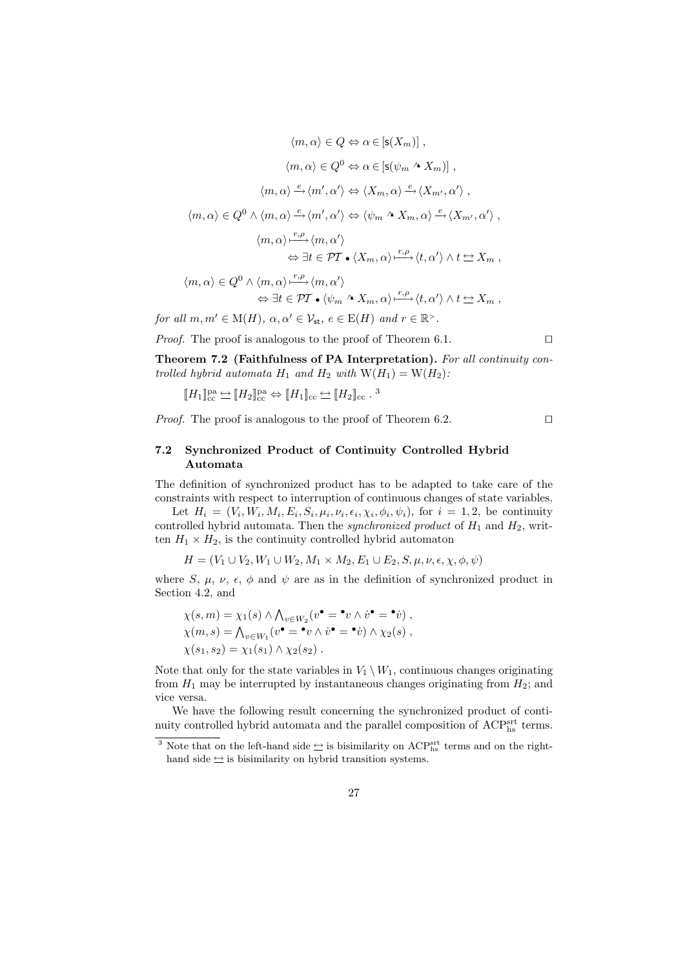$$
\langle m, \alpha \rangle \in Q \Leftrightarrow \alpha \in [\mathsf{s}(X_m)],
$$

$$
\langle m, \alpha \rangle \in Q^0 \Leftrightarrow \alpha \in [\mathsf{s}(\psi_m \wedge X_m)],
$$

$$
\langle m, \alpha \rangle \xrightarrow{e} \langle m', \alpha' \rangle \Leftrightarrow \langle X_m, \alpha \rangle \xrightarrow{e} \langle X_{m'}, \alpha' \rangle,
$$

$$
\langle m, \alpha \rangle \in Q^0 \wedge \langle m, \alpha \rangle \xrightarrow{e} \langle m', \alpha' \rangle \Leftrightarrow \langle \psi_m \wedge X_m, \alpha \rangle \xrightarrow{e} \langle X_{m'}, \alpha' \rangle,
$$

$$
\langle m, \alpha \rangle \xrightarrow{r, \rho} \langle m, \alpha' \rangle
$$

$$
\Leftrightarrow \exists t \in \mathcal{PT} \bullet \langle X_m, \alpha \rangle \xrightarrow{r, \rho} \langle t, \alpha' \rangle \wedge t \Leftrightarrow X_m,
$$

$$
\langle m, \alpha \rangle \in Q^0 \wedge \langle m, \alpha \rangle \xrightarrow{r, \rho} \langle m, \alpha' \rangle
$$

$$
\Leftrightarrow \exists t \in \mathcal{PT} \bullet \langle \psi_m \wedge X_m, \alpha \rangle \xrightarrow{r,\rho} \langle t, \alpha' \rangle \wedge t \Leftrightarrow X_m,
$$
  
for all  $m, m' \in M(H)$ ,  $\alpha, \alpha' \in \mathcal{V}_{st}$ ,  $e \in E(H)$  and  $r \in \mathbb{R}^>$ .

*Proof.* The proof is analogous to the proof of Theorem 6.1.  $\Box$ 

Theorem 7.2 (Faithfulness of PA Interpretation). For all continuity controlled hybrid automata  $H_1$  and  $H_2$  with  $W(H_1) = W(H_2)$ :

$$
\llbracket H_1 \rrbracket^{\text{pa}}_{\text{cc}} \Leftrightarrow \llbracket H_2 \rrbracket^{\text{pa}}_{\text{cc}} \Leftrightarrow \llbracket H_1 \rrbracket_{\text{cc}} \Leftrightarrow \llbracket H_2 \rrbracket_{\text{cc}}.
$$
<sup>3</sup>

*Proof.* The proof is analogous to the proof of Theorem 6.2.  $\Box$ 

## 7.2 Synchronized Product of Continuity Controlled Hybrid Automata

The definition of synchronized product has to be adapted to take care of the constraints with respect to interruption of continuous changes of state variables.

Let  $H_i = (V_i, W_i, M_i, E_i, S_i, \mu_i, \nu_i, \epsilon_i, \chi_i, \phi_i, \psi_i)$ , for  $i = 1, 2$ , be continuity controlled hybrid automata. Then the *synchronized product* of  $H_1$  and  $H_2$ , written  $H_1 \times H_2$ , is the continuity controlled hybrid automaton

 $H = (V_1 \cup V_2, W_1 \cup W_2, M_1 \times M_2, E_1 \cup E_2, S, \mu, \nu, \epsilon, \chi, \phi, \psi)$ 

where S,  $\mu$ ,  $\nu$ ,  $\epsilon$ ,  $\phi$  and  $\psi$  are as in the definition of synchronized product in Section 4.2, and

$$
\chi(s,m) = \chi_1(s) \wedge \bigwedge_{v \in W_2} (v^{\bullet} = {}^{\bullet}v \wedge v^{\bullet} = {}^{\bullet}v),
$$
  

$$
\chi(m,s) = \bigwedge_{v \in W_1} (v^{\bullet} = {}^{\bullet}v \wedge v^{\bullet} = {}^{\bullet}v) \wedge \chi_2(s),
$$
  

$$
\chi(s_1, s_2) = \chi_1(s_1) \wedge \chi_2(s_2).
$$

Note that only for the state variables in  $V_1 \setminus W_1$ , continuous changes originating from  $H_1$  may be interrupted by instantaneous changes originating from  $H_2$ ; and vice versa.

We have the following result concerning the synchronized product of continuity controlled hybrid automata and the parallel composition of  $\text{ACP}_{\text{hs}}^{\text{srt}}$  terms.

<sup>&</sup>lt;sup>3</sup> Note that on the left-hand side  $\leq$  is bisimilarity on ACP<sup>srt</sup> terms and on the righthand side  $\leq$  is bisimilarity on hybrid transition systems.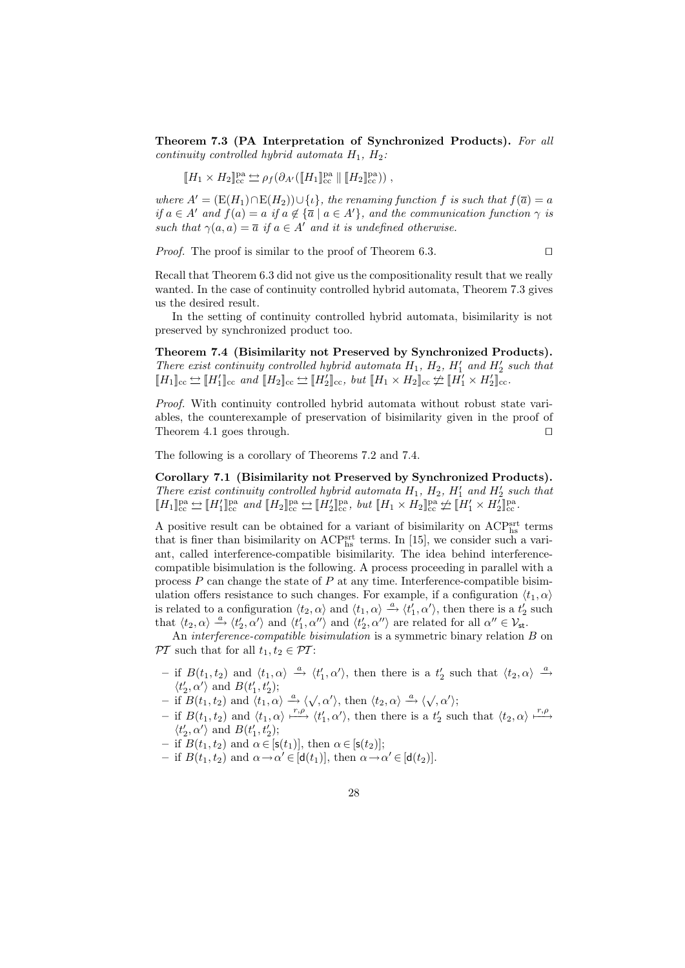Theorem 7.3 (PA Interpretation of Synchronized Products). For all continuity controlled hybrid automata  $H_1$ ,  $H_2$ :

$$
\llbracket H_1 \times H_2 \rrbracket^{\text{pa}}_{\text{cc}} \Leftrightarrow \rho_f(\partial_{A'}([\llbracket H_1 \rrbracket^{\text{pa}}_{\text{cc}} \parallel [\llbracket H_2 \rrbracket^{\text{pa}}_{\text{cc}})),
$$

where  $A' = (E(H_1) \cap E(H_2)) \cup \{ \iota \},\$  the renaming function f is such that  $f(\overline{a}) = a$ if  $a \in A'$  and  $f(a) = a$  if  $a \notin {\overline{a} \mid a \in A'}$ , and the communication function  $\gamma$  is such that  $\gamma(a, a) = \overline{a}$  if  $a \in A'$  and it is undefined otherwise.

*Proof.* The proof is similar to the proof of Theorem 6.3.  $\Box$ 

Recall that Theorem 6.3 did not give us the compositionality result that we really wanted. In the case of continuity controlled hybrid automata, Theorem 7.3 gives us the desired result.

In the setting of continuity controlled hybrid automata, bisimilarity is not preserved by synchronized product too.

Theorem 7.4 (Bisimilarity not Preserved by Synchronized Products). There exist continuity controlled hybrid automata  $H_1$ ,  $H_2$ ,  $H'_1$  and  $H'_2$  such that  $[[H_1]]_{cc} \Leftrightarrow [H'_1]]_{cc}$  and  $[[H_2]]_{cc} \Leftrightarrow [H'_2]]_{cc}$ , but  $[[H_1 \times H_2]]_{cc} \ncong [H'_1 \times H'_2]]_{cc}$ .

Proof. With continuity controlled hybrid automata without robust state variables, the counterexample of preservation of bisimilarity given in the proof of Theorem 4.1 goes through.  $\square$ 

The following is a corollary of Theorems 7.2 and 7.4.

Corollary 7.1 (Bisimilarity not Preserved by Synchronized Products). There exist continuity controlled hybrid automata  $H_1$ ,  $H_2$ ,  $H'_1$  and  $H'_2$  such that  $\llbracket H_1 \rrbracket^{\text{pa}}_{\text{cc}} \Leftrightarrow \llbracket H'_1 \rrbracket^{\text{pa}}_{\text{cc}} \text{ and } \llbracket H_2 \rrbracket^{\text{pa}}_{\text{cc}} \Leftrightarrow \llbracket H'_2 \rrbracket^{\text{pa}}_{\text{cc}}, \text{ but } \llbracket H_1 \times H_2 \rrbracket^{\text{pa}}_{\text{cc}} \not\cong \llbracket H'_1 \times H'_2 \rrbracket^{\text{pa}}_{\text{cc}}.$ 

A positive result can be obtained for a variant of bisimilarity on ACP<sup>srt</sup> terms that is finer than bisimilarity on  $\text{ACP}^{\text{srt}}_{\text{hs}}$  terms. In [15], we consider such a variant, called interference-compatible bisimilarity. The idea behind interferencecompatible bisimulation is the following. A process proceeding in parallel with a process  $P$  can change the state of  $P$  at any time. Interference-compatible bisimulation offers resistance to such changes. For example, if a configuration  $\langle t_1, \alpha \rangle$ is related to a configuration  $\langle t_2, \alpha \rangle$  and  $\langle t_1, \alpha \rangle \stackrel{a}{\rightarrow} \langle t'_1, \alpha' \rangle$ , then there is a  $t'_2$  such that  $\langle t_2, \alpha \rangle \stackrel{a}{\rightarrow} \langle t_2', \alpha' \rangle$  and  $\langle t_1', \alpha'' \rangle$  and  $\langle t_2', \alpha'' \rangle$  are related for all  $\alpha'' \in \mathcal{V}_{st}$ .

An *interference-compatible bisimulation* is a symmetric binary relation B on  $\mathcal{P}\mathcal{T}$  such that for all  $t_1, t_2 \in \mathcal{P}\mathcal{T}$ :

- if  $B(t_1, t_2)$  and  $\langle t_1, \alpha \rangle$  △  $\langle t'_1, \alpha' \rangle$ , then there is a  $t'_2$  such that  $\langle t_2, \alpha \rangle$  △  $\langle t_2', \alpha' \rangle$  and  $B(t_1', t_2')$ ;
- $\langle \iota_2, \alpha \rangle$  and  $D(\iota_1, \iota_2),$ <br>  $-$  if  $B(t_1, t_2)$  and  $\langle t_1, \alpha \rangle \stackrel{a}{\longrightarrow} \langle \sqrt{\alpha'} \rangle$ , then  $\langle t_2, \alpha \rangle \stackrel{a}{\longrightarrow} \langle \sqrt{\alpha'} \rangle$ ;
- if  $B(t_1, t_2)$  and  $\langle t_1, \alpha \rangle \xrightarrow{r,\rho} \langle t'_1, \alpha' \rangle$ , then there is a  $t'_2$  such that  $\langle t_2, \alpha \rangle \xrightarrow{r,\rho}$  $\langle t_2',\alpha'\rangle$  and  $B(t_1',t_2');$
- if  $B(t_1, t_2)$  and  $\alpha \in [\mathsf{s}(t_1)],$  then  $\alpha \in [\mathsf{s}(t_2)];$
- if  $B(t_1, t_2)$  and  $\alpha \rightarrow \alpha' \in [d(t_1)],$  then  $\alpha \rightarrow \alpha' \in [d(t_2)].$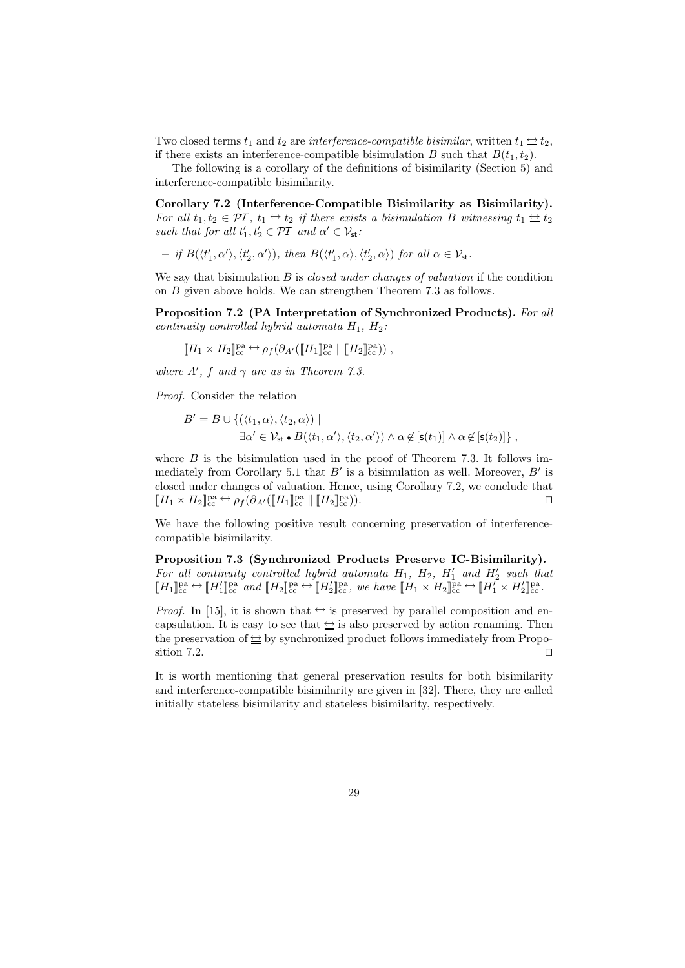Two closed terms  $t_1$  and  $t_2$  are *interference-compatible bisimilar*, written  $t_1 \leq t_2$ , if there exists an interference-compatible bisimulation B such that  $B(t_1, t_2)$ .

The following is a corollary of the definitions of bisimilarity (Section 5) and interference-compatible bisimilarity.

Corollary 7.2 (Interference-Compatible Bisimilarity as Bisimilarity). For all  $t_1, t_2 \in \mathcal{PI}$ ,  $t_1 \leq t_2$  if there exists a bisimulation B witnessing  $t_1 \leq t_2$ such that for all  $t'_1, t'_2 \in \mathcal{PT}$  and  $\alpha' \in \mathcal{V}_{st}$ :

- if 
$$
B(\langle t'_1, \alpha' \rangle, \langle t'_2, \alpha' \rangle)
$$
, then  $B(\langle t'_1, \alpha \rangle, \langle t'_2, \alpha \rangle)$  for all  $\alpha \in \mathcal{V}_{st}$ .

We say that bisimulation  $B$  is *closed under changes of valuation* if the condition on B given above holds. We can strengthen Theorem 7.3 as follows.

Proposition 7.2 (PA Interpretation of Synchronized Products). For all continuity controlled hybrid automata  $H_1$ ,  $H_2$ :

$$
\llbracket H_1 \times H_2 \rrbracket^{\text{pa}}_{\text{cc}} \equiv \rho_f \big( \partial_{A'} (\llbracket H_1 \rrbracket^{\text{pa}}_{\text{cc}} \parallel \llbracket H_2 \rrbracket^{\text{pa}}_{\text{cc}} \big) \big) ,
$$

where  $A'$ , f and  $\gamma$  are as in Theorem 7.3.

Proof. Consider the relation

$$
B' = B \cup \{ (\langle t_1, \alpha \rangle, \langle t_2, \alpha \rangle) \mid
$$
  

$$
\exists \alpha' \in \mathcal{V}_{\text{st}} \bullet B(\langle t_1, \alpha' \rangle, \langle t_2, \alpha' \rangle) \land \alpha \notin [\mathsf{s}(t_1)] \land \alpha \notin [\mathsf{s}(t_2)] \},
$$

where  $B$  is the bisimulation used in the proof of Theorem 7.3. It follows immediately from Corollary 5.1 that  $B'$  is a bisimulation as well. Moreover,  $B'$  is closed under changes of valuation. Hence, using Corollary 7.2, we conclude that  $[[H_1 \times H_2]]_{{\rm cc}}^{{\rm pa}} \stackrel{\text{def}}{=} \rho_f(\partial_{A'}([\![H_1]\!]_{{\rm cc}}^{{\rm pa}} \parallel [H_2]\!]_{{\rm cc}}^{{\rm pa}}$  $\binom{pa}{cc}$ ).

We have the following positive result concerning preservation of interferencecompatible bisimilarity.

Proposition 7.3 (Synchronized Products Preserve IC-Bisimilarity). For all continuity controlled hybrid automata  $H_1$ ,  $H_2$ ,  $H'_1$  and  $H'_2$  such that  $\llbracket H_1 \rrbracket^{\text{pa}}_{\text{cc}} \stackrel{\text{def}}{=} \llbracket H'_1 \rrbracket^{\text{pa}}_{\text{cc}} \text{ and } \llbracket H_2 \rrbracket^{\text{pa}}_{\text{cc}} \stackrel{\text{def}}{=} \llbracket H'_2 \rrbracket^{\text{pa}}_{\text{cc}}, \text{ we have } \llbracket H_1 \times H_2 \rrbracket^{\text{pa}}_{\text{cc}} \stackrel{\text{def}}{=} \llbracket H'_1 \times H'_2 \rrbracket^{\text{pa}}_{\text{cc}}.$ 

*Proof.* In [15], it is shown that  $\leq$  is preserved by parallel composition and encapsulation. It is easy to see that  $\leq$  is also preserved by action renaming. Then the preservation of  $\leq$  by synchronized product follows immediately from Proposition 7.2.  $\Box$ 

It is worth mentioning that general preservation results for both bisimilarity and interference-compatible bisimilarity are given in [32]. There, they are called initially stateless bisimilarity and stateless bisimilarity, respectively.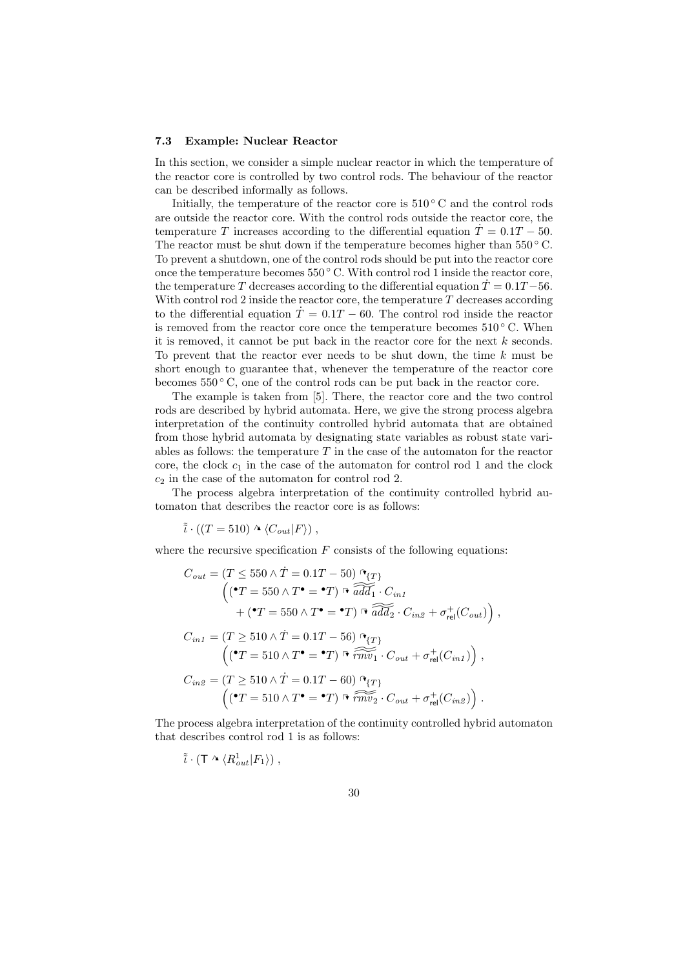#### 7.3 Example: Nuclear Reactor

In this section, we consider a simple nuclear reactor in which the temperature of the reactor core is controlled by two control rods. The behaviour of the reactor can be described informally as follows.

Initially, the temperature of the reactor core is  $510\degree$  C and the control rods are outside the reactor core. With the control rods outside the reactor core, the temperature T increases according to the differential equation  $T = 0.1T - 50$ . The reactor must be shut down if the temperature becomes higher than  $550^{\circ}$  C. To prevent a shutdown, one of the control rods should be put into the reactor core once the temperature becomes  $550\degree$  C. With control rod 1 inside the reactor core, the temperature T decreases according to the differential equation  $\dot{T} = 0.1T - 56$ . With control rod 2 inside the reactor core, the temperature  $T$  decreases according to the differential equation  $\dot{T} = 0.1T - 60$ . The control rod inside the reactor is removed from the reactor core once the temperature becomes  $510\degree C$ . When it is removed, it cannot be put back in the reactor core for the next  $k$  seconds. To prevent that the reactor ever needs to be shut down, the time  $k$  must be short enough to guarantee that, whenever the temperature of the reactor core becomes  $550\degree$  C, one of the control rods can be put back in the reactor core.

The example is taken from [5]. There, the reactor core and the two control rods are described by hybrid automata. Here, we give the strong process algebra interpretation of the continuity controlled hybrid automata that are obtained from those hybrid automata by designating state variables as robust state variables as follows: the temperature  $T$  in the case of the automaton for the reactor core, the clock  $c_1$  in the case of the automaton for control rod 1 and the clock  $c_2$  in the case of the automaton for control rod 2.

The process algebra interpretation of the continuity controlled hybrid automaton that describes the reactor core is as follows:

$$
\tilde{i} \cdot ((T = 510) \wedge \langle C_{out} | F \rangle) ,
$$

where the recursive specification  $F$  consists of the following equations:

$$
C_{out} = (T \le 550 \land \dot{T} = 0.1T - 50) \stackrel{\uparrow}{\sim} \frac{\Gamma}{add_1} \cdot C_{in1}
$$
  
\n
$$
\left( (\stackrel{\bullet}{\sim} T = 550 \land T^{\bullet} = \stackrel{\bullet}{T}) \stackrel{\uparrow}{\sim} \widehat{add_1} \cdot C_{in1}
$$
  
\n
$$
+ (\stackrel{\bullet}{\sim} T = 550 \land T^{\bullet} = \stackrel{\bullet}{T}) \stackrel{\uparrow}{\sim} \widehat{add_2} \cdot C_{in2} + \sigma_{rel}^+(C_{out}) \right),
$$
  
\n
$$
C_{in1} = (T \ge 510 \land \dot{T} = 0.1T - 56) \stackrel{\uparrow}{\sim} \frac{\Gamma}{c} \cdot C_{out} + \sigma_{rel}^+(C_{in1}) \right),
$$
  
\n
$$
C_{in2} = (T \ge 510 \land \dot{T} = 0.1T - 60) \stackrel{\uparrow}{\sim} \frac{\Gamma}{c} \cdot C_{out} + \sigma_{rel}^+(C_{in2}) \cdot C_{out} + \sigma_{rel}^+(C_{in2})
$$
  
\n
$$
\left( (\stackrel{\bullet}{\sim} T = 510 \land T^{\bullet} = \stackrel{\bullet}{T}) \stackrel{\uparrow}{\sim} \widehat{r} \stackrel{\uparrow}{\sim} \cdots C_{out} + \sigma_{rel}^+(C_{in2}) \right).
$$

The process algebra interpretation of the continuity controlled hybrid automaton that describes control rod 1 is as follows:

$$
\tilde{i} \cdot (\mathsf{T} \wedge \langle R_{out}^1 | F_1 \rangle) ,
$$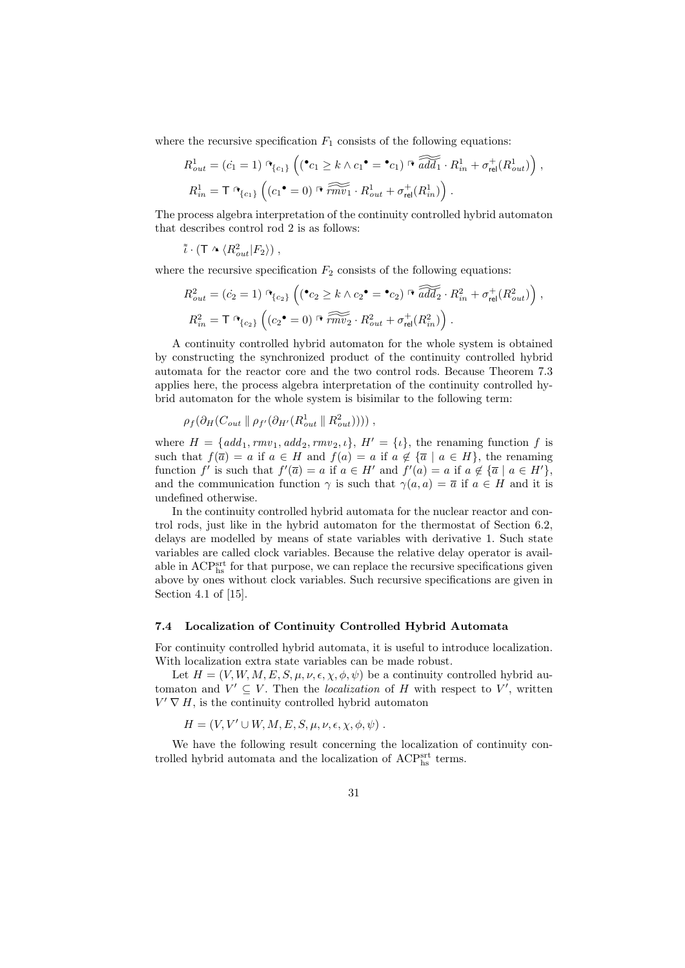where the recursive specification  $F_1$  consists of the following equations:

$$
R_{out}^1 = (c_1 = 1) \, \mathbf{P}_{\{c_1\}} \left( (\mathbf{P}_{c_1} \ge k \wedge c_1 \mathbf{P} = \mathbf{P}_{c_1}) \, \mathbf{P}_{ad} \widetilde{dd_1} \cdot R_{in}^1 + \sigma_{rel}^+(R_{out}^1) \right),
$$
  
\n
$$
R_{in}^1 = \mathbf{T} \, \mathbf{P}_{\{c_1\}} \left( (c_1 \mathbf{P} = 0) \, \mathbf{P} \, \widetilde{rmv_1} \cdot R_{out}^1 + \sigma_{rel}^+(R_{in}^1) \right).
$$

The process algebra interpretation of the continuity controlled hybrid automaton that describes control rod 2 is as follows:

 $\tilde{i} \cdot (\mathsf{T} \wedge \langle R_{out}^2 | F_2 \rangle)$ ,

where the recursive specification  $F_2$  consists of the following equations:

$$
R_{out}^2 = (\dot{c}_2 = 1) \mathcal{L}_{\{c_2\}} \left( (\mathbf{C}_2 \ge k \wedge c_2 \mathbf{C} = \mathbf{C}_2) \mathcal{L}_{rad} \widetilde{add}_2 \cdot R_{in}^2 + \sigma_{rel}^+(R_{out}^2) \right),
$$
  

$$
R_{in}^2 = \mathsf{T}_{\{c_2\}} \left( (c_2 \mathbf{C} = 0) \mathcal{L}_{int} \widetilde{m v_2} \cdot R_{out}^2 + \sigma_{rel}^+(R_{in}^2) \right).
$$

A continuity controlled hybrid automaton for the whole system is obtained by constructing the synchronized product of the continuity controlled hybrid automata for the reactor core and the two control rods. Because Theorem 7.3 applies here, the process algebra interpretation of the continuity controlled hybrid automaton for the whole system is bisimilar to the following term:

$$
\rho_f(\partial_H(C_{out} \parallel \rho_{f'}(\partial_{H'}(R_{out}^1 \parallel R_{out}^2))))
$$
,

where  $H = \{add_1, rmv_1, add_2, rmv_2, \iota\}, H' = \{\iota\},\$  the renaming function f is such that  $f(\overline{a}) = a$  if  $a \in H$  and  $f(a) = a$  if  $a \notin {\overline{a} \mid a \in H}$ , the renaming function f' is such that  $f'(\overline{a}) = a$  if  $a \in H'$  and  $f'(a) = a$  if  $a \notin {\overline{a} \mid a \in H'}$ , and the communication function  $\gamma$  is such that  $\gamma(a, a) = \overline{a}$  if  $a \in H$  and it is undefined otherwise.

In the continuity controlled hybrid automata for the nuclear reactor and control rods, just like in the hybrid automaton for the thermostat of Section 6.2, delays are modelled by means of state variables with derivative 1. Such state variables are called clock variables. Because the relative delay operator is available in  $\mathrm{ACP^{srt}_{hs}}$  for that purpose, we can replace the recursive specifications given above by ones without clock variables. Such recursive specifications are given in Section 4.1 of [15].

### 7.4 Localization of Continuity Controlled Hybrid Automata

For continuity controlled hybrid automata, it is useful to introduce localization. With localization extra state variables can be made robust.

Let  $H = (V, W, M, E, S, \mu, \nu, \epsilon, \chi, \phi, \psi)$  be a continuity controlled hybrid automaton and  $V' \subseteq V$ . Then the *localization* of H with respect to V', written  $V' \nabla H$ , is the continuity controlled hybrid automaton

 $H = (V, V' \cup W, M, E, S, \mu, \nu, \epsilon, \chi, \phi, \psi)$ .

We have the following result concerning the localization of continuity controlled hybrid automata and the localization of  $\text{ACP}^{\text{srt}}_{\text{hs}}$  terms.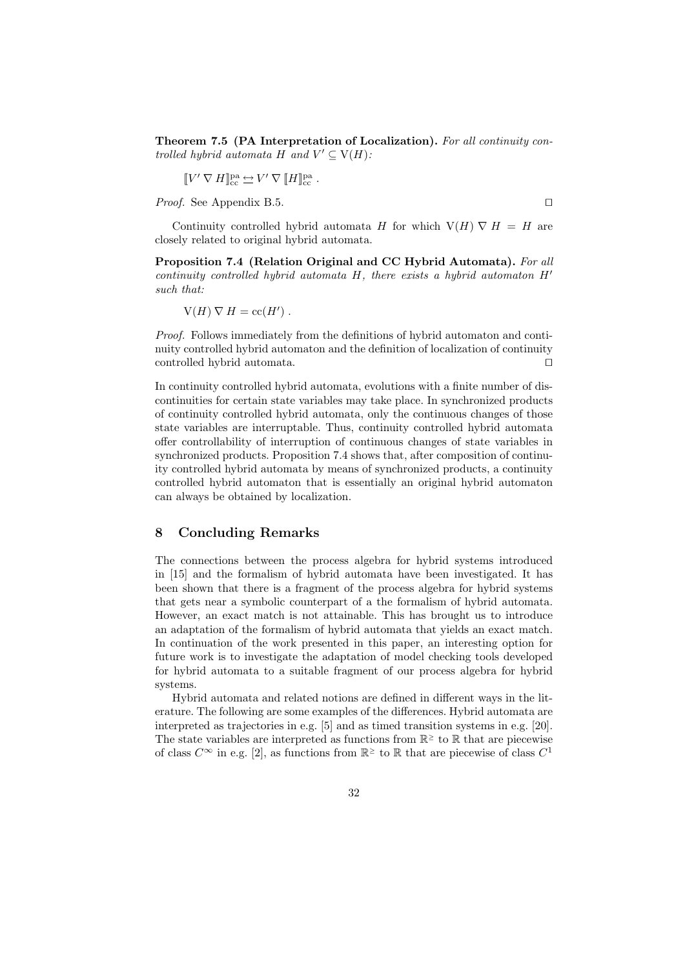Theorem 7.5 (PA Interpretation of Localization). For all continuity controlled hybrid automata H and  $V' \subseteq V(H)$ :

$$
[\![V'\,\nabla\, H]\!]^{\rm pa}_{\rm cc}\,{\hookrightarrow}\,V'\,\nabla\,[\![H]\!]^{\rm pa}_{\rm cc}\ .
$$

*Proof.* See Appendix B.5.  $\Box$ 

Continuity controlled hybrid automata H for which  $V(H) \nabla H = H$  are closely related to original hybrid automata.

Proposition 7.4 (Relation Original and CC Hybrid Automata). For all continuity controlled hybrid automata H, there exists a hybrid automaton  $H'$ such that:

$$
V(H) \nabla H = \mathrm{cc}(H') .
$$

Proof. Follows immediately from the definitions of hybrid automaton and continuity controlled hybrid automaton and the definition of localization of continuity controlled hybrid automata.  $\Box$ 

In continuity controlled hybrid automata, evolutions with a finite number of discontinuities for certain state variables may take place. In synchronized products of continuity controlled hybrid automata, only the continuous changes of those state variables are interruptable. Thus, continuity controlled hybrid automata offer controllability of interruption of continuous changes of state variables in synchronized products. Proposition 7.4 shows that, after composition of continuity controlled hybrid automata by means of synchronized products, a continuity controlled hybrid automaton that is essentially an original hybrid automaton can always be obtained by localization.

# 8 Concluding Remarks

The connections between the process algebra for hybrid systems introduced in [15] and the formalism of hybrid automata have been investigated. It has been shown that there is a fragment of the process algebra for hybrid systems that gets near a symbolic counterpart of a the formalism of hybrid automata. However, an exact match is not attainable. This has brought us to introduce an adaptation of the formalism of hybrid automata that yields an exact match. In continuation of the work presented in this paper, an interesting option for future work is to investigate the adaptation of model checking tools developed for hybrid automata to a suitable fragment of our process algebra for hybrid systems.

Hybrid automata and related notions are defined in different ways in the literature. The following are some examples of the differences. Hybrid automata are interpreted as trajectories in e.g. [5] and as timed transition systems in e.g. [20]. The state variables are interpreted as functions from  $\mathbb{R}^{\ge}$  to  $\mathbb R$  that are piecewise of class  $C^{\infty}$  in e.g. [2], as functions from  $\mathbb{R}^{\ge}$  to  $\mathbb R$  that are piecewise of class  $C^1$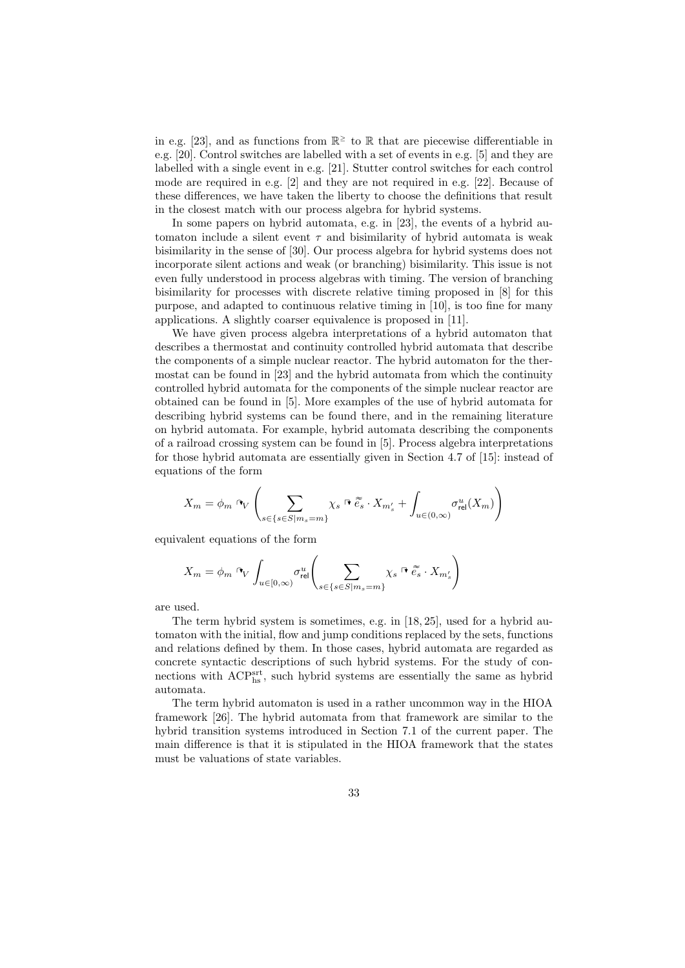in e.g. [23], and as functions from  $\mathbb{R}^{\ge}$  to  $\mathbb R$  that are piecewise differentiable in e.g. [20]. Control switches are labelled with a set of events in e.g. [5] and they are labelled with a single event in e.g. [21]. Stutter control switches for each control mode are required in e.g. [2] and they are not required in e.g. [22]. Because of these differences, we have taken the liberty to choose the definitions that result in the closest match with our process algebra for hybrid systems.

In some papers on hybrid automata, e.g. in [23], the events of a hybrid automaton include a silent event  $\tau$  and bisimilarity of hybrid automata is weak bisimilarity in the sense of [30]. Our process algebra for hybrid systems does not incorporate silent actions and weak (or branching) bisimilarity. This issue is not even fully understood in process algebras with timing. The version of branching bisimilarity for processes with discrete relative timing proposed in [8] for this purpose, and adapted to continuous relative timing in [10], is too fine for many applications. A slightly coarser equivalence is proposed in [11].

We have given process algebra interpretations of a hybrid automaton that describes a thermostat and continuity controlled hybrid automata that describe the components of a simple nuclear reactor. The hybrid automaton for the thermostat can be found in [23] and the hybrid automata from which the continuity controlled hybrid automata for the components of the simple nuclear reactor are obtained can be found in [5]. More examples of the use of hybrid automata for describing hybrid systems can be found there, and in the remaining literature on hybrid automata. For example, hybrid automata describing the components of a railroad crossing system can be found in [5]. Process algebra interpretations for those hybrid automata are essentially given in Section 4.7 of [15]: instead of equations of the form

$$
X_m = \phi_m \circ_V \left( \sum_{s \in \{s \in S | m_s = m\}} \chi_s \circ \widetilde{e_s} \cdot X_{m'_s} + \int_{u \in (0,\infty)} \sigma_{rel}^u(X_m) \right)
$$

equivalent equations of the form

$$
X_m = \phi_m \stackrel{\mathbf{p}}{\sim} \int_{u \in [0,\infty)} \sigma_{\text{rel}}^u \Bigg( \sum_{s \in \{s \in S | m_s = m\}} \chi_s \stackrel{\mathbf{p}}{\sim} \widetilde{e_s} \cdot X_{m'_s} \Bigg)
$$

are used.

The term hybrid system is sometimes, e.g. in [18, 25], used for a hybrid automaton with the initial, flow and jump conditions replaced by the sets, functions and relations defined by them. In those cases, hybrid automata are regarded as concrete syntactic descriptions of such hybrid systems. For the study of connections with  $\text{ACP}_{\text{hs}}^{\text{srt}}$ , such hybrid systems are essentially the same as hybrid automata.

The term hybrid automaton is used in a rather uncommon way in the HIOA framework [26]. The hybrid automata from that framework are similar to the hybrid transition systems introduced in Section 7.1 of the current paper. The main difference is that it is stipulated in the HIOA framework that the states must be valuations of state variables.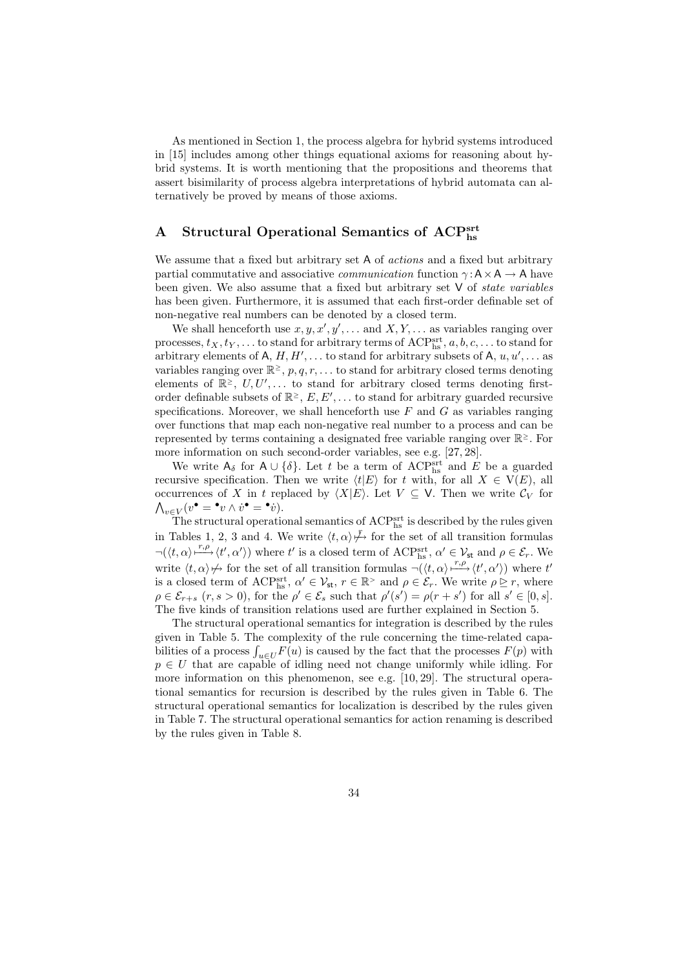As mentioned in Section 1, the process algebra for hybrid systems introduced in [15] includes among other things equational axioms for reasoning about hybrid systems. It is worth mentioning that the propositions and theorems that assert bisimilarity of process algebra interpretations of hybrid automata can alternatively be proved by means of those axioms.

# A Structural Operational Semantics of ACPsrt

We assume that a fixed but arbitrary set A of *actions* and a fixed but arbitrary partial commutative and associative *communication* function  $\gamma : A \times A \rightarrow A$  have been given. We also assume that a fixed but arbitrary set  $V$  of *state variables* has been given. Furthermore, it is assumed that each first-order definable set of non-negative real numbers can be denoted by a closed term.

We shall henceforth use  $x, y, x', y', \ldots$  and  $X, Y, \ldots$  as variables ranging over processes,  $t_X, t_Y, \ldots$  to stand for arbitrary terms of ACPsrt,  $a, b, c, \ldots$  to stand for arbitrary elements of A,  $H, H', \ldots$  to stand for arbitrary subsets of A,  $u, u', \ldots$  as variables ranging over  $\mathbb{R}^{\geq}$ ,  $p, q, r, \ldots$  to stand for arbitrary closed terms denoting elements of  $\mathbb{R}^{\geq}$ ,  $U, U', \ldots$  to stand for arbitrary closed terms denoting firstorder definable subsets of  $\mathbb{R}^{\geq}$ ,  $E, E', \ldots$  to stand for arbitrary guarded recursive specifications. Moreover, we shall henceforth use  $F$  and  $G$  as variables ranging over functions that map each non-negative real number to a process and can be represented by terms containing a designated free variable ranging over R <sup>≥</sup>. For more information on such second-order variables, see e.g. [27, 28].

We write  $A_{\delta}$  for  $A \cup \{\delta\}$ . Let t be a term of ACP<sup>srt</sup> and E be a guarded recursive specification. Then we write  $\langle t|E \rangle$  for t with, for all  $X \in V(E)$ , all occurrences of X in t replaced by  $\langle X|E\rangle$ . Let  $V \subseteq V$ . Then we write  $\mathcal{C}_V$  for  $\bigwedge_{v\in V}(v^\bullet = {}^\bullet v \wedge \dot{v}^\bullet = {}^\bullet \dot{v}).$ 

The structural operational semantics of  $\mathrm{ACP}^{\mathrm{srt}}_{\mathrm{hs}}$  is described by the rules given in Tables 1, 2, 3 and 4. We write  $\langle t, \alpha \rangle \rightarrow$  for the set of all transition formulas  $\neg(\langle t, \alpha \rangle \longrightarrow^{\tau,\rho} \langle t', \alpha' \rangle)$  where t' is a closed term of ACPs is,  $\alpha' \in \mathcal{V}_{st}$  and  $\rho \in \mathcal{E}_r$ . We write  $\langle t, \alpha \rangle \nrightarrow$  for the set of all transition formulas  $\neg(\langle t, \alpha \rangle \rightarrow^{r,\rho} \langle t', \alpha' \rangle)$  where t is a closed term of ACP<sup>srt</sup>,  $\alpha' \in \mathcal{V}_{st}$ ,  $r \in \mathbb{R}^>$  and  $\rho \in \mathcal{E}_r$ . We write  $\rho \geq r$ , where  $\rho \in \mathcal{E}_{r+s}$   $(r, s > 0)$ , for the  $\rho' \in \mathcal{E}_s$  such that  $\rho'(s') = \rho(r+s')$  for all  $s' \in [0, s]$ . The five kinds of transition relations used are further explained in Section 5.

The structural operational semantics for integration is described by the rules given in Table 5. The complexity of the rule concerning the time-related capabilities of a process  $\int_{u\in U} F(u)$  is caused by the fact that the processes  $F(p)$  with  $p \in U$  that are capable of idling need not change uniformly while idling. For more information on this phenomenon, see e.g.  $[10, 29]$ . The structural operational semantics for recursion is described by the rules given in Table 6. The structural operational semantics for localization is described by the rules given in Table 7. The structural operational semantics for action renaming is described by the rules given in Table 8.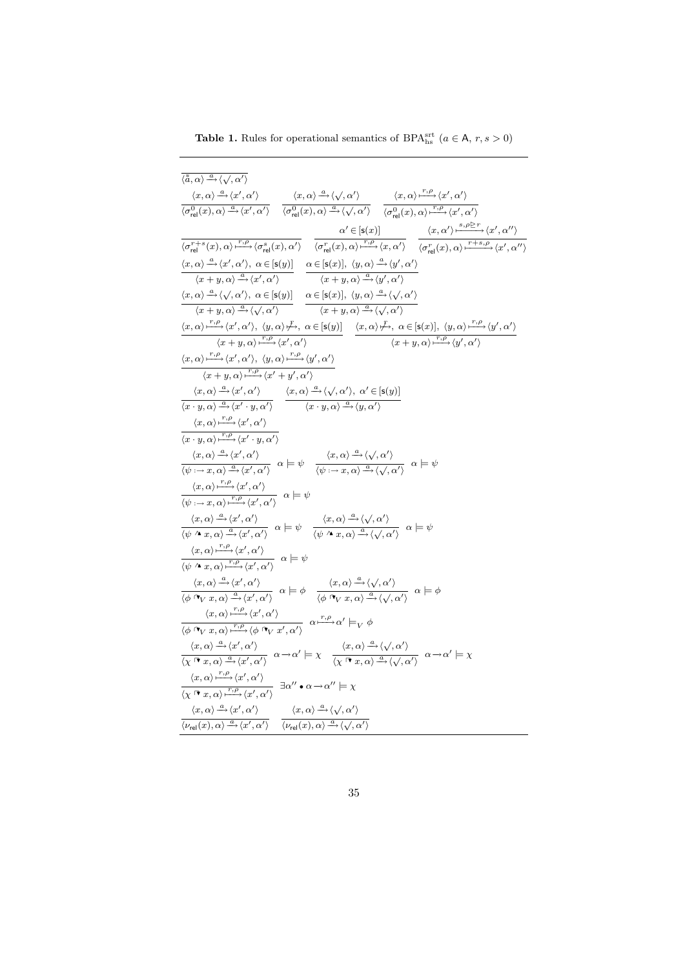**Table 1.** Rules for operational semantics of BPA<sup>srt</sup>  $(a \in A, r, s > 0)$ 

| $\langle \tilde{\tilde{a}}, \alpha \rangle \stackrel{a}{\longrightarrow} \langle \sqrt{, \alpha'} \rangle$                                                                                                                                                                                                                                                                                                                                                                                                                                                                                   |
|----------------------------------------------------------------------------------------------------------------------------------------------------------------------------------------------------------------------------------------------------------------------------------------------------------------------------------------------------------------------------------------------------------------------------------------------------------------------------------------------------------------------------------------------------------------------------------------------|
| $\frac{\langle x, \alpha \rangle \xrightarrow{\alpha} \langle x', \alpha' \rangle}{\langle \sigma_{\text{rel}}^0(x), \alpha \rangle \xrightarrow{\alpha} \langle x', \alpha' \rangle} \quad \frac{\langle x, \alpha \rangle \xrightarrow{\alpha} \langle \sqrt{, \alpha'} \rangle}{\langle \sigma_{\text{rel}}^0(x), \alpha \rangle \xrightarrow{\alpha} \langle \sqrt{, \alpha'} \rangle} \quad \frac{\langle x, \alpha \rangle \xrightarrow{r, \rho} \langle x', \alpha' \rangle}{\langle \sigma_{\text{rel}}^0(x), \alpha \rangle \xrightarrow{\alpha} \langle \sqrt{, \alpha'} \rangle}$ |
|                                                                                                                                                                                                                                                                                                                                                                                                                                                                                                                                                                                              |
|                                                                                                                                                                                                                                                                                                                                                                                                                                                                                                                                                                                              |
| $\frac{\alpha'\in [\mathsf{s}(x)] }{\langle \sigma_\mathsf{rel}^{r+s}(x),\alpha\rangle \frac{r,\rho}{\longmapsto} \langle \sigma_\mathsf{rel}^s(x),\alpha'\rangle} \quad \frac{\alpha'\in [\mathsf{s}(x)] }{\langle \sigma_\mathsf{rel}^{r}(x),\alpha\rangle \frac{r,\rho}{\longmapsto} \langle x,\alpha'\rangle} \quad \frac{\langle x,\alpha'\rangle \frac{s,\rho \triangleright r}{\longmapsto} \langle x',\alpha''\rangle }{\langle \sigma_\mathsf{rel}^{r}(x),\alpha\rangle \frac{r+s,\rho}{\longmapsto} \langle x',\alpha''\rangle}$                                                   |
| $\langle x, \alpha \rangle \stackrel{a}{\longrightarrow} \langle x', \alpha' \rangle, \ \alpha \in [\mathsf{s}(y)] \ \ \alpha \in [\mathsf{s}(x)], \ \langle y, \alpha \rangle \stackrel{a}{\longrightarrow} \langle y', \alpha' \rangle$                                                                                                                                                                                                                                                                                                                                                    |
| $\langle x+y,\alpha\rangle \xrightarrow{a} \langle x',\alpha'\rangle$ $\langle x+y,\alpha\rangle \xrightarrow{a} \langle y',\alpha'\rangle$                                                                                                                                                                                                                                                                                                                                                                                                                                                  |
| $\langle x, \alpha \rangle \stackrel{a}{\longrightarrow} \langle \sqrt{, \alpha'} \rangle, \ \alpha \in [\mathsf{s}(y)] \ \ \alpha \in [\mathsf{s}(x)], \ \langle y, \alpha \rangle \stackrel{a}{\longrightarrow} \langle \sqrt{, \alpha'} \rangle$                                                                                                                                                                                                                                                                                                                                          |
| $\frac{d}{dx + y, \alpha} \xrightarrow{a} \langle \sqrt{,\alpha'} \rangle$ $\frac{d}{dx + y, \alpha} \xrightarrow{a} \langle \sqrt{,\alpha'} \rangle$                                                                                                                                                                                                                                                                                                                                                                                                                                        |
| $\langle x, \alpha \rangle \stackrel{r, \rho}{\longmapsto} \langle x', \alpha' \rangle, \ \langle y, \alpha \rangle \stackrel{\mathcal{F}}{\longmapsto}, \ \alpha \in [\mathsf{s}(y)] \quad \langle x, \alpha \rangle \stackrel{\mathcal{F}}{\longmapsto}, \ \alpha \in [\mathsf{s}(x)], \ \langle y, \alpha \rangle \stackrel{r, \rho}{\longmapsto} \langle y', \alpha' \rangle$                                                                                                                                                                                                            |
| $\overline{\langle x+y,\alpha\rangle \xrightarrow{r,\rho} \langle x',\alpha'\rangle}$<br>$\overline{\langle x+y,\alpha\rangle \xrightarrow{r,\rho} \langle y',\alpha'\rangle}$                                                                                                                                                                                                                                                                                                                                                                                                               |
| $\langle x, \alpha \rangle \xrightarrow{r, \rho} \langle x', \alpha' \rangle, \ \langle y, \alpha \rangle \xrightarrow{r, \rho} \langle y', \alpha' \rangle$                                                                                                                                                                                                                                                                                                                                                                                                                                 |
| $\langle x+y,\alpha\rangle \xrightarrow{r,\rho} \langle x'+y',\alpha'\rangle$                                                                                                                                                                                                                                                                                                                                                                                                                                                                                                                |
| $\frac{\langle x, \alpha \rangle \xrightarrow{\alpha} \langle x', \alpha' \rangle}{\langle x \cdot y, \alpha \rangle \xrightarrow{\alpha} \langle x' \cdot y, \alpha' \rangle}$ $\frac{\langle x, \alpha \rangle \xrightarrow{\alpha} \langle \sqrt{x}, \alpha' \rangle, \alpha' \in [\mathsf{s}(y)]}{\langle x \cdot y, \alpha \rangle \xrightarrow{\alpha} \langle y, \alpha' \rangle}$                                                                                                                                                                                                    |
|                                                                                                                                                                                                                                                                                                                                                                                                                                                                                                                                                                                              |
| $\langle x, \alpha \rangle \stackrel{r,\rho}{\longmapsto} \langle x', \alpha' \rangle$                                                                                                                                                                                                                                                                                                                                                                                                                                                                                                       |
| $\langle x \cdot y, \alpha \rangle \stackrel{r,\rho}{\longmapsto} \langle x' \cdot y, \alpha' \rangle$                                                                                                                                                                                                                                                                                                                                                                                                                                                                                       |
| $\frac{\langle x,\alpha\rangle \xrightarrow{\alpha} \langle x',\alpha'\rangle}{\langle \psi\colonrightarrow x,\alpha\rangle \xrightarrow{\alpha} \langle x',\alpha'\rangle} \alpha \models \psi \quad \frac{\langle x,\alpha\rangle \xrightarrow{\alpha} \langle \sqrt{, \alpha'}\rangle}{\langle \psi\colonrightarrow x,\alpha\rangle \xrightarrow{\alpha} \langle \sqrt{, \alpha'}\rangle} \alpha \models \psi$                                                                                                                                                                            |
|                                                                                                                                                                                                                                                                                                                                                                                                                                                                                                                                                                                              |
| $\frac{\langle x, \alpha \rangle \frac{r, \rho}{\langle \psi \rangle \langle \alpha \rangle \langle \alpha \rangle}}{\langle \psi \rangle \langle \alpha \rangle \langle \alpha \rangle \langle \psi \rangle \langle \alpha \rangle \langle \alpha \rangle} \alpha \models \psi$                                                                                                                                                                                                                                                                                                             |
|                                                                                                                                                                                                                                                                                                                                                                                                                                                                                                                                                                                              |
| $\frac{\langle x, \alpha \rangle \xrightarrow{a} \langle x', \alpha' \rangle}{\langle \psi \wedge x, \alpha \rangle \xrightarrow{a} \langle x', \alpha' \rangle} \alpha \models \psi \quad \frac{\langle x, \alpha \rangle \xrightarrow{a} \langle \sqrt{, \alpha'} \rangle}{\langle \psi \wedge x, \alpha \rangle \xrightarrow{a} \langle \sqrt{, \alpha'} \rangle} \alpha \models \psi$                                                                                                                                                                                                    |
|                                                                                                                                                                                                                                                                                                                                                                                                                                                                                                                                                                                              |
| $\frac{\langle x, \alpha \rangle \frac{r, \rho}{\longrightarrow} \langle x', \alpha' \rangle}{\langle \psi \wedge x, \alpha \rangle \frac{r, \rho}{\longrightarrow} \langle x', \alpha' \rangle} \alpha \models \psi$                                                                                                                                                                                                                                                                                                                                                                        |
|                                                                                                                                                                                                                                                                                                                                                                                                                                                                                                                                                                                              |
| $\frac{\langle x, \alpha \rangle \xrightarrow{\alpha} \langle x', \alpha' \rangle}{\langle \phi \cap_V x, \alpha \rangle \xrightarrow{\alpha} \langle x', \alpha' \rangle}$ $\alpha \models \phi$ $\frac{\langle x, \alpha \rangle \xrightarrow{\alpha} \langle \sqrt{, \alpha'} \rangle}{\langle \phi \cap_V x, \alpha \rangle \xrightarrow{\alpha} \langle \sqrt{, \alpha'} \rangle}$ $\alpha \models \phi$                                                                                                                                                                                |
|                                                                                                                                                                                                                                                                                                                                                                                                                                                                                                                                                                                              |
| $\frac{\langle x, \alpha \rangle \frac{r, \rho}{\cdot \cdot \cdot} \langle x', \alpha' \rangle}{\langle \phi \mathbin{\lrcorner} \mathsf{v}_\mathsf{V} \ x, \alpha \rangle \frac{r, \rho}{\cdot \cdot \cdot} \langle \phi \mathbin{\lrcorner} \mathsf{v}_\mathsf{V} \ x', \alpha' \rangle} \ \alpha \frac{r, \rho}{\cdot \cdot \cdot} \alpha' \models_V \phi$                                                                                                                                                                                                                                |
| $\langle x, \alpha \rangle \xrightarrow{a} \langle x', \alpha' \rangle$                                                                                                                                                                                                                                                                                                                                                                                                                                                                                                                      |
| $\frac{\langle x, \alpha \rangle \xrightarrow{\alpha} \langle x', \alpha' \rangle}{\langle \chi \rceil \mathbf{v}, \alpha \rangle \xrightarrow{\alpha} \langle x', \alpha' \rangle} \alpha \rightarrow \alpha' \models \chi \quad \frac{\langle x, \alpha \rangle \xrightarrow{\alpha} \langle \sqrt{, \alpha'} \rangle}{\langle \chi \rceil \mathbf{v}, \alpha \rangle \xrightarrow{\alpha} \langle \sqrt{, \alpha'} \rangle} \alpha \rightarrow \alpha' \models \chi$                                                                                                                      |
| $\langle x, \alpha \rangle \xrightarrow{r, \rho} \langle x', \alpha' \rangle$                                                                                                                                                                                                                                                                                                                                                                                                                                                                                                                |
| $\frac{\Delta^{(k)}(X,Y)}{\langle \chi^{(\P^{\bullet},x)}\chi^{(k)}\rangle^{r,\rho}\langle x',\alpha'\rangle} \exists \alpha''\bullet \alpha \rightarrow \alpha'' \models \chi^{(k)}(X,Y)$                                                                                                                                                                                                                                                                                                                                                                                                   |
| $\langle x, \alpha \rangle \stackrel{a}{\longrightarrow} \langle x', \alpha' \rangle$<br>$\langle x, \alpha \rangle \stackrel{a}{\longrightarrow} \langle \sqrt{, \alpha'} \rangle$                                                                                                                                                                                                                                                                                                                                                                                                          |
| $\frac{\overline{\langle v, v \rangle} \cdot \overline{\langle v \rangle} \cdot \overline{\langle v \rangle} \cdot \overline{\langle v \rangle}}{\langle v_{\text{rel}}(x), \alpha \rangle \xrightarrow{\alpha} \langle x', \alpha' \rangle}$                                                                                                                                                                                                                                                                                                                                                |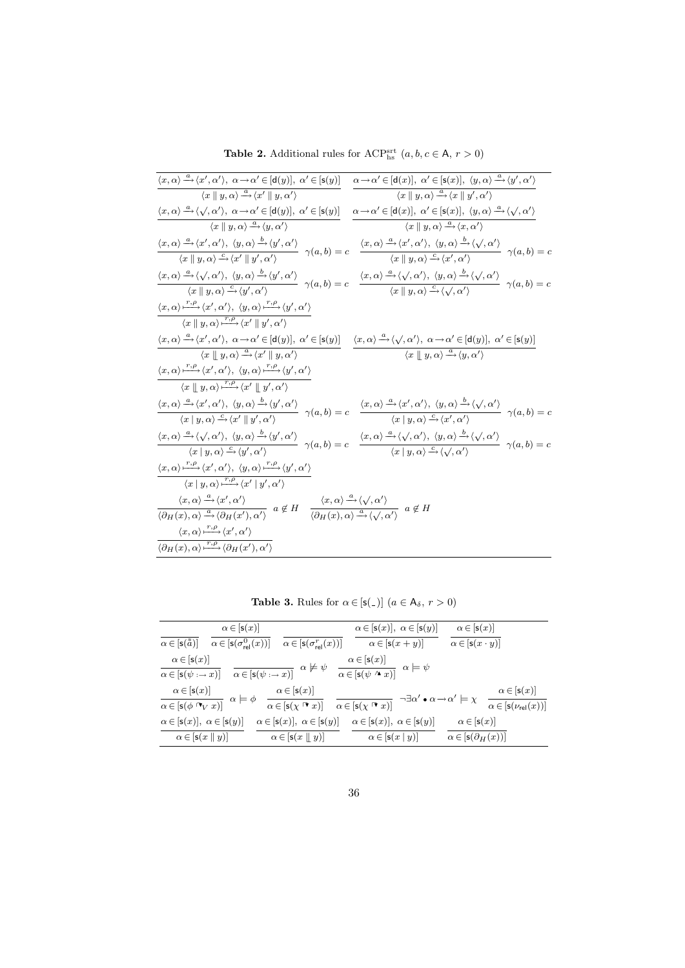**Table 2.** Additional rules for  $\text{ACP}_{\text{hs}}^{\text{srt}}$   $(a, b, c \in A, r > 0)$ 

| $\langle x, \alpha \rangle \stackrel{a}{\longrightarrow} \langle x', \alpha' \rangle$ , $\alpha \rightarrow \alpha' \in [d(y)], \alpha' \in [s(y)]$                                                                                                                                                                                                                                 | $\alpha \rightarrow \alpha' \in [\mathsf{d}(x)], \ \alpha' \in [\mathsf{s}(x)], \ \langle y, \alpha \rangle \stackrel{a}{\rightarrow} \langle y', \alpha' \rangle$                                                                                                                                                                                                                                                                                                                                                     |
|-------------------------------------------------------------------------------------------------------------------------------------------------------------------------------------------------------------------------------------------------------------------------------------------------------------------------------------------------------------------------------------|------------------------------------------------------------------------------------------------------------------------------------------------------------------------------------------------------------------------------------------------------------------------------------------------------------------------------------------------------------------------------------------------------------------------------------------------------------------------------------------------------------------------|
| $\langle x \parallel y, \alpha \rangle \stackrel{a}{\longrightarrow} \langle x' \parallel y, \alpha' \rangle$                                                                                                                                                                                                                                                                       | $\langle x \parallel y, \alpha \rangle \stackrel{a}{\longrightarrow} \langle x \parallel y', \alpha' \rangle$                                                                                                                                                                                                                                                                                                                                                                                                          |
| $\langle x, \alpha \rangle \xrightarrow{a} \langle \sqrt{, \alpha'} \rangle$ , $\alpha \rightarrow \alpha' \in [d(y)], \ \alpha' \in [s(y)]$                                                                                                                                                                                                                                        | $\alpha \rightarrow \alpha' \in [\mathsf{d}(x)], \ \alpha' \in [\mathsf{s}(x)], \ \langle y, \alpha \rangle \stackrel{a}{\rightarrow} \langle \sqrt{, \alpha'} \rangle$                                                                                                                                                                                                                                                                                                                                                |
| $\langle x \mid y, \alpha \rangle \stackrel{a}{\longrightarrow} \langle y, \alpha' \rangle$                                                                                                                                                                                                                                                                                         | $\langle x \mid y, \alpha \rangle \stackrel{a}{\longrightarrow} \langle x, \alpha' \rangle$                                                                                                                                                                                                                                                                                                                                                                                                                            |
| $\langle x, \alpha \rangle \stackrel{a}{\longrightarrow} \langle x', \alpha' \rangle, \ \langle y, \alpha \rangle \stackrel{b}{\longrightarrow} \langle y', \alpha' \rangle$<br>$\gamma(a,b)=c$                                                                                                                                                                                     | $\langle x, \alpha \rangle \stackrel{a}{\longrightarrow} \langle x', \alpha' \rangle, \langle y, \alpha \rangle \stackrel{b}{\longrightarrow} \langle \sqrt{, \alpha'} \rangle$<br>$\gamma(a,b)=c$                                                                                                                                                                                                                                                                                                                     |
| $\langle x \parallel y, \alpha \rangle \stackrel{c}{\rightarrow} \langle x' \parallel y', \alpha' \rangle$                                                                                                                                                                                                                                                                          | $\langle x \mid y, \alpha \rangle \overline{\xrightarrow{c} \langle x', \alpha' \rangle}$                                                                                                                                                                                                                                                                                                                                                                                                                              |
| $\frac{\langle x, \alpha \rangle \xrightarrow{a} \langle \sqrt{, \alpha'} \rangle, \ \langle y, \alpha \rangle \xrightarrow{b} \langle y', \alpha' \rangle }{\langle x \mid y, \alpha \rangle \xrightarrow{c} \langle y', \alpha' \rangle } \ \ \gamma(a,b) = c$                                                                                                                    | $\langle x, \alpha \rangle \stackrel{a}{\longrightarrow} \langle \sqrt{, \alpha'} \rangle$ , $\langle y, \alpha \rangle \stackrel{b}{\longrightarrow} \langle \sqrt{, \alpha'} \rangle$<br>$-\gamma(a,b)=c$                                                                                                                                                                                                                                                                                                            |
|                                                                                                                                                                                                                                                                                                                                                                                     | $\langle x \mid y, \alpha \rangle \xrightarrow{c} \langle \sqrt{, \alpha'} \rangle$                                                                                                                                                                                                                                                                                                                                                                                                                                    |
| $\langle x, \alpha \rangle \stackrel{r,\rho}{\longrightarrow} \langle x', \alpha' \rangle, \ \langle y, \alpha \rangle \stackrel{r,\rho}{\longrightarrow} \langle y', \alpha' \rangle$                                                                                                                                                                                              |                                                                                                                                                                                                                                                                                                                                                                                                                                                                                                                        |
| $\langle x \parallel y, \alpha \rangle \stackrel{r,\rho}{\longrightarrow} \langle x' \parallel y', \alpha' \rangle$                                                                                                                                                                                                                                                                 |                                                                                                                                                                                                                                                                                                                                                                                                                                                                                                                        |
| $\langle x, \alpha \rangle \stackrel{a}{\longrightarrow} \langle x', \alpha' \rangle, \ \alpha \longrightarrow \alpha' \in [\mathsf{d}(y)], \ \alpha' \in [\mathsf{s}(y)]$                                                                                                                                                                                                          | $\langle x, \alpha \rangle \stackrel{a}{\longrightarrow} \langle \sqrt{, \alpha'} \rangle$ , $\alpha \rightarrow \alpha' \in [d(y)], \alpha' \in [s(y)]$                                                                                                                                                                                                                                                                                                                                                               |
| $\langle x \parallel y, \alpha \rangle \stackrel{a}{\longrightarrow} \langle x' \parallel y, \alpha' \rangle$                                                                                                                                                                                                                                                                       | $\langle x \parallel y, \alpha \rangle \stackrel{a}{\longrightarrow} \langle y, \alpha' \rangle$                                                                                                                                                                                                                                                                                                                                                                                                                       |
| $\langle x, \alpha \rangle \stackrel{r, \rho}{\longmapsto} \langle x', \alpha' \rangle, \ \langle y, \alpha \rangle \stackrel{r, \rho}{\longmapsto} \langle y', \alpha' \rangle$                                                                                                                                                                                                    |                                                                                                                                                                                                                                                                                                                                                                                                                                                                                                                        |
| $\langle x \parallel y, \alpha \rangle \stackrel{r,\rho}{\longmapsto} \langle x' \parallel y', \alpha' \rangle$                                                                                                                                                                                                                                                                     |                                                                                                                                                                                                                                                                                                                                                                                                                                                                                                                        |
| $\langle x, \alpha \rangle \stackrel{a}{\longrightarrow} \langle x', \alpha' \rangle, \ \langle y, \alpha \rangle \stackrel{b}{\longrightarrow} \langle y', \alpha' \rangle$                                                                                                                                                                                                        | $\frac{\partial}{\partial \phi} \frac{\partial}{\partial \alpha} \langle x', \alpha' \rangle, \ \langle y, \alpha \rangle \stackrel{b}{\rightarrow} \langle y', \alpha' \rangle \ \gamma(a, b) = c \quad \frac{\langle x, \alpha \rangle \stackrel{a}{\rightarrow} \langle x', \alpha' \rangle, \ \langle y, \alpha \rangle \stackrel{b}{\rightarrow} \langle \sqrt{, \alpha' \rangle} \ \gamma(a, b) = c}{\langle x \mid y, \alpha \rangle \stackrel{c}{\rightarrow} \langle x', \alpha' \rangle} \ \gamma(a, b) = c$ |
|                                                                                                                                                                                                                                                                                                                                                                                     |                                                                                                                                                                                                                                                                                                                                                                                                                                                                                                                        |
| $\frac{\langle x, \alpha \rangle \xrightarrow{a} \langle \sqrt{, \alpha'} \rangle, \langle y, \alpha \rangle \xrightarrow{b} \langle y', \alpha' \rangle}{\langle x   y, \alpha \rangle \xrightarrow{c} \langle y', \alpha' \rangle} \gamma(a, b) = c$                                                                                                                              | $\frac{\langle x, \alpha \rangle \xrightarrow{a} \langle \sqrt{, \alpha'} \rangle, \ \langle y, \alpha \rangle \xrightarrow{b} \langle \sqrt{, \alpha'} \rangle}{\langle x \mid y, \alpha \rangle \xrightarrow{c} \langle \sqrt{, \alpha'} \rangle} \ \gamma(a, b) = c$                                                                                                                                                                                                                                                |
|                                                                                                                                                                                                                                                                                                                                                                                     |                                                                                                                                                                                                                                                                                                                                                                                                                                                                                                                        |
| $\langle x, \alpha \rangle \stackrel{r,\rho}{\longrightarrow} \langle x', \alpha' \rangle, \ \langle y, \alpha \rangle \stackrel{r,\rho}{\longmapsto} \langle y', \alpha' \rangle$                                                                                                                                                                                                  |                                                                                                                                                                                                                                                                                                                                                                                                                                                                                                                        |
| $\langle x   y, \alpha \rangle \stackrel{r,\rho}{\longrightarrow} \langle x'   y', \alpha' \rangle$                                                                                                                                                                                                                                                                                 |                                                                                                                                                                                                                                                                                                                                                                                                                                                                                                                        |
| $\frac{\langle x, \alpha \rangle \xrightarrow{a} \langle x', \alpha' \rangle}{\langle \partial_H(x), \alpha \rangle \xrightarrow{a} \langle \partial_H(x'), \alpha' \rangle}$ $a \notin H$ $\frac{\langle x, \alpha \rangle \xrightarrow{a} \langle \sqrt{, \alpha'} \rangle}{\langle \partial_H(x), \alpha \rangle \xrightarrow{a} \langle \sqrt{, \alpha'} \rangle}$ $a \notin H$ |                                                                                                                                                                                                                                                                                                                                                                                                                                                                                                                        |
|                                                                                                                                                                                                                                                                                                                                                                                     |                                                                                                                                                                                                                                                                                                                                                                                                                                                                                                                        |
| $\langle x, \alpha \rangle \rightarrow{r, \rho} \langle x', \alpha' \rangle$                                                                                                                                                                                                                                                                                                        |                                                                                                                                                                                                                                                                                                                                                                                                                                                                                                                        |
| $\langle \partial_H(x), \alpha \rangle \longrightarrow^{\mathit{r}, \rho} \langle \partial_H(x'), \alpha' \rangle$                                                                                                                                                                                                                                                                  |                                                                                                                                                                                                                                                                                                                                                                                                                                                                                                                        |
|                                                                                                                                                                                                                                                                                                                                                                                     |                                                                                                                                                                                                                                                                                                                                                                                                                                                                                                                        |

**Table 3.** Rules for  $\alpha \in [\mathsf{s}(\_)]$   $(a \in \mathsf{A}_{\delta}, r > 0)$ 

| $\alpha \in  s(x) $                                                                                                                                                                                                                                           |                                                                                                                                    | $\alpha \in [s(x)], \ \alpha \in [s(y)]$                               | $\alpha \in [s(x)]$                                    |                                                       |
|---------------------------------------------------------------------------------------------------------------------------------------------------------------------------------------------------------------------------------------------------------------|------------------------------------------------------------------------------------------------------------------------------------|------------------------------------------------------------------------|--------------------------------------------------------|-------------------------------------------------------|
| $\alpha \in [s(\sigma_{rel}^0(x))] \quad \alpha \in [s(\sigma_{rel}^r(x))]$<br>$\alpha \in [s(\tilde{\tilde{a}})]$                                                                                                                                            |                                                                                                                                    | $\alpha \in [s(x+y)]$                                                  | $\alpha \in [s(x \cdot y)]$                            |                                                       |
| $\frac{\alpha \in [\mathsf{s}(x)]}{\alpha \in [\mathsf{s}(\psi : \rightarrow x)]} \quad \frac{}{\alpha \in [\mathsf{s}(\psi : \rightarrow x)]} \quad \alpha \not\models \psi \quad \frac{}{\alpha \in [\mathsf{s}(\psi \wedge x)]} \quad \alpha \models \psi$ |                                                                                                                                    |                                                                        |                                                        |                                                       |
| $\frac{\alpha \in [s(x)]}{\alpha \in [s(\phi \cap V x)]}$ $\alpha \models \phi$                                                                                                                                                                               | $\alpha \in [s(x)]$<br>$\alpha \in [\mathsf{s}(\chi \space \mathsf{F} \ x)]$ $\alpha \in [\mathsf{s}(\chi \space \mathsf{F} \ x)]$ | $\neg \exists \alpha' \bullet \alpha \rightarrow \alpha' \models \chi$ |                                                        | $\alpha \in [s(x)]$<br>$\alpha \in [s(\nu_{rel}(x))]$ |
| $\alpha \in [s(x)], \ \alpha \in [s(y)]$<br>$\alpha \in [s(x \mid y)]$                                                                                                                                                                                        | $\alpha \in [s(x)], \ \alpha \in [s(y)]$<br>$\alpha \in [s(x \mid y)]$                                                             | $\alpha \in [s(x)], \ \alpha \in [s(y)]$<br>$\alpha \in [s(x   y)]$    | $\alpha \in [s(x)]$<br>$\alpha \in [s(\partial_H(x))]$ |                                                       |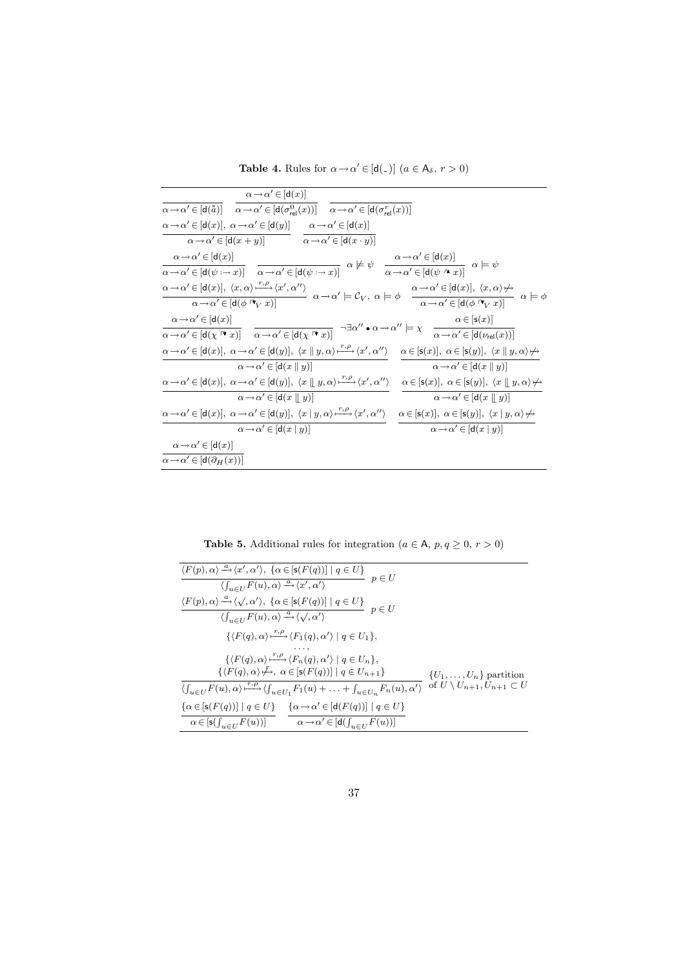**Table 4.** Rules for  $\alpha \rightarrow \alpha' \in [d(\alpha)]$   $(a \in A_{\delta}, r > 0)$ 

| $\alpha \rightarrow \alpha' \in  d(x) $                                                                                                                                                                                                                                                                                                  |                                                                                                                                                                                                              |
|------------------------------------------------------------------------------------------------------------------------------------------------------------------------------------------------------------------------------------------------------------------------------------------------------------------------------------------|--------------------------------------------------------------------------------------------------------------------------------------------------------------------------------------------------------------|
| $\alpha \rightarrow \alpha' \in [\mathsf{d}(\tilde{a})]$ $\alpha \rightarrow \alpha' \in [\mathsf{d}(\sigma_{\mathsf{rel}}^0(x))]$ $\alpha \rightarrow \alpha' \in [\mathsf{d}(\sigma_{\mathsf{rel}}^r(x))]$                                                                                                                             |                                                                                                                                                                                                              |
| $\alpha \rightarrow \alpha' \in [\mathsf{d}(x)], \ \alpha \rightarrow \alpha' \in [\mathsf{d}(y)] \qquad \alpha \rightarrow \alpha' \in [\mathsf{d}(x)]$                                                                                                                                                                                 |                                                                                                                                                                                                              |
| $\alpha \rightarrow \alpha' \in [d(x+y)]$ $\alpha \rightarrow \alpha' \in [d(x \cdot y)]$                                                                                                                                                                                                                                                |                                                                                                                                                                                                              |
| $\alpha \rightarrow \alpha' \in [d(x)]$<br>$\frac{\alpha\to\alpha'\in[\mathsf{d}(x)]}{\alpha\to\alpha'\in[\mathsf{d}(\psi:\to x)]}\quad\frac{}{\alpha\to\alpha'\in[\mathsf{d}(\psi:\to x)]}\quad\alpha\not\models\psi\quad\frac{\alpha\to\alpha'\in[\mathsf{d}(x)]}{\alpha\to\alpha'\in[\mathsf{d}(\psi\land x)]}\quad\alpha\models\psi$ |                                                                                                                                                                                                              |
| $\alpha \! \to \! \alpha' \! \in \![ {\mathsf{d}}(\phi \mathbin{{}^\circ \! \! \mathsf{v}}_V \ x )]$                                                                                                                                                                                                                                     |                                                                                                                                                                                                              |
| $\alpha \rightarrow \alpha' \in [d(x)]$                                                                                                                                                                                                                                                                                                  | $\alpha \in [s(x)]$                                                                                                                                                                                          |
| $\alpha \rightarrow \alpha' \in [{\sf d}(\chi \; \mathbb{k} \; x)] \quad \  \alpha \rightarrow \alpha' \in [{\sf d}(\chi \; \mathbb{k} \; x)]$                                                                                                                                                                                           | $\neg \exists \alpha^{\prime\prime} \bullet \alpha \mathop{\rightarrow} \alpha^{\prime\prime} \models \chi \quad \frac{}{\alpha \mathop{\rightarrow} \alpha^{\prime} \in [\mathsf{d}(\nu_\mathsf{rel}(x))]}$ |
| $\alpha \rightarrow \alpha' \in [\mathsf{d}(x)], \ \alpha \rightarrow \alpha' \in [\mathsf{d}(y)], \ \langle x \parallel y, \alpha \rangle \stackrel{r, \rho}{\longmapsto} \langle x', \alpha'' \rangle$                                                                                                                                 | $\alpha \in [s(x)], \ \alpha \in [s(y)], \ \langle x \parallel y, \alpha \rangle \nleftrightarrow$                                                                                                           |
| $\alpha \rightarrow \alpha' \in  d(x  y) $                                                                                                                                                                                                                                                                                               | $\alpha \rightarrow \alpha' \in [d(x    y)]$                                                                                                                                                                 |
| $\alpha \rightarrow \alpha' \in [\mathtt{d}(x)], \ \alpha \rightarrow \alpha' \in [\mathtt{d}(y)], \ \langle x \parallel y, \alpha \rangle \stackrel{r, \rho}{\longmapsto} \langle x', \alpha'' \rangle$                                                                                                                                 | $\alpha \in [\mathsf{s}(x)], \ \alpha \in [\mathsf{s}(y)], \ \langle x \parallel y, \alpha \rangle \not\mapsto$                                                                                              |
| $\alpha \rightarrow \alpha' \in [d(x    y)]$                                                                                                                                                                                                                                                                                             | $\alpha \rightarrow \alpha' \in [d(x \parallel y)]$                                                                                                                                                          |
| $\alpha \rightarrow \alpha' \in [d(x)], \ \alpha \rightarrow \alpha' \in [d(y)], \ \langle x   y, \alpha \rangle \xrightarrow{r, \rho} \langle x', \alpha'' \rangle$                                                                                                                                                                     | $\alpha \in [\mathsf{s}(x)], \ \alpha \in [\mathsf{s}(y)], \ \langle x \mid y, \alpha \rangle \not\mapsto$                                                                                                   |
| $\alpha \rightarrow \alpha' \in [d(x   y)]$                                                                                                                                                                                                                                                                                              | $\alpha \rightarrow \alpha' \in [d(x   y)]$                                                                                                                                                                  |
| $\alpha \rightarrow \alpha' \in  d(x) $                                                                                                                                                                                                                                                                                                  |                                                                                                                                                                                                              |
| $\alpha \rightarrow \alpha' \in [d(\partial_H(x))]$                                                                                                                                                                                                                                                                                      |                                                                                                                                                                                                              |

**Table 5.** Additional rules for integration ( $a \in A$ ,  $p, q \ge 0$ ,  $r > 0$ )

| $\label{eq:2} \langle F(p),\alpha\rangle\xrightarrow{a}\langle x',\alpha'\rangle,\ \{\alpha\in[\mathsf{s}(F(q))]\  \ q\in U\}$<br>$\begin{array}{c} \begin{array}{c} \hline \end{array} \\ p \in U \end{array}$<br>$\langle \int_{u \in U} F(u), \alpha \rangle \stackrel{a}{\longrightarrow} \langle x', \alpha' \rangle$ |                                             |
|----------------------------------------------------------------------------------------------------------------------------------------------------------------------------------------------------------------------------------------------------------------------------------------------------------------------------|---------------------------------------------|
| $\langle F(p), \alpha \rangle \xrightarrow{a} \langle \sqrt{, \alpha'} \rangle$ , $\{ \alpha \in [\mathsf{s}(F(q))] \mid q \in U \}$<br>$\stackrel{\text{.}}{=} p \in U$<br>$\langle \int_{u\in H} F(u), \alpha \rangle \stackrel{a}{\longrightarrow} \langle \sqrt{, \alpha'} \rangle$                                    |                                             |
| $\{\langle F(q), \alpha \rangle \xrightarrow{r,\rho} \langle F_1(q), \alpha' \rangle \mid q \in U_1\},\$                                                                                                                                                                                                                   |                                             |
| $\{\langle F(q), \alpha \rangle \xrightarrow{r,\rho} \langle F_n(q), \alpha' \rangle \mid q \in U_n\},\$<br>$\{\langle F(q), \alpha \rangle \nrightarrow f, \ \alpha \in [\mathsf{s}(F(q))] \mid q \in U_{n+1}\}\$                                                                                                         | $\{U_1,\ldots,U_n\}$ partition              |
| $\langle \int_{u\in U} F(u), \alpha \rangle \xrightarrow{r,\rho} \langle \int_{u\in U_1} F_1(u) + \ldots + \int_{u\in U_n} F_n(u), \alpha' \rangle$                                                                                                                                                                        | of $U \setminus U_{n+1}, U_{n+1} \subset U$ |
| $\{\alpha \in [\mathsf{s}(F(q))] \mid q \in U\}$ $\{\alpha \rightarrow \alpha' \in [\mathsf{d}(F(q))] \mid q \in U\}$<br>$\alpha \in [\mathsf{s}(\int_{u \in U} F(u))]$ $\alpha \to \alpha' \in [\mathsf{d}(\int_{u \in U} F(u))]$                                                                                         |                                             |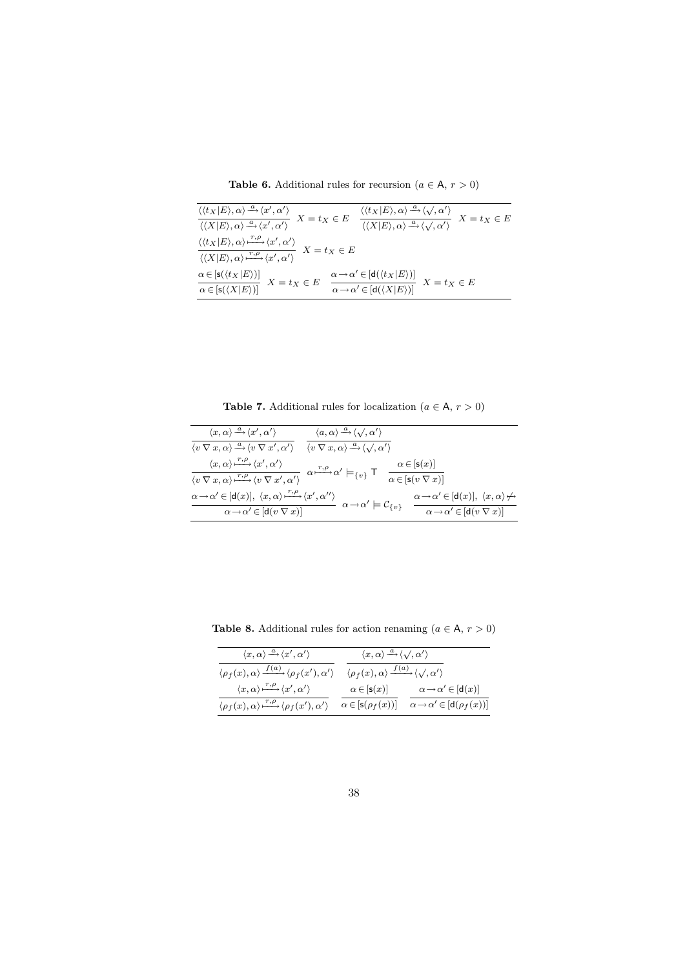Table 6. Additional rules for recursion ( $a \in A$ ,  $r > 0$ )

| $\frac{\langle \langle t_X   E \rangle, \alpha \rangle \xrightarrow{\alpha} \langle x', \alpha' \rangle}{\langle \langle X   E \rangle, \alpha \rangle \xrightarrow{\alpha} \langle x', \alpha' \rangle} X = t_X \in E$                                                                     | $\frac{\langle \langle t_X   E \rangle, \alpha \rangle \xrightarrow{\alpha} \langle \sqrt{\alpha'} \rangle}{\langle \langle X   E \rangle, \alpha \rangle \xrightarrow{\alpha} \langle \sqrt{\alpha'} \rangle} X = t_X \in E$                                                                 |
|---------------------------------------------------------------------------------------------------------------------------------------------------------------------------------------------------------------------------------------------------------------------------------------------|-----------------------------------------------------------------------------------------------------------------------------------------------------------------------------------------------------------------------------------------------------------------------------------------------|
| $\frac{\langle \langle t_X E \rangle, \alpha \rangle \frac{r,\rho}{\langle \langle X E \rangle, \alpha' \rangle} \langle x', \alpha' \rangle}{\langle \langle X E \rangle, \alpha \rangle \frac{r,\rho}{\langle \langle x', \alpha' \rangle} \langle x', \alpha' \rangle} \;\; X=t_X \in E$ |                                                                                                                                                                                                                                                                                               |
|                                                                                                                                                                                                                                                                                             | $\frac{\alpha \in [\mathsf{s}(\langle t_X E \rangle)]}{\alpha \in [\mathsf{s}(\langle X E \rangle)]} \ \ X = t_X \in E \quad \frac{\alpha \mathop{\to} \alpha' \in [\mathsf{d}(\langle t_X E \rangle)]}{\alpha \mathop{\to} \alpha' \in [\mathsf{d}(\langle X E \rangle)]} \ \ X = t_X \in E$ |
|                                                                                                                                                                                                                                                                                             |                                                                                                                                                                                                                                                                                               |

**Table 7.** Additional rules for localization  $(a \in \mathsf{A}, r > 0)$ 

| $\langle x, \alpha \rangle \stackrel{a}{\rightarrow} \langle x', \alpha' \rangle$                                               | $\langle a,\alpha \rangle \stackrel{a}{\rightarrow} \langle \sqrt{,\alpha'} \rangle$          |                                                                                |
|---------------------------------------------------------------------------------------------------------------------------------|-----------------------------------------------------------------------------------------------|--------------------------------------------------------------------------------|
| $\langle v \nabla x, \alpha \rangle \stackrel{a}{\rightarrow} \langle v \nabla x', \alpha' \rangle$                             | $\langle v \nabla x, \alpha \rangle \stackrel{a}{\rightarrow} \langle \sqrt{\alpha'} \rangle$ |                                                                                |
| $\langle x, \alpha \rangle \stackrel{r,\rho}{\longmapsto} \langle x', \alpha' \rangle$                                          | $\alpha \xrightarrow{r,\rho} \alpha' \models_{\{v\}} \mathsf{T}$                              | $\alpha \in  s(x) $                                                            |
| $\langle v \nabla x, \alpha \rangle \stackrel{r,\rho}{\longmapsto} \langle v \nabla x', \alpha' \rangle$                        |                                                                                               | $\alpha \in [\mathsf{s}(v \nabla x)]$                                          |
| $\alpha \rightarrow \alpha' \in [\mathsf{d}(x)], \ \langle x, \alpha \rangle \rightarrow{r, \rho} \langle x', \alpha'' \rangle$ |                                                                                               | $\alpha \rightarrow \alpha' \in [d(x)], \langle x, \alpha \rangle \not\mapsto$ |
| $\alpha \rightarrow \alpha' \in [d(v \nabla x)]$                                                                                | $\alpha \rightarrow \alpha' \models \mathcal{C}_{\{v\}}$                                      | $\alpha \rightarrow \alpha' \in [d(v \nabla x)]$                               |

**Table 8.** Additional rules for action renaming  $(a \in \mathsf{A}, r > 0)$ 

| $\langle x, \alpha \rangle \stackrel{a}{\longrightarrow} \langle x', \alpha' \rangle$                      | $\langle x, \alpha \rangle \xrightarrow{a} \langle \sqrt{\alpha'} \rangle$                     |                                                  |  |
|------------------------------------------------------------------------------------------------------------|------------------------------------------------------------------------------------------------|--------------------------------------------------|--|
| $\langle \rho_f(x), \alpha \rangle \xrightarrow{f(a)} \langle \rho_f(x'), \alpha' \rangle$                 | $\langle \rho_f(x), \alpha \rangle \frac{f(a)}{\sqrt{2\pi}} \langle \sqrt{2}, \alpha' \rangle$ |                                                  |  |
| $\langle x, \alpha \rangle \stackrel{r,\rho}{\longrightarrow} \langle x', \alpha' \rangle$                 | $\alpha \in [\mathsf{s}(x)]$                                                                   | $\alpha \rightarrow \alpha' \in [\mathsf{d}(x)]$ |  |
| $\langle \rho_f(x), \alpha \rangle \stackrel{r,\rho}{\longrightarrow} \langle \rho_f(x'), \alpha' \rangle$ | $\alpha \in [s(\rho_f(x))]$                                                                    | $\alpha \rightarrow \alpha' \in [d(\rho_f(x))]$  |  |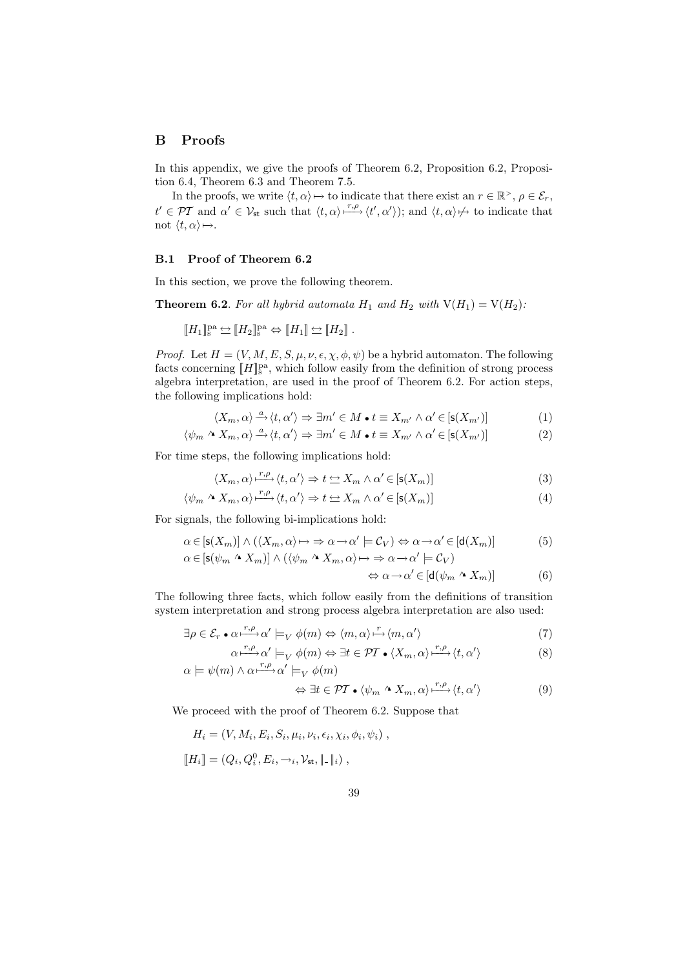# B Proofs

In this appendix, we give the proofs of Theorem 6.2, Proposition 6.2, Proposition 6.4, Theorem 6.3 and Theorem 7.5.

In the proofs, we write  $\langle t, \alpha \rangle \mapsto$  to indicate that there exist an  $r \in \mathbb{R}^>$ ,  $\rho \in \mathcal{E}_r$ ,  $t' \in \mathcal{PT}$  and  $\alpha' \in \mathcal{V}_{st}$  such that  $\langle t, \alpha \rangle \stackrel{r,\rho}{\longrightarrow} \langle t', \alpha' \rangle$ ; and  $\langle t, \alpha \rangle \nrightarrow$  to indicate that not  $\langle t, \alpha \rangle \mapsto$ .

## B.1 Proof of Theorem 6.2

In this section, we prove the following theorem.

**Theorem 6.2.** For all hybrid automata  $H_1$  and  $H_2$  with  $V(H_1) = V(H_2)$ :

$$
[\![H_1]\!]_s^{\text{pa}} \hookrightarrow [\![H_2]\!]_s^{\text{pa}} \Leftrightarrow [\![H_1]\!] \hookrightarrow [\![H_2]\!]\ .
$$

*Proof.* Let  $H = (V, M, E, S, \mu, \nu, \epsilon, \chi, \phi, \psi)$  be a hybrid automaton. The following facts concerning  $[\![H]\!]_{\text{s}}^{\text{pa}},$  which follow easily from the definition of strong process algebra interpretation, are used in the proof of Theorem 6.2. For action steps, the following implications hold:

$$
\langle X_m, \alpha \rangle \xrightarrow{a} \langle t, \alpha' \rangle \Rightarrow \exists m' \in M \bullet t \equiv X_{m'} \land \alpha' \in [s(X_{m'})]
$$
(1)

$$
\langle \psi_m \wedge X_m, \alpha \rangle \xrightarrow{a} \langle t, \alpha' \rangle \Rightarrow \exists m' \in M \bullet t \equiv X_{m'} \land \alpha' \in [s(X_{m'})]
$$
 (2)

For time steps, the following implications hold:

$$
\langle X_m, \alpha \rangle \stackrel{r, \rho}{\longrightarrow} \langle t, \alpha' \rangle \Rightarrow t \Leftrightarrow X_m \wedge \alpha' \in [\mathsf{s}(X_m)] \tag{3}
$$

$$
\langle \psi_m \wedge X_m, \alpha \rangle \xrightarrow{r, \rho} \langle t, \alpha' \rangle \Rightarrow t \Leftrightarrow X_m \wedge \alpha' \in [s(X_m)] \tag{4}
$$

For signals, the following bi-implications hold:

$$
\alpha \in [\mathsf{s}(X_m)] \land (\langle X_m, \alpha \rangle \mapsto \Rightarrow \alpha \to \alpha' \models \mathcal{C}_V) \Leftrightarrow \alpha \to \alpha' \in [\mathsf{d}(X_m)]
$$
  
\n
$$
\alpha \in [\mathsf{s}(\psi_m \land X_m)] \land (\langle \psi_m \land X_m, \alpha \rangle \mapsto \Rightarrow \alpha \to \alpha' \models \mathcal{C}_V)
$$
\n(5)

$$
\Leftrightarrow \alpha \to \alpha' \in [\mathsf{d}(\psi_m \wedge X_m)] \tag{6}
$$

The following three facts, which follow easily from the definitions of transition system interpretation and strong process algebra interpretation are also used:

$$
\exists \rho \in \mathcal{E}_r \bullet \alpha \xrightarrow{r,\rho} \alpha' \models_V \phi(m) \Leftrightarrow \langle m,\alpha \rangle \xrightarrow{r} \langle m,\alpha' \rangle \tag{7}
$$

$$
\alpha \xrightarrow{r,\rho} \alpha' \models_V \phi(m) \Leftrightarrow \exists t \in \mathcal{PT} \bullet \langle X_m, \alpha \rangle \xrightarrow{r,\rho} \langle t, \alpha' \rangle
$$
  
\n
$$
\alpha \models \psi(m) \land \alpha \xrightarrow{r,\rho} \alpha' \models_V \phi(m)
$$
\n(8)

$$
\Leftrightarrow \exists t \in \mathcal{PI} \bullet \langle \psi_m \wedge X_m, \alpha \rangle \xrightarrow{r, \rho} \langle t, \alpha' \rangle \tag{9}
$$

We proceed with the proof of Theorem 6.2. Suppose that

$$
H_i = (V, M_i, E_i, S_i, \mu_i, \nu_i, \epsilon_i, \chi_i, \phi_i, \psi_i),
$$
  

$$
[[H_i]] = (Q_i, Q_i^0, E_i, \rightarrow_i, \mathcal{V}_{st}, ||-||_i),
$$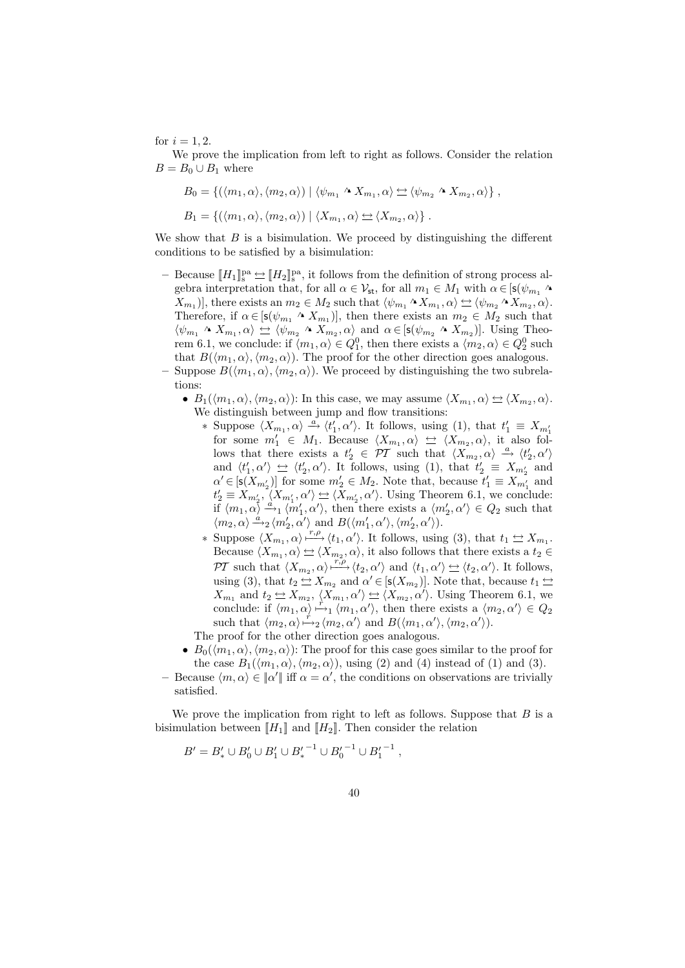for  $i = 1, 2$ .

We prove the implication from left to right as follows. Consider the relation  $B = B_0 \cup B_1$  where

$$
B_0 = \{ (\langle m_1, \alpha \rangle, \langle m_2, \alpha \rangle) \mid \langle \psi_{m_1} \wedge X_{m_1}, \alpha \rangle \simeq \langle \psi_{m_2} \wedge X_{m_2}, \alpha \rangle \},
$$
  

$$
B_1 = \{ (\langle m_1, \alpha \rangle, \langle m_2, \alpha \rangle) \mid \langle X_{m_1}, \alpha \rangle \simeq \langle X_{m_2}, \alpha \rangle \}.
$$

We show that  $B$  is a bisimulation. We proceed by distinguishing the different conditions to be satisfied by a bisimulation:

- Because  $[[H_1]]_s^{\text{pa}} \triangleq [[H_2]]_s^{\text{pa}}$ , it follows from the definition of strong process algebra interpretation that, for all  $\alpha \in \mathcal{V}_{st}$ , for all  $m_1 \in M_1$  with  $\alpha \in [\mathsf{s}(\psi_{m_1} \wedge$  $X_{m_1}$ ], there exists an  $m_2 \in M_2$  such that  $\langle \psi_{m_1} \wedge X_{m_1}, \alpha \rangle \simeq \langle \psi_{m_2} \wedge X_{m_2}, \alpha \rangle$ . Therefore, if  $\alpha \in [s(\psi_{m_1} \wedge X_{m_1})],$  then there exists an  $m_2 \in M_2$  such that  $\langle \psi_{m_1} \wedge X_{m_1}, \alpha \rangle \Leftrightarrow \langle \psi_{m_2} \wedge X_{m_2}, \alpha \rangle$  and  $\alpha \in [\mathsf{s}(\psi_{m_2} \wedge X_{m_2})]$ . Using Theorem 6.1, we conclude: if  $\langle m_1, \alpha \rangle \in Q_1^0$ , then there exists a  $\langle m_2, \alpha \rangle \in Q_2^0$  such that  $B(\langle m_1, \alpha \rangle, \langle m_2, \alpha \rangle)$ . The proof for the other direction goes analogous.
- Suppose  $B(\langle m_1, \alpha \rangle, \langle m_2, \alpha \rangle)$ . We proceed by distinguishing the two subrelations:
	- $B_1(\langle m_1, \alpha \rangle, \langle m_2, \alpha \rangle)$ : In this case, we may assume  $\langle X_{m_1}, \alpha \rangle \leq \langle X_{m_2}, \alpha \rangle$ . We distinguish between jump and flow transitions:
		- \* Suppose  $\langle X_{m_1}, \alpha \rangle \stackrel{a}{\rightarrow} \langle t_1', \alpha' \rangle$ . It follows, using (1), that  $t_1' \equiv X_{m_1'}$ for some  $m'_1 \in M_1$ . Because  $\langle X_{m_1}, \alpha \rangle \nightharpoonup \langle X_{m_2}, \alpha \rangle$ , it also follows that there exists a  $t'_2 \in \overline{PT}$  such that  $\langle X_{m_2}, \alpha \rangle \stackrel{a}{\rightarrow} \langle t'_2, \alpha' \rangle$ and  $\langle t'_1, \alpha' \rangle \leftrightarrow \langle t'_2, \alpha' \rangle$ . It follows, using (1), that  $t'_2 \equiv X_{m'_2}$  and  $\alpha' \in [s(X_{m'_2})]$  for some  $m'_2 \in M_2$ . Note that, because  $t'_1 \equiv X_{m'_1}$  and  $t'_2 \equiv X_{m'_2}, \langle X_{m'_1}, \alpha' \rangle \Leftrightarrow \langle X_{m'_2}, \alpha' \rangle$ . Using Theorem 6.1, we conclude: if  $\langle m_1, \alpha \rangle \stackrel{a}{\rightarrow}_1 \langle m_1', \alpha' \rangle$ , then there exists a  $\langle m_2', \alpha' \rangle \in Q_2$  such that  $\langle m_2, \alpha \rangle \stackrel{\dot{a}}{\rightarrow} {}_2 \langle m_2', \alpha' \rangle$  and  $B(\langle m_1', \alpha' \rangle, \langle m_2', \alpha' \rangle)$ .
		- \* Suppose  $\langle X_{m_1}, \alpha \rangle \stackrel{r,\rho}{\longmapsto} \langle t_1, \alpha' \rangle$ . It follows, using (3), that  $t_1 \trianglelefteq X_{m_1}$ . Because  $\langle X_{m_1}, \alpha \rangle \trianglelefteq \langle X_{m_2}, \alpha \rangle$ , it also follows that there exists a  $t_2 \in$ PT such that  $\langle X_{m_2}, \alpha \rangle \longrightarrow^{\overline{r,\rho}} \langle t_2, \alpha' \rangle$  and  $\langle t_1, \alpha' \rangle \nightharpoonup \langle t_2, \alpha' \rangle$ . It follows, using (3), that  $t_2 \Leftrightarrow X_{m_2}$  and  $\alpha' \in [\mathsf{s}(X_{m_2})]$ . Note that, because  $t_1 \Leftrightarrow$  $X_{m_1}$  and  $t_2 \leq X_{m_2}$ ,  $\langle X_{m_1}, \alpha' \rangle \leq \langle X_{m_2}, \alpha' \rangle$ . Using Theorem 6.1, we conclude: if  $\langle m_1, \alpha \rangle \stackrel{r}{\mapsto}_1 \langle m_1, \alpha' \rangle$ , then there exists a  $\langle m_2, \alpha' \rangle \in Q_2$ such that  $\langle m_2, \alpha \rangle \stackrel{\scriptscriptstyle\prime}{\mapsto}_2 \langle m_2, \alpha' \rangle$  and  $B(\langle m_1, \alpha' \rangle, \langle m_2, \alpha' \rangle)$ .

The proof for the other direction goes analogous.

- $B_0(\langle m_1, \alpha \rangle, \langle m_2, \alpha \rangle)$ : The proof for this case goes similar to the proof for the case  $B_1(\langle m_1, \alpha \rangle, \langle m_2, \alpha \rangle)$ , using (2) and (4) instead of (1) and (3).
- Because  $\langle m, \alpha \rangle \in |\alpha'|$  iff  $\alpha = \alpha'$ , the conditions on observations are trivially satisfied.

We prove the implication from right to left as follows. Suppose that  $B$  is a bisimulation between  $[[H_1]]$  and  $[[H_2]]$ . Then consider the relation

$$
B' = B'_* \cup B'_0 \cup B'_1 \cup {B'_*}^{-1} \cup {B'_0}^{-1} \cup {B'_1}^{-1},
$$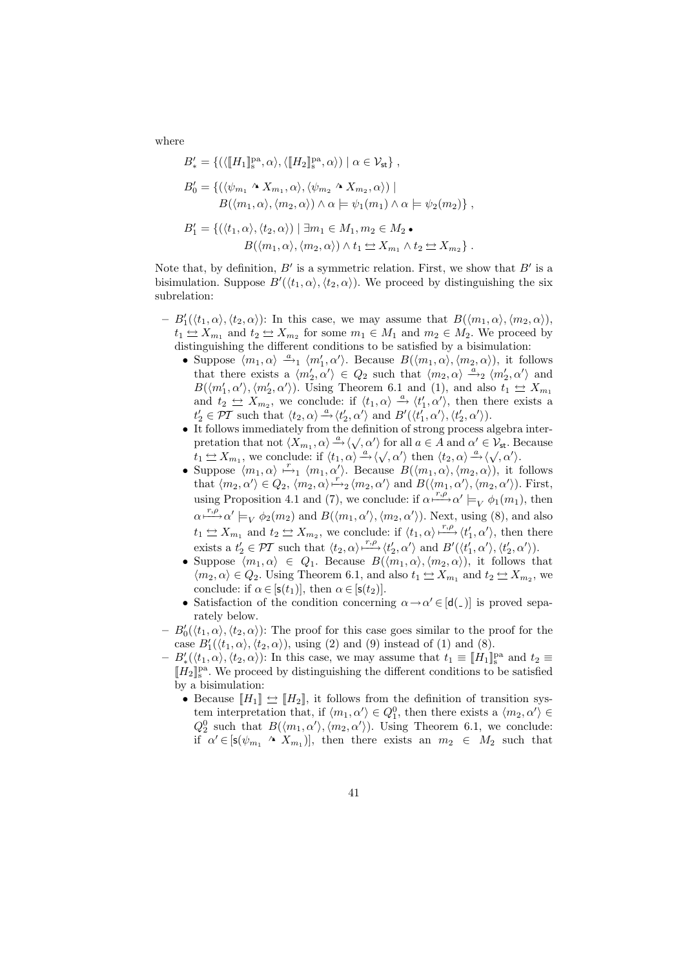where

$$
B'_{*} = \{ (\langle [H_{1}]_{s}^{\text{pa}}, \alpha \rangle, \langle [H_{2}]_{s}^{\text{pa}}, \alpha \rangle) \mid \alpha \in \mathcal{V}_{\text{st}} \},
$$
  
\n
$$
B'_{0} = \{ (\langle \psi_{m_{1}} \wedge X_{m_{1}}, \alpha \rangle, \langle \psi_{m_{2}} \wedge X_{m_{2}}, \alpha \rangle) \mid
$$
  
\n
$$
B(\langle m_{1}, \alpha \rangle, \langle m_{2}, \alpha \rangle) \wedge \alpha \models \psi_{1}(m_{1}) \wedge \alpha \models \psi_{2}(m_{2}) \},
$$
  
\n
$$
B'_{1} = \{ (\langle t_{1}, \alpha \rangle, \langle t_{2}, \alpha \rangle) \mid \exists m_{1} \in M_{1}, m_{2} \in M_{2} \bullet
$$
  
\n
$$
B(\langle m_{1}, \alpha \rangle, \langle m_{2}, \alpha \rangle) \wedge t_{1} \simeq X_{m_{1}} \wedge t_{2} \simeq X_{m_{2}} \}.
$$

Note that, by definition,  $B'$  is a symmetric relation. First, we show that  $B'$  is a bisimulation. Suppose  $B'(\langle t_1, \alpha \rangle, \langle t_2, \alpha \rangle)$ . We proceed by distinguishing the six subrelation:

- $-B'_1(\langle t_1, \alpha \rangle, \langle t_2, \alpha \rangle)$ : In this case, we may assume that  $B(\langle m_1, \alpha \rangle, \langle m_2, \alpha \rangle)$ ,  $t_1 \trianglelefteq X_{m_1}$  and  $t_2 \trianglelefteq X_{m_2}$  for some  $m_1 \in M_1$  and  $m_2 \in M_2$ . We proceed by distinguishing the different conditions to be satisfied by a bisimulation:
	- Suppose  $\langle m_1, \alpha \rangle \stackrel{a}{\longrightarrow}_1 \langle m_1', \alpha' \rangle$ . Because  $B(\langle m_1, \alpha \rangle, \langle m_2, \alpha \rangle)$ , it follows that there exists a  $\langle m'_2, \alpha' \rangle \in Q_2$  such that  $\langle m_2, \alpha \rangle \stackrel{a}{\rightarrow}_2 \langle m'_2, \alpha' \rangle$  and  $B(\langle m'_1, \alpha'\rangle, \langle m'_2, \alpha'\rangle)$ . Using Theorem 6.1 and (1), and also  $t_1 \Leftrightarrow X_{m_1}$ and  $t_2 \Leftrightarrow X_{m_2}$ , we conclude: if  $\langle t_1, \alpha \rangle \stackrel{a}{\rightarrow} \langle t_1', \alpha' \rangle$ , then there exists a  $t'_2 \in \mathcal{PT}$  such that  $\langle t_2, \alpha \rangle \stackrel{a}{\rightarrow} \langle t'_2, \alpha' \rangle$  and  $B'(\langle t'_1, \alpha' \rangle, \langle t'_2, \alpha' \rangle)$ .
	- It follows immediately from the definition of strong process algebra inter-To follow a immediately from the definition of strong process algebra interpretation that not  $\langle X_{m_1}, \alpha \rangle \stackrel{a}{\rightarrow} \langle \sqrt{\alpha'} \rangle$  for all  $a \in A$  and  $\alpha' \in \mathcal{V}_{st}$ . Because precision that not  $\langle X_{m_1}, \alpha \rangle \rightarrow \langle \sqrt{\alpha} \rangle$  for an  $\alpha \in A$  and  $\alpha \in V_{st}$ . B<br>  $t_1 \leftrightarrow X_{m_1}$ , we conclude: if  $\langle t_1, \alpha \rangle \stackrel{a}{\rightarrow} \langle \sqrt{\alpha'} \rangle$  then  $\langle t_2, \alpha \rangle \stackrel{a}{\rightarrow} \langle \sqrt{\alpha'} \rangle$ .
	- Suppose  $\langle m_1, \alpha \rangle \stackrel{r}{\mapsto}_1 \langle m_1, \alpha' \rangle$ . Because  $B(\langle m_1, \alpha \rangle, \langle m_2, \alpha \rangle)$ , it follows that  $\langle m_2, \alpha' \rangle \in Q_2$ ,  $\langle m_2, \alpha \rangle \stackrel{r'}{\mapsto} \langle m_2, \alpha' \rangle$  and  $B(\langle m_1, \alpha' \rangle, \langle m_2, \alpha' \rangle)$ . First, using Proposition 4.1 and (7), we conclude: if  $\alpha \stackrel{r,\rho}{\longmapsto} \alpha' \models_V \phi_1(m_1)$ , then  $\alpha \xrightarrow{r,\rho} \alpha' \models_V \phi_2(m_2)$  and  $B(\langle m_1, \alpha' \rangle, \langle m_2, \alpha' \rangle)$ . Next, using (8), and also  $t_1 \Leftrightarrow X_{m_1}$  and  $t_2 \Leftrightarrow X_{m_2}$ , we conclude: if  $\langle t_1, \alpha \rangle \stackrel{r, \rho}{\longrightarrow} \langle t_1', \alpha' \rangle$ , then there exists a  $t'_2 \in \mathcal{PI}$  such that  $\langle t_2, \alpha \rangle \xrightarrow{r,\rho} \langle t'_2, \alpha' \rangle$  and  $B'(\langle t'_1, \alpha' \rangle, \langle t'_2, \alpha' \rangle)$ .
	- Suppose  $\langle m_1, \alpha \rangle \in Q_1$ . Because  $B(\langle m_1, \alpha \rangle, \langle m_2, \alpha \rangle)$ , it follows that  $\langle m_2, \alpha \rangle \in Q_2$ . Using Theorem 6.1, and also  $t_1 \Leftrightarrow X_{m_1}$  and  $t_2 \Leftrightarrow X_{m_2}$ , we conclude: if  $\alpha \in [s(t_1)],$  then  $\alpha \in [s(t_2)].$
	- Satisfaction of the condition concerning  $\alpha \rightarrow \alpha' \in [d(\_)]$  is proved separately below.
- $-B'_0(\langle t_1, \alpha \rangle, \langle t_2, \alpha \rangle)$ : The proof for this case goes similar to the proof for the case  $B'_{1}(\langle t_1, \alpha \rangle, \langle t_2, \alpha \rangle)$ , using (2) and (9) instead of (1) and (8).
- $B'_{*}(\langle t_1, \alpha \rangle, \langle t_2, \alpha \rangle)$ : In this case, we may assume that  $t_1 \equiv [H_1]_s^{\text{pa}}$  and  $t_2 \equiv$  $[\![H_2]\!]_{{\bf s}}^{{\rm pa}}.$  We proceed by distinguishing the different conditions to be satisfied by a bisimulation:
	- Because  $[[H_1]] \leftrightarrow [[H_2]]$ , it follows from the definition of transition system interpretation that, if  $\langle m_1, \alpha' \rangle \in Q_1^0$ , then there exists a  $\langle m_2, \alpha' \rangle \in$  $Q_2^0$  such that  $B(\langle m_1, \alpha' \rangle, \langle m_2, \alpha' \rangle)$ . Using Theorem 6.1, we conclude: if  $\alpha' \in [s(\psi_{m_1} \wedge X_{m_1})],$  then there exists an  $m_2 \in M_2$  such that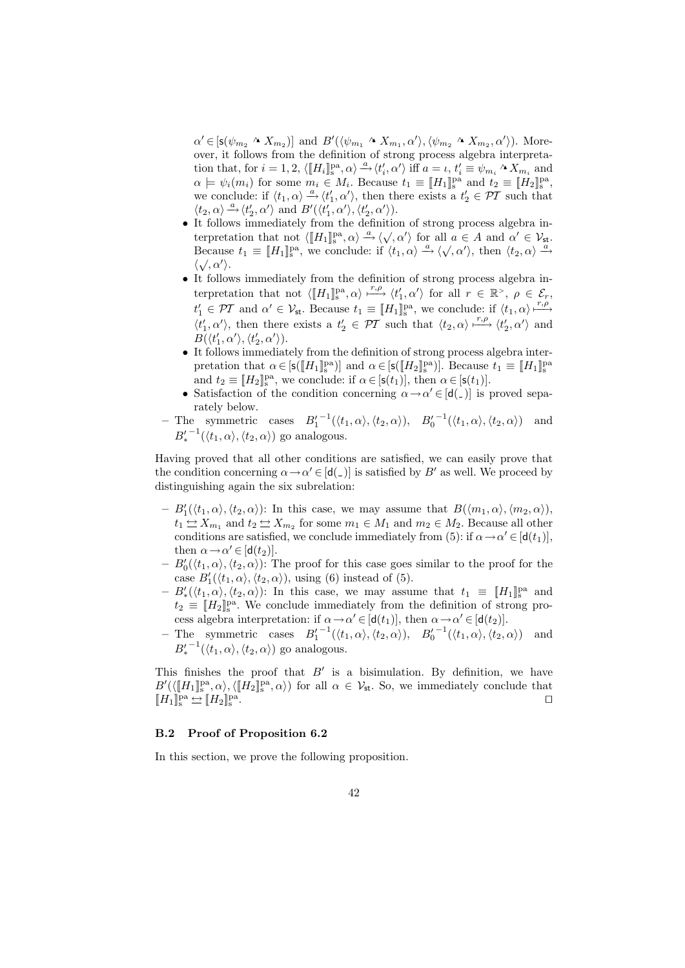$\alpha' \in [s(\psi_{m_2} \land X_{m_2})]$  and  $B'(\langle \psi_{m_1} \land X_{m_1}, \alpha' \rangle, \langle \psi_{m_2} \land X_{m_2}, \alpha' \rangle)$ . Moreover, it follows from the definition of strong process algebra interpretation that, for  $i = 1, 2, \langle \llbracket H_i \rrbracket_s^{\text{pa}}, \alpha \rangle \stackrel{a}{\rightarrow} \langle t'_i, \alpha' \rangle$  iff  $a = \iota, t'_i \equiv \psi_{m_i} \wedge X_{m_i}$  and  $\alpha \models \psi_i(m_i)$  for some  $m_i \in M_i$ . Because  $t_1 \equiv [H_1]_{\text{S}}^{\text{pa}}$  and  $t_2 \equiv [H_2]_{\text{S}}^{\text{pa}}$ , we conclude: if  $\langle t_1, \alpha \rangle \stackrel{a}{\longrightarrow} \langle t_1', \alpha' \rangle$ , then there exists a  $t_2 \in \mathcal{PT}$  such that  $\langle t_2, \alpha \rangle \stackrel{a}{\longrightarrow} \langle t_2', \alpha' \rangle$  and  $B'(\langle t_1', \alpha' \rangle, \langle t_2', \alpha' \rangle)$ .

- It follows immediately from the definition of strong process algebra in-To follow a minimizately from the definition of strong process algebra in-<br>terpretation that not  $\langle [H_1]_s^{pa}, \alpha \rangle \stackrel{a}{\rightarrow} \langle \sqrt{, \alpha'} \rangle$  for all  $a \in A$  and  $\alpha' \in V_{st}$ . beth the term of the state of  $\langle \llbracket H_1 \rrbracket_s^2$ ,  $\alpha \rangle \rightarrow \langle \lor, \alpha \rangle$  for an  $a \in A$  and  $\alpha \in V_{st}$ .<br>Because  $t_1 \equiv \llbracket H_1 \rrbracket_s^{pa}$ , we conclude: if  $\langle t_1, \alpha \rangle \rightarrow \langle \sqrt{, \alpha'} \rangle$ , then  $\langle t_2, \alpha \rangle \rightarrow$  $\langle \sqrt{\, \alpha'} \rangle$ .
- It follows immediately from the definition of strong process algebra interpretation that not  $\langle \llbracket H_1 \rrbracket_s^{\text{pa}}, \alpha \rangle \stackrel{r,\rho}{\longrightarrow} \langle t_1', \alpha' \rangle$  for all  $r \in \mathbb{R}^{\geq}$ ,  $\rho \in \mathcal{E}_r$ ,  $t'_1 \in \mathcal{PT}$  and  $\alpha' \in \mathcal{V}_{st}$ . Because  $t_1 \equiv \llbracket H_1 \rrbracket_s^{\text{pa}},$  we conclude: if  $\langle t_1, \alpha \rangle \stackrel{r,\rho}{\longmapsto}$  $\langle t'_1,\alpha'\rangle$ , then there exists a  $t'_2 \in \mathcal{PT}$  such that  $\langle t_2,\alpha\rangle \stackrel{r,\rho}{\longrightarrow} \langle t'_2,\alpha'\rangle$  and  $B(\langle t'_1,\alpha'\rangle,\langle t'_2,\alpha'\rangle).$
- It follows immediately from the definition of strong process algebra interpretation that  $\alpha \in [s([H_1]_s^{pa})]$  and  $\alpha \in [s([H_2]_s^{pa})]$ . Because  $t_1 \equiv [H_1]_s^{pa}$ and  $t_2 \equiv [H_2]_s^{\text{pa}}$ , we conclude: if  $\alpha \in [\mathsf{s}(t_1)],$  then  $\alpha \in [\mathsf{s}(t_1)].$
- Satisfaction of the condition concerning  $\alpha \rightarrow \alpha' \in [d(\_)]$  is proved separately below.
- The symmetric cases  $B_1'^{-1}(\langle t_1, \alpha \rangle, \langle t_2, \alpha \rangle)$ ,  $B_0'^{-1}(\langle t_1, \alpha \rangle, \langle t_2, \alpha \rangle)$  and  $B'_*^{-1}(\langle t_1,\alpha\rangle,\langle t_2,\alpha\rangle)$  go analogous.

Having proved that all other conditions are satisfied, we can easily prove that the condition concerning  $\alpha \rightarrow \alpha' \in [d(\alpha)]$  is satisfied by B' as well. We proceed by distinguishing again the six subrelation:

- $-B'_1(\langle t_1, \alpha \rangle, \langle t_2, \alpha \rangle)$ : In this case, we may assume that  $B(\langle m_1, \alpha \rangle, \langle m_2, \alpha \rangle)$ ,  $t_1 \leq X_{m_1}$  and  $t_2 \leq X_{m_2}$  for some  $m_1 \in M_1$  and  $m_2 \in M_2$ . Because all other conditions are satisfied, we conclude immediately from (5): if  $\alpha \to \alpha' \in [d(t_1)],$ then  $\alpha \rightarrow \alpha' \in [\mathsf{d}(t_2)].$
- $-B'_0(\langle t_1, \alpha \rangle, \langle t_2, \alpha \rangle)$ : The proof for this case goes similar to the proof for the case  $B_1'(\langle t_1, \alpha \rangle, \langle t_2, \alpha \rangle)$ , using (6) instead of (5).
- $-B'_*(\langle t_1, \alpha \rangle, \langle t_2, \alpha \rangle)$ : In this case, we may assume that  $t_1 \equiv [H_1]_s^{\text{pa}}$  and  $t_2 \equiv [H_2]_s^{\text{pa}}$ . We conclude immediately from the definition of strong process algebra interpretation: if  $\alpha \rightarrow \alpha' \in [\mathbf{d}(t_1)],$  then  $\alpha \rightarrow \alpha' \in [\mathbf{d}(t_2)].$
- The symmetric cases  $B_1'^{-1}(\langle t_1, \alpha \rangle, \langle t_2, \alpha \rangle)$ ,  $B_0'^{-1}(\langle t_1, \alpha \rangle, \langle t_2, \alpha \rangle)$  and  $B'_*^{-1}(\langle t_1, \alpha \rangle, \langle t_2, \alpha \rangle)$  go analogous.

This finishes the proof that  $B'$  is a bisimulation. By definition, we have  $B'(\langle \llbracket H_1 \rrbracket_s^{\text{pa}}, \alpha \rangle, \langle \llbracket H_2 \rrbracket_s^{\text{pa}}, \alpha \rangle)$  for all  $\alpha \in V_{\text{st}}$ . So, we immediately conclude that  $[\![H_1]\!]_{\text{s}}^{\text{pa}}\!\leftrightarrows[\![H_2]\!]_{\text{s}}^{\text{pa}}$ . The contract of the contract of the contract of the contract of  $\Box$ 

### B.2 Proof of Proposition 6.2

In this section, we prove the following proposition.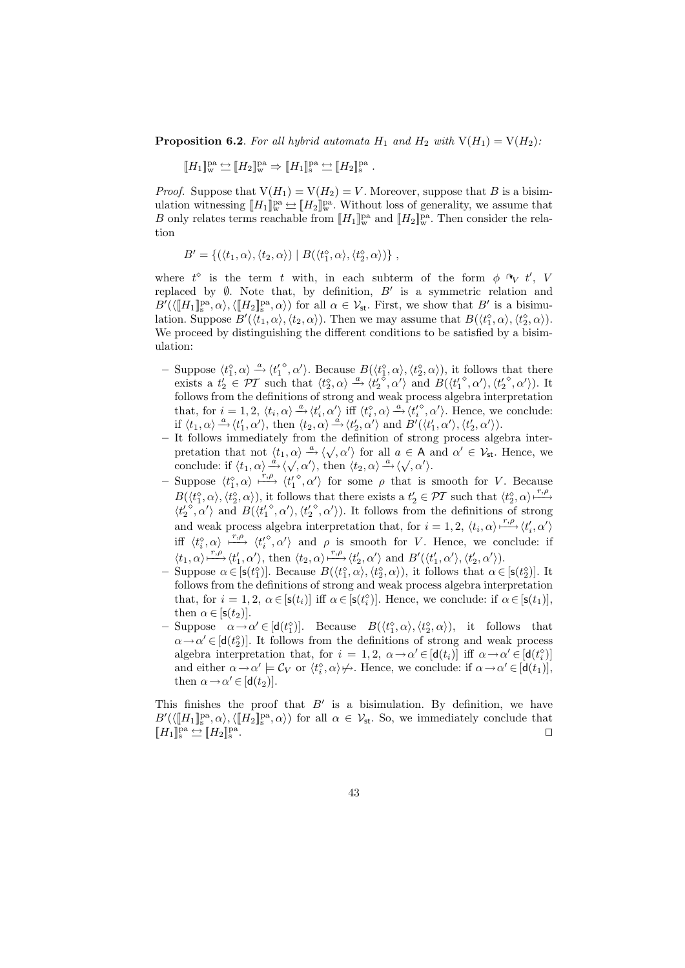**Proposition 6.2.** For all hybrid automata  $H_1$  and  $H_2$  with  $V(H_1) = V(H_2)$ :

 $[\![H_1]\!]_{\mathrm{w}}^{\mathrm{pa}}\hookrightarrow[\![H_2]\!]_{\mathrm{w}}^{\mathrm{pa}}\Rightarrow[\![H_1]\!]_{\mathrm{s}}^{\mathrm{pa}}\hookrightarrow[\![H_2]\!]_{\mathrm{s}}^{\mathrm{pa}}\;.$ 

*Proof.* Suppose that  $V(H_1) = V(H_2) = V$ . Moreover, suppose that B is a bisimulation witnessing  $[[H_1]]_w^{\text{pa}} \underline{\leftrightarrow} [[H_2]]_w^{\text{pa}}$ . Without loss of generality, we assume that B only relates terms reachable from  $[[H_1]]_w^{\text{pa}}$  and  $[[H_2]]_w^{\text{pa}}$ . Then consider the relation

$$
B' = \{ (\langle t_1, \alpha \rangle, \langle t_2, \alpha \rangle) \mid B(\langle t_1^\diamond, \alpha \rangle, \langle t_2^\diamond, \alpha \rangle) \},
$$

where  $t^{\diamond}$  is the term t with, in each subterm of the form  $\phi \rightarrow V t'$ , V replaced by  $\emptyset$ . Note that, by definition,  $B'$  is a symmetric relation and  $B'(\langle \llbracket H_1 \rrbracket_s^{\text{pa}}, \alpha \rangle, \langle \llbracket H_2 \rrbracket_s^{\text{pa}}, \alpha \rangle)$  for all  $\alpha \in \mathcal{V}_{\text{st}}$ . First, we show that  $B'$  is a bisimulation. Suppose  $B'(\langle t_1, \alpha \rangle, \langle t_2, \alpha \rangle)$ . Then we may assume that  $B(\langle t_1^{\diamond}, \alpha \rangle, \langle t_2^{\diamond}, \alpha \rangle)$ . We proceed by distinguishing the different conditions to be satisfied by a bisimulation:

- Suppose  $\langle t_1^{\diamond}, \alpha \rangle \stackrel{a}{\rightarrow} \langle t_1'^{\diamond}, \alpha' \rangle$ . Because  $B(\langle t_1^{\diamond}, \alpha \rangle, \langle t_2^{\diamond}, \alpha \rangle)$ , it follows that there exists a  $t'_2 \text{ }\in \mathcal{PI}$  such that  $\langle t_2^{\diamond}, \alpha \rangle \stackrel{a}{\rightarrow} \langle t_2^{\prime} \stackrel{\diamond}{\diamond}, \alpha^{\prime} \rangle$  and  $B(\langle t_1^{\prime\circ}, \alpha^{\prime}\rangle, \langle t_2^{\prime\circ}, \alpha^{\prime}\rangle)$ . It follows from the definitions of strong and weak process algebra interpretation that, for  $i = 1, 2, \langle t_i, \alpha \rangle \stackrel{a}{\longrightarrow} \langle t_i', \alpha' \rangle$  iff  $\langle t_i^{\diamond}, \alpha \rangle \stackrel{a}{\longrightarrow} \langle t_i'^{\diamond}, \alpha' \rangle$ . Hence, we conclude: if  $\langle t_1, \alpha \rangle \stackrel{a}{\rightarrow} \langle t_1', \alpha' \rangle$ , then  $\langle t_2, \alpha \rangle \stackrel{d}{\rightarrow} \langle t_2', \alpha' \rangle$  and  $B'(\langle t_1', \alpha' \rangle, \langle t_2', \alpha' \rangle)$ .
- It follows immediately from the definition of strong process algebra interpretation that not  $\langle t_1, \alpha \rangle \stackrel{a}{\longrightarrow} \langle \sqrt{, \alpha'} \rangle$  for all  $a \in A$  and  $\alpha' \in V_{st}$ . Hence, we precation that not  $\langle t_1, \alpha \rangle \to \langle \sqrt{\alpha'} \rangle$  for an  $a \in A$  or<br>conclude: if  $\langle t_1, \alpha \rangle \to \langle \sqrt{\alpha'} \rangle$ , then  $\langle t_2, \alpha \rangle \to \langle \sqrt{\alpha'} \rangle$ .
- Suppose  $\langle t_1^{\diamond}, \alpha \rangle \xrightarrow{r,\rho} \langle t_1^{\diamond}, \alpha' \rangle$  for some *ρ* that is smooth for *V*. Because  $B(\langle t_1^{\diamond}, \alpha \rangle, \langle t_2^{\diamond}, \alpha \rangle)$ , it follows that there exists a  $t_2 \in \mathcal{PT}$  such that  $\langle t_2^{\diamond}, \alpha \rangle \xrightarrow{r,\rho}$  $\langle t_2^{\prime\delta}, \alpha^{\prime}\rangle$  and  $B(\langle t_1^{\prime\delta}, \alpha^{\prime}\rangle, \langle t_2^{\prime\delta}, \alpha^{\prime}\rangle)$ . It follows from the definitions of strong and weak process algebra interpretation that, for  $i = 1, 2, \langle t_i, \alpha \rangle \stackrel{r, \rho}{\longmapsto} \langle t'_i, \alpha' \rangle$ iff  $\langle t_i^{\diamond}, \alpha \rangle \xrightarrow{r,\rho} \langle t_i'^{\diamond}, \alpha' \rangle$  and  $\rho$  is smooth for V. Hence, we conclude: if  $\langle t_1, \alpha \rangle \stackrel{r, \rho}{\longmapsto} \langle t_1', \alpha' \rangle$ , then  $\langle t_2, \alpha \rangle \stackrel{r, \rho}{\longmapsto} \langle t_2', \alpha' \rangle$  and  $B'(\langle t_1', \alpha' \rangle, \langle t_2', \alpha' \rangle)$ .
- Suppose  $\alpha \in [s(t_1^{\diamond})]$ . Because  $B(\langle t_1^{\diamond}, \alpha \rangle, \langle t_2^{\diamond}, \alpha \rangle)$ , it follows that  $\alpha \in [s(t_2^{\diamond})]$ . It follows from the definitions of strong and weak process algebra interpretation that, for  $i = 1, 2, \alpha \in [\mathsf{s}(t_i)]$  iff  $\alpha \in [\mathsf{s}(t_i^{\diamond})]$ . Hence, we conclude: if  $\alpha \in [\mathsf{s}(t_1)],$ then  $\alpha \in [s(t_2)].$
- $-$  Suppose  $\alpha \rightarrow \alpha' \in [\mathsf{d}(t_1^{\diamond})]$ . Because  $B(\langle t_1^{\diamond}, \alpha \rangle, \langle t_2^{\diamond}, \alpha \rangle)$ , it follows that  $\alpha \rightarrow \alpha' \in [\textsf{d}(t_2^{\diamond})]$ . It follows from the definitions of strong and weak process algebra interpretation that, for  $i = 1, 2, \ \alpha \rightarrow \alpha' \in [\mathsf{d}(t_i)]$  iff  $\alpha \rightarrow \alpha' \in [\mathsf{d}(t_i^{\diamond})]$ and either  $\alpha \to \alpha' \models C_V$  or  $\langle t_i^{\diamond}, \alpha \rangle \nleftrightarrow$ . Hence, we conclude: if  $\alpha \to \alpha' \in [\mathsf{d}(t_1)],$ then  $\alpha \rightarrow \alpha' \in [\mathsf{d}(t_2)].$

This finishes the proof that  $B'$  is a bisimulation. By definition, we have  $B'(\langle \llbracket H_1 \rrbracket_s^{\text{pa}}, \alpha \rangle, \langle \llbracket H_2 \rrbracket_s^{\text{pa}}, \alpha \rangle)$  for all  $\alpha \in V_{\text{st}}$ . So, we immediately conclude that  $[\![H_1]\!]_{\text{s}}^{\text{pa}}\!\leftrightharpoons[\![H_2]\!]_{\text{s}}^{\text{pa}}$ . The contract of the contract of the contract of the contract of  $\Box$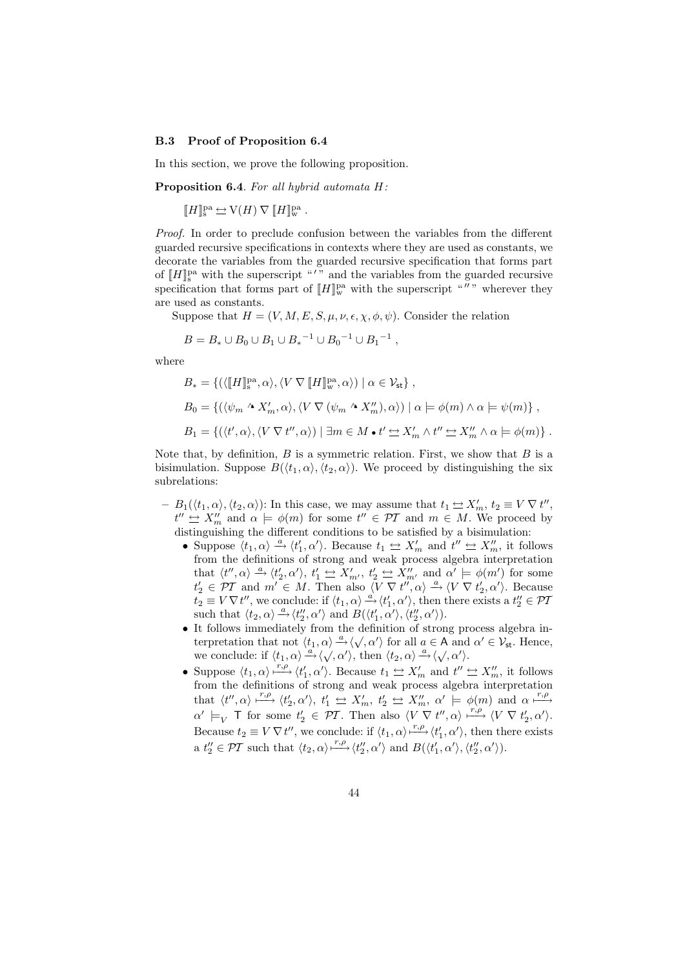#### B.3 Proof of Proposition 6.4

In this section, we prove the following proposition.

Proposition 6.4. For all hybrid automata H:

 $[\![H]\!]_{\text{S}}^{\text{pa}}\ensuremath{\hookrightarrow}\xspace\mathcal{V}(H)\,\nabla\,[\![H]\!]_{\text{w}}^{\text{pa}}$  .

Proof. In order to preclude confusion between the variables from the different guarded recursive specifications in contexts where they are used as constants, we decorate the variables from the guarded recursive specification that forms part of  $[[H]]_{\mathbf{s}}^{\text{pa}}$  with the superscript "'" and the variables from the guarded recursive specification that forms part of  $[[H]]_{w}^{pa}$  with the superscript """ wherever they are used as constants.

Suppose that  $H = (V, M, E, S, \mu, \nu, \epsilon, \chi, \phi, \psi)$ . Consider the relation

$$
B=B_*\cup B_0\cup B_1\cup B_*^{-1}\cup B_0^{-1}\cup B_1^{-1}\ ,
$$

where

$$
B_* = \{ (\langle [H]_s^{pa}, \alpha \rangle, \langle V \nabla [H]_w^{pa}, \alpha \rangle) \mid \alpha \in \mathcal{V}_{st} \},
$$
  
\n
$$
B_0 = \{ (\langle \psi_m \wedge X'_m, \alpha \rangle, \langle V \nabla (\psi_m \wedge X''_m), \alpha \rangle) \mid \alpha \models \phi(m) \wedge \alpha \models \psi(m) \},
$$
  
\n
$$
B_1 = \{ (\langle t', \alpha \rangle, \langle V \nabla t'', \alpha \rangle) \mid \exists m \in M \bullet t' \simeq X'_m \wedge t'' \simeq X''_m \wedge \alpha \models \phi(m) \}.
$$

Note that, by definition,  $B$  is a symmetric relation. First, we show that  $B$  is a bisimulation. Suppose  $B(\langle t_1, \alpha \rangle, \langle t_2, \alpha \rangle)$ . We proceed by distinguishing the six subrelations:

- $-B_1(\langle t_1, \alpha \rangle, \langle t_2, \alpha \rangle)$ : In this case, we may assume that  $t_1 \nightharpoonup X'_m$ ,  $t_2 \equiv V \nabla t''$ ,  $t'' \nightharpoonup X''_m$  and  $\alpha \models \phi(m)$  for some  $t'' \in \mathcal{PT}$  and  $m \in M$ . We proceed by distinguishing the different conditions to be satisfied by a bisimulation:
	- Suppose  $\langle t_1, \alpha \rangle \stackrel{a}{\rightarrow} \langle t'_1, \alpha' \rangle$ . Because  $t_1 \leftrightarrow X'_m$  and  $t'' \leftrightarrow X''_m$ , it follows from the definitions of strong and weak process algebra interpretation that  $\langle t'', \alpha \rangle \stackrel{a}{\rightarrow} \langle t'_2, \alpha' \rangle$ ,  $t'_1 \leq X'_{m'}$ ,  $t'_2 \leq \overline{X}''_{m'}$  and  $\alpha' \models \phi(m')$  for some  $t'_2 \in \overline{PI}$  and  $m' \in M$ . Then also  $\langle V \nabla t'', \alpha \rangle \stackrel{a}{\rightarrow} \langle V \nabla t'_2, \alpha' \rangle$ . Because  $t_2 \equiv V \nabla t''$ , we conclude: if  $\langle t_1, \alpha \rangle \stackrel{a}{\rightarrow} \langle t'_1, \alpha' \rangle$ , then there exists a  $t''_2 \in \mathcal{PI}$ such that  $\langle t_2, \alpha \rangle \stackrel{a}{\rightarrow} \langle t_2'', \alpha' \rangle$  and  $B(\langle t_1', \alpha' \rangle, \langle t_2'', \alpha' \rangle)$ .
	- It follows immediately from the definition of strong process algebra inthe terpretation that not  $\langle t_1, \alpha \rangle \stackrel{a}{\rightarrow} \langle \sqrt{\alpha'} \rangle$  for all  $a \in A$  and  $\alpha' \in V_{st}$ . Hence, we conclude: if  $\langle t_1, \alpha \rangle \stackrel{\alpha}{\rightarrow} \langle \sqrt{\alpha'} \rangle$ , then  $\langle t_2, \alpha \rangle \stackrel{\alpha}{\rightarrow} \langle \sqrt{\alpha'} \rangle$ .
	- Suppose  $\langle t_1, \alpha \rangle \stackrel{r,\rho}{\longrightarrow} \langle t_1', \alpha' \rangle$ . Because  $t_1 \leq X_m'$  and  $t'' \leq X_m''$ , it follows from the definitions of strong and weak process algebra interpretation that  $\langle t'', \alpha \rangle \stackrel{r,\rho}{\longrightarrow} \langle t'_2, \alpha' \rangle$ ,  $t'_1 \stackrel{\sim}{\longrightarrow} X'_m$ ,  $t'_2 \stackrel{\sim}{\longrightarrow} X''_m$ ,  $\alpha' \models \phi(m)$  and  $\alpha \stackrel{r,\rho}{\longmapsto}$  $\alpha' \models_V \top$  for some  $t'_2 \in \mathcal{PI}$ . Then also  $\langle V \nabla t'', \alpha \rangle \stackrel{r, \rho}{\longmapsto} \langle V \nabla t'_2, \alpha' \rangle$ . Because  $t_2 \equiv V \nabla t''$ , we conclude: if  $\langle t_1, \alpha \rangle \stackrel{r,\rho}{\longrightarrow} \langle t'_1, \alpha' \rangle$ , then there exists a  $t''_2 \in \mathcal{PT}$  such that  $\langle t_2, \alpha \rangle \stackrel{r,\rho}{\longrightarrow} \langle t''_2, \alpha' \rangle$  and  $B(\langle t'_1, \alpha' \rangle, \langle t''_2, \alpha' \rangle)$ .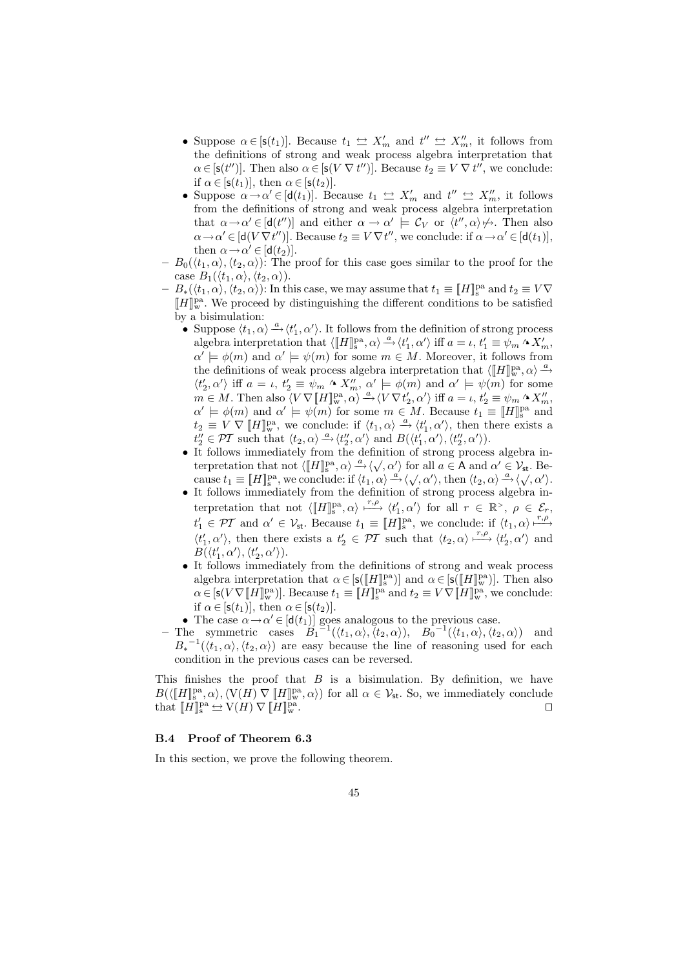- Suppose  $\alpha \in [s(t_1)]$ . Because  $t_1 \Leftrightarrow X'_m$  and  $t'' \Leftrightarrow X''_m$ , it follows from the definitions of strong and weak process algebra interpretation that  $\alpha \in [\mathsf{s}(t'')]$ . Then also  $\alpha \in [\mathsf{s}(V \nabla t'')]$ . Because  $t_2 \equiv V \nabla t''$ , we conclude: if  $\alpha \in [\mathsf{s}(t_1)],$  then  $\alpha \in [\mathsf{s}(t_2)].$
- Suppose  $\alpha \rightarrow \alpha' \in [\mathsf{d}(t_1)]$ . Because  $t_1 \leftrightarroweq X'_m$  and  $t'' \leftrightarroweq X''_m$ , it follows from the definitions of strong and weak process algebra interpretation that  $\alpha \to \alpha' \in [\mathsf{d}(t'')]$  and either  $\alpha \to \alpha' \models \mathcal{C}_V$  or  $\langle t'', \alpha \rangle \not\mapsto$ . Then also  $\alpha \rightarrow \alpha' \in [d(V \nabla t'')]$ . Because  $t_2 \equiv V \nabla t''$ , we conclude: if  $\alpha \rightarrow \alpha' \in [d(t_1)],$ then  $\alpha \rightarrow \alpha' \in [\mathsf{d}(t_2)].$
- $-B_0(\langle t_1, \alpha \rangle, \langle t_2, \alpha \rangle)$ : The proof for this case goes similar to the proof for the case  $B_1({\langle t_1, \alpha \rangle}, {\langle t_2, \alpha \rangle}).$
- $-B_*(\langle t_1, \alpha \rangle, \langle t_2, \alpha \rangle)$ : In this case, we may assume that  $t_1 \equiv \llbracket H \rrbracket^{\text{pa}}_s$  and  $t_2 \equiv V \nabla$  $[\![H]\!]_{\mathrm{w}}^{\mathrm{pa}}$  . We proceed by distinguishing the different conditions to be satisfied by a bisimulation:
	- Suppose  $\langle t_1, \alpha \rangle \stackrel{a}{\longrightarrow} \langle t_1', \alpha' \rangle$ . It follows from the definition of strong process algebra interpretation that  $\langle [H]_s^{\text{pa}}, \alpha \rangle \stackrel{a}{\rightarrow} \langle t'_1, \alpha' \rangle$  iff  $a = \iota, t'_1 \equiv \psi_m \wedge X'_m$ ,  $\alpha' \models \phi(m)$  and  $\alpha' \models \psi(m)$  for some  $m \in M$ . Moreover, it follows from the definitions of weak process algebra interpretation that  $\langle [H]^{pa}_w, \alpha \rangle \stackrel{a}{\rightarrow}$  $\langle t'_2, \alpha' \rangle$  iff  $a = \iota, t'_2 \equiv \psi_m \wedge X''_m, \alpha' \models \phi(m)$  and  $\alpha' \models \psi(m)$  for some  $m \in M$ . Then also  $\langle V \nabla \llbracket H \rrbracket_{\mathbf{w}}^{\mathbf{p}a}, \alpha \rangle \stackrel{a}{\rightarrow} \langle V \nabla t_2', \alpha' \rangle$  iff  $a = \iota, t_2' \equiv \psi_m \wedge X_m''$ ,  $\alpha' \models \phi(m)$  and  $\alpha' \models \psi(m)$  for some  $m \in M$ . Because  $t_1 \equiv [H]_s^{\text{pa}}$  and  $t_2 \equiv V \nabla \left[ H \right]_{w}^{\text{pa}}$ , we conclude: if  $\langle t_1, \alpha \rangle \stackrel{a}{\rightarrow} \langle t_1', \alpha' \rangle$ , then there exists a  $t''_2 \in \mathcal{PT}$  such that  $\langle t_2, \alpha \rangle \stackrel{a}{\longrightarrow} \langle t''_2, \alpha' \rangle$  and  $B(\langle t'_1, \alpha' \rangle, \langle t''_2, \alpha' \rangle)$ .
	- It follows immediately from the definition of strong process algebra inthe terpretation that not  $\langle [[H]]_{s}^{\text{pa}}, \alpha \rangle \stackrel{\alpha}{\rightarrow} \langle \sqrt{, \alpha'} \rangle$  for all  $a \in A$  and  $\alpha' \in V_{st}$ . Because  $t_1 \equiv [H]_s^{pa}$ , we conclude: if  $\langle t_1, \alpha \rangle \stackrel{a}{\rightarrow} \langle \sqrt{\langle \alpha' \rangle}$ , then  $\langle t_2, \alpha \rangle \stackrel{a}{\rightarrow} \langle \sqrt{\langle \alpha' \rangle}$ .
	- It follows immediately from the definition of strong process algebra interpretation that not  $\langle \llbracket H \rrbracket_s^{\text{pa}}, \alpha \rangle \xrightarrow{r,\rho} \langle t'_1, \alpha' \rangle$  for all  $r \in \mathbb{R}^{\geq}$ ,  $\rho \in \mathcal{E}_r$ ,  $t'_1 \in \mathcal{PT}$  and  $\alpha' \in \mathcal{V}_{st}$ . Because  $t_1 \equiv [[H]]_s^{\text{pa}}$ , we conclude: if  $\langle t_1, \alpha \rangle \stackrel{r,\rho}{\longmapsto}$  $\langle t'_1, \alpha' \rangle$ , then there exists a  $t'_2 \in \mathcal{PT}$  such that  $\langle t_2, \alpha \rangle \stackrel{r,\rho}{\longrightarrow} \langle t'_2, \alpha' \rangle$  and  $B(\langle t'_1,\alpha'\rangle,\langle t'_2,\alpha'\rangle).$
	- It follows immediately from the definitions of strong and weak process algebra interpretation that  $\alpha \in [\mathsf{s}([\![H]\!]_\mathsf{s}^\mathrm{pa})]$  and  $\alpha \in [\mathsf{s}([\![H]\!]_\mathsf{w}^\mathrm{pa})]$ . Then also  $\alpha \in [s(V\nabla \llbracket H \rrbracket_{w}^{\text{pa}})].$  Because  $t_1 \equiv \llbracket H \rrbracket_{s}^{\text{pa}}$  and  $t_2 \equiv V\nabla \llbracket H \rrbracket_{w}^{\text{pa}},$  we conclude: if  $\alpha \in [\mathsf{s}(t_1)],$  then  $\alpha \in [\mathsf{s}(t_2)].$
	- The case  $\alpha \rightarrow \alpha' \in [\mathsf{d}(t_1)]$  goes analogous to the previous case.
- The symmetric cases  $B_1^{-1}(\langle t_1, \alpha \rangle, \langle t_2, \alpha \rangle), B_0^{-1}(\langle t_1, \alpha \rangle, \langle t_2, \alpha \rangle)$  and  $B_*^{-1}(\langle t_1,\alpha\rangle,\langle t_2,\alpha\rangle)$  are easy because the line of reasoning used for each condition in the previous cases can be reversed.

This finishes the proof that  $B$  is a bisimulation. By definition, we have  $B(\langle [H]_s^{\text{pa}}, \alpha \rangle, \langle V(H) \nabla [H]_w^{\text{pa}}, \alpha \rangle)$  for all  $\alpha \in V_{\text{st}}$ . So, we immediately conclude that  $[[H]]_{S}^{\text{pa}} \underline{\leftrightarrow} \text{V}(H) \nabla [[H]]_{W}^{\text{pa}}$  $\Gamma_{\rm w}$  .

### B.4 Proof of Theorem 6.3

In this section, we prove the following theorem.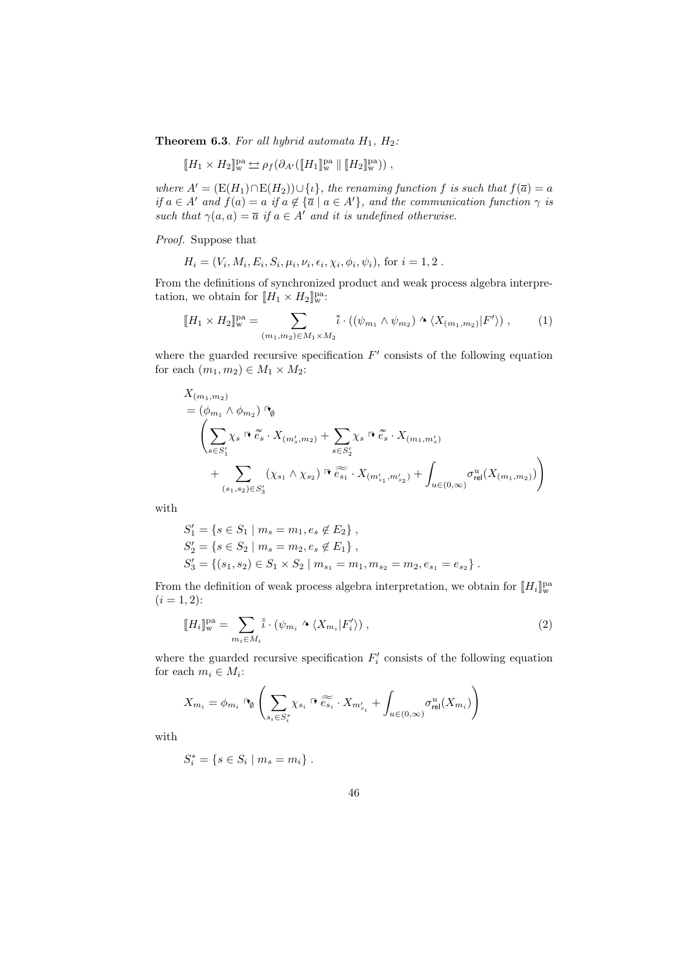**Theorem 6.3.** For all hybrid automata  $H_1$ ,  $H_2$ :

$$
[\![H_1 \times H_2]\!]_w^{\text{pa}} \underset{\sim}{\hookrightarrow} \rho_f(\partial_{A'}([\![H_1]\!]_w^{\text{pa}} \, || \, [\![H_2]\!]_w^{\text{pa}})) \;,
$$

where  $A' = (E(H_1) \cap E(H_2)) \cup \{t\}$ , the renaming function f is such that  $f(\overline{a}) = a$ if  $a \in A'$  and  $f(a) = a$  if  $a \notin {\overline{a} \mid a \in A'}$ , and the communication function  $\gamma$  is such that  $\gamma(a, a) = \overline{a}$  if  $a \in A'$  and it is undefined otherwise.

Proof. Suppose that

$$
H_i = (V_i, M_i, E_i, S_i, \mu_i, \nu_i, \epsilon_i, \chi_i, \phi_i, \psi_i)
$$
, for  $i = 1, 2$ .

From the definitions of synchronized product and weak process algebra interpretation, we obtain for  $[[H_1 \times H_2]]_w^{\text{pa}}$ :

$$
\llbracket H_1 \times H_2 \rrbracket_{\mathbf{w}}^{\mathbf{p}a} = \sum_{(m_1, m_2) \in M_1 \times M_2} \tilde{\iota} \cdot \left( (\psi_{m_1} \wedge \psi_{m_2}) \wedge \langle X_{(m_1, m_2)} | F' \rangle \right), \tag{1}
$$

where the guarded recursive specification  $F'$  consists of the following equation for each  $(m_1, m_2) \in M_1 \times M_2$ :

$$
X_{(m_1,m_2)} = (\phi_{m_1} \wedge \phi_{m_2}) \Upsilon_{\emptyset} \n\left( \sum_{s \in S'_1} \chi_s \, \Psi \, \tilde{e_s} \cdot X_{(m'_s,m_2)} + \sum_{s \in S'_2} \chi_s \, \Psi \, \tilde{e_s} \cdot X_{(m_1,m'_s)} \n+ \sum_{(s_1,s_2) \in S'_3} (\chi_{s_1} \wedge \chi_{s_2}) \, \Psi \, \tilde{e_{s_1}} \cdot X_{(m'_{s_1},m'_{s_2})} + \int_{u \in (0,\infty)} \sigma_{\text{rel}}^u(X_{(m_1,m_2)}) \right)
$$

with

$$
S'_1 = \{ s \in S_1 \mid m_s = m_1, e_s \notin E_2 \},
$$
  
\n
$$
S'_2 = \{ s \in S_2 \mid m_s = m_2, e_s \notin E_1 \},
$$
  
\n
$$
S'_3 = \{ (s_1, s_2) \in S_1 \times S_2 \mid m_{s_1} = m_1, m_{s_2} = m_2, e_{s_1} = e_{s_2} \}.
$$

From the definition of weak process algebra interpretation, we obtain for  $[\![H_i]\!]_{w}^{pa}$  $(i = 1, 2)$ :

$$
\llbracket H_i \rrbracket_{\mathbf{w}}^{\text{pa}} = \sum_{m_i \in M_i} \tilde{\iota} \cdot (\psi_{m_i} \wedge \langle X_{m_i} | F_i' \rangle), \tag{2}
$$

where the guarded recursive specification  $F_i'$  consists of the following equation for each  $m_i \in M_i$ :

$$
X_{m_i} = \phi_{m_i} \cap \left( \sum_{s_i \in S_i^*} \chi_{s_i} \cap \widetilde{e_{s_i}} \cdot X_{m'_{s_i}} + \int_{u \in (0,\infty)} \sigma_{\text{rel}}^u(X_{m_i}) \right)
$$

with

$$
S_i^* = \{ s \in S_i \mid m_s = m_i \} .
$$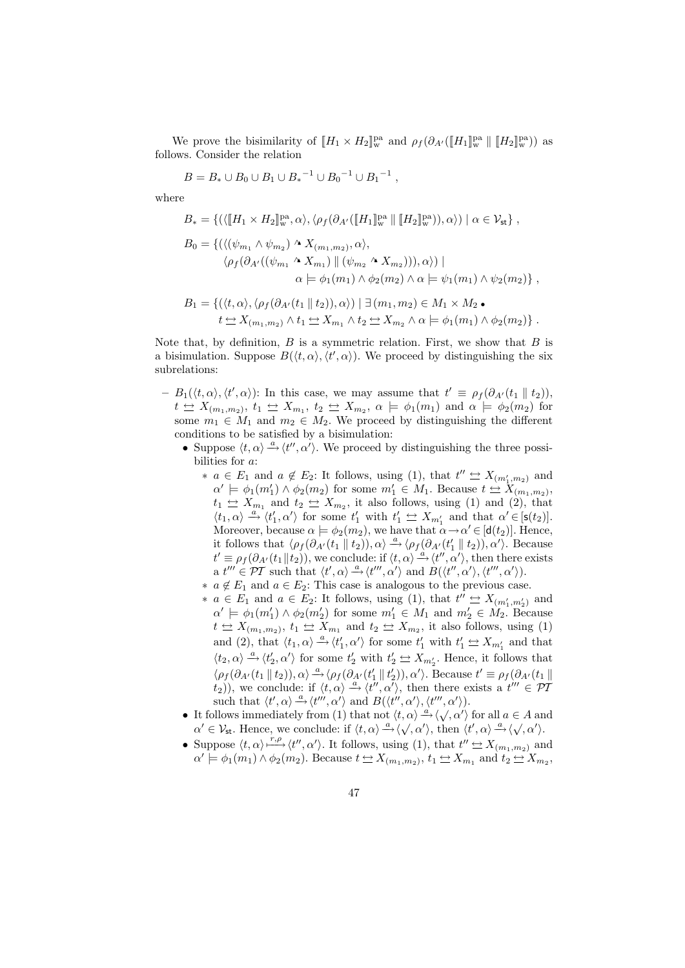We prove the bisimilarity of  $[[H_1 \times H_2]]_w^{\text{pa}}$  and  $\rho_f(\partial_{A'}([H_1]]_w^{\text{pa}} \parallel [H_2]]_w^{\text{pa}})$ ) as follows. Consider the relation

$$
B=B_*\cup B_0\cup B_1\cup B_*^{-1}\cup B_0^{-1}\cup B_1^{-1}\ ,
$$

where

$$
B_* = \{ (\langle [H_1 \times H_2]_{\mathbf{w}}^{\mathbf{pa}}, \alpha \rangle, \langle \rho_f(\partial_{A'}([H_1]_{\mathbf{w}}^{\mathbf{pa}} || [H_2]_{\mathbf{w}}^{\mathbf{pa}})), \alpha \rangle) \mid \alpha \in \mathcal{V}_{\text{st}} \},
$$
  
\n
$$
B_0 = \{ (\langle (\psi_{m_1} \wedge \psi_{m_2}) \wedge X_{(m_1, m_2)}, \alpha \rangle, \\ \langle \rho_f(\partial_{A'}((\psi_{m_1} \wedge X_{m_1}) || (\psi_{m_2} \wedge X_{m_2}))), \alpha \rangle) \mid \\ \alpha \models \phi_1(m_1) \wedge \phi_2(m_2) \wedge \alpha \models \psi_1(m_1) \wedge \psi_2(m_2) \},
$$

$$
B_1 = \{ (\langle t, \alpha \rangle, \langle \rho_f(\partial_{A'}(t_1 \parallel t_2)), \alpha \rangle) \mid \exists (m_1, m_2) \in M_1 \times M_2 \bullet
$$
  

$$
t \leq X_{(m_1, m_2)} \wedge t_1 \leq X_{m_1} \wedge t_2 \leq X_{m_2} \wedge \alpha \models \phi_1(m_1) \wedge \phi_2(m_2) \}.
$$

Note that, by definition,  $B$  is a symmetric relation. First, we show that  $B$  is a bisimulation. Suppose  $B(\langle t, \alpha \rangle, \langle t', \alpha \rangle)$ . We proceed by distinguishing the six subrelations:

- $-B_1(\langle t,\alpha \rangle, \langle t',\alpha \rangle)$ : In this case, we may assume that  $t' \equiv \rho_f(\partial_{A'}(t_1 \parallel t_2)),$  $t \triangleq X_{(m_1,m_2)}, t_1 \triangleq X_{m_1}, t_2 \triangleq X_{m_2}, \alpha \models \phi_1(m_1) \text{ and } \alpha \models \phi_2(m_2) \text{ for }$ some  $m_1 \in M_1$  and  $m_2 \in M_2$ . We proceed by distinguishing the different conditions to be satisfied by a bisimulation:
	- Suppose  $\langle t, \alpha \rangle \stackrel{a}{\rightarrow} \langle t'', \alpha' \rangle$ . We proceed by distinguishing the three possibilities for a:
		- ∗  $a \in E_1$  and  $a \notin E_2$ : It follows, using (1), that  $t'' \Leftrightarrow X_{(m'_1,m_2)}$  and  $\alpha' \models \phi_1(m'_1) \land \phi_2(m_2)$  for some  $m'_1 \in M_1$ . Because  $t \stackrel{\leftrightarrow}{\leftrightarrow} X_{(m_1,m_2)}$ ,  $t_1 \Leftrightarrow X_{m_1}$  and  $t_2 \Leftrightarrow X_{m_2}$ , it also follows, using (1) and (2), that  $\langle t_1,\alpha\rangle\stackrel{a}{\rightarrow}\langle t_1',\alpha'\rangle$  for some  $t_1'$  with  $t_1'\leq X_{m_1'}$  and that  $\alpha'\in [\mathsf{s}(t_2)].$ Moreover, because  $\alpha \models \phi_2(m_2)$ , we have that  $\alpha \rightarrow \alpha' \in [\mathsf{d}(t_2)]$ . Hence, it follows that  $\langle \rho_f (\partial_{A'} (t_1 \parallel t_2)), \alpha \rangle \stackrel{a}{\rightarrow} \langle \rho_f (\partial_{A'} (t_1 \parallel t_2)), \alpha' \rangle$ . Because  $t' \equiv \rho_f(\partial_{A'}(t_1||t_2)),$  we conclude: if  $\langle t, \alpha \rangle \stackrel{\hat{a}}{\rightarrow} \langle t'', \alpha' \rangle$ , then there exists a  $t''' \in \mathcal{PT}$  such that  $\langle t', \alpha \rangle \stackrel{a}{\longrightarrow} \langle t''', \alpha' \rangle$  and  $B(\langle t'', \alpha' \rangle, \langle t''', \alpha' \rangle)$ .
		- $∗ a ∉ E<sub>1</sub>$  and  $a ∈ E<sub>2</sub>$ : This case is analogous to the previous case.
		- ∗  $a \in E_1$  and  $a \in E_2$ : It follows, using (1), that  $t'' \nightharpoonup X_{(m'_1,m'_2)}$  and  $\alpha' \models \phi_1(m'_1) \land \phi_2(m'_2)$  for some  $m'_1 \in M_1$  and  $m'_2 \in M_2$ . Because  $t \triangleq X_{(m_1,m_2)}, t_1 \triangleq X_{m_1}$  and  $t_2 \triangleq X_{m_2}$ , it also follows, using (1) and (2), that  $\langle t_1, \alpha \rangle \stackrel{a}{\rightarrow} \langle t'_1, \alpha' \rangle$  for some  $t'_1$  with  $t'_1 \stackrel{\leftrightarrow}{\rightarrow} X_{m'_1}$  and that  $\langle t_2, \alpha \rangle \xrightarrow{a} \langle t_2', \alpha' \rangle$  for some  $t_2'$  with  $t_2' \Leftrightarrow X_{m_2'}$ . Hence, it follows that  $\langle \rho_f(\partial_{A'}(t_1 \parallel t_2)), \alpha \rangle \stackrel{a}{\rightarrow} \langle \rho_f(\partial_{A'}(t'_1 \parallel t'_2)), \alpha' \rangle$ . Because  $t' \equiv \rho_f(\partial_{A'}(t_1 \parallel t'_2))$  $(t_2)$ , we conclude: if  $\langle t, \alpha \rangle \stackrel{a}{\rightarrow} \langle t'', \alpha' \rangle$ , then there exists a  $t''' \in \mathcal{P}$ such that  $\langle t', \alpha \rangle \stackrel{a}{\longrightarrow} \langle t''', \alpha' \rangle$  and  $B(\langle t'', \alpha' \rangle, \langle t''', \alpha' \rangle)$ .
	- It follows immediately from (1) that not  $\langle t, \alpha \rangle \stackrel{\alpha}{\rightarrow} \langle \sqrt{\, \alpha'} \rangle$  for all  $a \in A$  and To do the minimistry from (1) that not  $\langle t, \alpha \rangle \rightarrow \langle \sqrt{, \alpha'} \rangle$  for an  $a \in A$  and  $\alpha' \in \mathcal{V}_{st}$ . Hence, we conclude: if  $\langle t, \alpha \rangle \stackrel{a}{\rightarrow} \langle \sqrt{, \alpha'} \rangle$ , then  $\langle t', \alpha \rangle \stackrel{a}{\rightarrow} \langle \sqrt{, \alpha'} \rangle$ .
	- Suppose  $\langle t, \alpha \rangle \longrightarrow^{\{r, \rho\}} \langle t'', \alpha' \rangle$ . It follows, using (1), that  $t'' \nightharpoonup X_{(m_1, m_2)}$  and  $\alpha' \models \phi_1(m_1) \land \phi_2(m_2)$ . Because  $t \trianglelefteq X_{(m_1,m_2)}, t_1 \trianglelefteq X_{m_1}$  and  $t_2 \trianglelefteq X_{m_2}, t_2 \trianglelefteq X_{m_1}$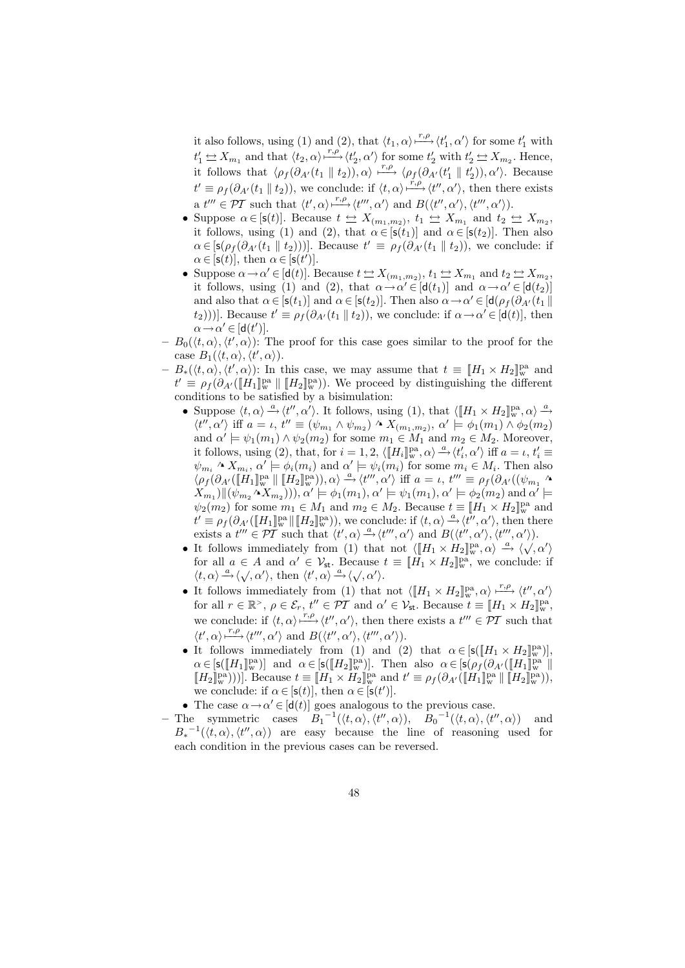it also follows, using (1) and (2), that  $\langle t_1, \alpha \rangle \stackrel{r, \rho}{\longmapsto} \langle t_1', \alpha' \rangle$  for some  $t_1'$  with  $t'_1 \Leftrightarrow X_{m_1}$  and that  $\langle t_2, \alpha \rangle \stackrel{r,\rho}{\longrightarrow} \langle t'_2, \alpha' \rangle$  for some  $t'_2$  with  $t'_2 \Leftrightarrow X_{m_2}$ . Hence, it follows that  $\langle \rho_f(\partial_{A'}(t_1 \parallel t_2)), \alpha \rangle \stackrel{r,\rho}{\longmapsto} \langle \rho_f(\partial_{A'}(t'_1 \parallel t'_2)), \alpha' \rangle$ . Because  $t' \equiv \rho_f(\partial_{A'}(t_1 \parallel t_2))$ , we conclude: if  $\langle t, \alpha \rangle \stackrel{r, \rho}{\longrightarrow} \langle t'', \alpha' \rangle$ , then there exists a  $t''' \in \mathcal{PT}$  such that  $\langle t', \alpha \rangle \stackrel{r, \rho}{\longrightarrow} \langle t''', \alpha' \rangle$  and  $B(\langle t'', \alpha' \rangle, \langle t''', \alpha' \rangle)$ .

- Suppose  $\alpha \in [s(t)]$ . Because  $t \Leftrightarrow X_{(m_1,m_2)}, t_1 \Leftrightarrow X_{m_1}$  and  $t_2 \Leftrightarrow X_{m_2}$ , it follows, using (1) and (2), that  $\alpha \in [\mathsf{s}(t_1)]$  and  $\alpha \in [\mathsf{s}(t_2)]$ . Then also  $\alpha \in [s(\rho_f(\partial_{A'}(t_1 \parallel t_2)))]$ . Because  $t' \equiv \rho_f(\partial_{A'}(t_1 \parallel t_2))$ , we conclude: if  $\alpha \in [s(t)],$  then  $\alpha \in [s(t')]$ .
- Suppose  $\alpha \to \alpha' \in [\mathsf{d}(t)].$  Because  $t \to X_{(m_1,m_2)}, t_1 \to X_{m_1}$  and  $t_2 \to X_{m_2}$ , it follows, using (1) and (2), that  $\alpha \to \alpha' \in [\mathsf{d}(t_1)]$  and  $\alpha \to \alpha' \in [\mathsf{d}(t_2)]$ and also that  $\alpha \in [s(t_1)]$  and  $\alpha \in [s(t_2)]$ . Then also  $\alpha \to \alpha' \in [d(\rho_f(\partial_{A'}(t_1))$  $(t_2))$ ]. Because  $t' \equiv \rho_f(\partial_{A'}(t_1 \parallel t_2))$ , we conclude: if  $\alpha \rightarrow \alpha' \in [d(t)]$ , then  $\alpha \rightarrow \alpha' \in [\mathsf{d}(t')]$ .
- $-B_0(\langle t,\alpha \rangle,\langle t',\alpha \rangle)$ : The proof for this case goes similar to the proof for the case  $B_1(\langle t, \alpha \rangle, \langle t', \alpha \rangle)$ .
- $-B_*(\langle t,\alpha\rangle,\langle t',\alpha\rangle)$ : In this case, we may assume that  $t \equiv [H_1 \times H_2]_{\rm w}^{\rm pa}$  and  $t' \equiv \rho_f(\partial_{A'}([\![H_1]\!]_w^{\text{pa}} \parallel [H_2]\!]_w^{\text{pa}})$ ). We proceed by distinguishing the different conditions to be satisfied by a bisimulation:
	- Suppose  $\langle t, \alpha \rangle \stackrel{a}{\rightarrow} \langle t'', \alpha' \rangle$ . It follows, using (1), that  $\langle \llbracket H_1 \times H_2 \rrbracket_{\mathbf{w}}^{\mathbf{pa}}, \alpha \rangle \stackrel{a}{\rightarrow}$  $\langle t'', \alpha' \rangle$  iff  $a = \iota, t'' \equiv (\psi_{m_1} \wedge \psi_{m_2}) \wedge X_{(m_1,m_2)}, \alpha' \models \phi_1(m_1) \wedge \phi_2(m_2)$ and  $\alpha' \models \psi_1(m_1) \land \psi_2(m_2)$  for some  $m_1 \in M_1$  and  $m_2 \in M_2$ . Moreover, it follows, using (2), that, for  $i = 1, 2$ ,  $\langle \llbracket H_i \rrbracket_{\mathbf{w}}^{\text{pa}}, \alpha \rangle \stackrel{a}{\rightarrow} \langle t_i', \alpha' \rangle$  iff  $a = \iota, t_i' \equiv$  $\psi_{m_i} \wedge X_{m_i}, \alpha' \models \phi_i(m_i) \text{ and } \alpha' \models \psi_i(m_i) \text{ for some } m_i \in M_i. \text{ Then also}$  $\langle \rho_f(\partial_{A'}([\![H_1]\!]_{\mathrm{w}}^{\mathrm{pa}}\!]\!][\![H_2]\!]_{\mathrm{w}}^{\mathrm{pa}}), \alpha \rangle \stackrel{a}{\rightarrow} \langle t''', \alpha' \rangle$  iff  $a = \iota, t''' \equiv \rho_f(\partial_{A'}((\psi_{m_1} \wedge$  $\langle X_{m_1} \rangle || (\psi_{m_2} \wedge X_{m_2}) \rangle$ ,  $\alpha' \models \phi_1(m_1), \alpha' \models \psi_1(m_1), \alpha' \models \phi_2(m_2)$  and  $\alpha' \models \phi_1(m_1)$  $\psi_2(m_2)$  for some  $m_1 \in M_1$  and  $m_2 \in M_2$ . Because  $t \equiv \llbracket H_1 \times H_2 \rrbracket_{\rm w}^{\rm pa}$  and  $t' \equiv \rho_f(\partial_{A'}([\![H_1]\!]_w^{\text{pa}} \| [\![H_2]\!]_w^{\text{pa}})),$  we conclude: if  $\langle t, \alpha \rangle \stackrel{a}{\longrightarrow} \langle t'', \alpha' \rangle$ , then there exists a  $t''' \in \overline{PT}$  such that  $\langle t', \alpha \rangle \stackrel{a}{\longrightarrow} \langle t''', \alpha' \rangle$  and  $B(\langle t'', \alpha' \rangle, \langle t''', \alpha' \rangle)$ .
	- Exists a  $t \in \mathcal{P}_1$  such that  $\langle t, \alpha \rangle \to \langle t, \alpha \rangle$  and  $D(\langle t, \alpha \rangle, \langle t, \alpha \rangle)$ .<br>• It follows immediately from (1) that not  $\langle [[H_1 \times H_2]]_{\mathbf{w}}^{\mathbf{a}}, \alpha \rangle \xrightarrow{\alpha} \langle \sqrt{\, \alpha' \rangle}$ for all  $a \in A$  and  $\alpha' \in \mathcal{V}_{st}$ . Because  $t \equiv [H_1 \times H_2]_{\mathbf{w}}^{\mathbf{pa}}$ , we conclude: if for an  $a \in A$  and  $\alpha \in \nu_{st}$ . Because<br> $\langle t, \alpha \rangle \stackrel{a}{\rightarrow} \langle \sqrt{, \alpha'} \rangle$ , then  $\langle t', \alpha \rangle \stackrel{a}{\rightarrow} \langle \sqrt{, \alpha'} \rangle$ .
	- It follows immediately from (1) that not  $\langle [[H_1 \times H_2]]_w^{\text{pa}}, \alpha \rangle \xrightarrow{r,\rho} \langle t'', \alpha' \rangle$ for all  $r \in \mathbb{R}^>$ ,  $\rho \in \mathcal{E}_r$ ,  $t'' \in \mathcal{PT}$  and  $\alpha' \in \mathcal{V}_{st}$ . Because  $t \equiv [[H_1 \times H_2]]_w^{\text{pa}}$ , we conclude: if  $\langle t, \alpha \rangle \stackrel{r,\rho}{\longmapsto} \langle t'', \alpha' \rangle$ , then there exists a  $t''' \in \overline{PI}$  such that  $\langle t', \alpha \rangle \stackrel{r, \rho}{\longrightarrow} \langle t''', \alpha' \rangle$  and  $B(\langle t'', \alpha' \rangle, \langle t''', \alpha' \rangle)$ .
	- It follows immediately from (1) and (2) that  $\alpha \in [s([H_1 \times H_2]]^{\text{pa}}_{\text{w}})],$  $\alpha \in [\mathsf{s}(\llbracket H_1 \rrbracket_{\mathrm{w}}^{\mathrm{pa}})]$  and  $\alpha \in [\mathsf{s}(\llbracket H_2 \rrbracket_{\mathrm{w}}^{\mathrm{pa}})]$ . Then also  $\alpha \in [\mathsf{s}(\rho_f(\partial_{A'}(\llbracket H_1 \rrbracket_{\mathrm{w}}^{\mathrm{pa}}))]$  $[[H_2]]_w^{\text{pa}}$ )))]. Because  $t \equiv [[H_1 \times H_2]]_w^{\text{pa}}$  and  $t' \equiv \rho_f(\partial_{A'}([H_1]]_w^{\text{pa}} \parallel [H_2]]_w^{\text{pa}})$ ), we conclude: if  $\alpha \in [\mathsf{s}(t)],$  then  $\alpha \in [\mathsf{s}(t')]$ .
	- The case  $\alpha \rightarrow \alpha' \in [\mathsf{d}(t)]$  goes analogous to the previous case.
- The symmetric cases  $B_1^{-1}(\langle t, \alpha \rangle, \langle t'', \alpha \rangle), B_0^{-1}(\langle t, \alpha \rangle, \langle t'', \alpha \rangle)$  and  $B_*^{-1}(\langle t,\alpha\rangle,\langle t'',\alpha\rangle)$  are easy because the line of reasoning used for each condition in the previous cases can be reversed.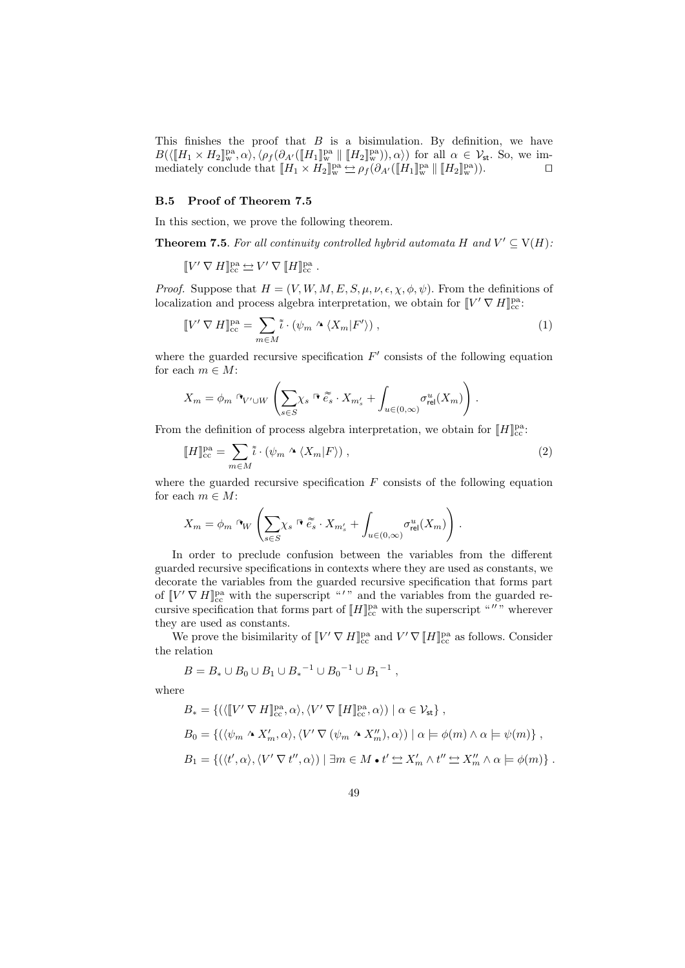This finishes the proof that  $B$  is a bisimulation. By definition, we have  $B(\langle [H_1 \times H_2] \!]^{\text{pa}}_{\text{w}}, \alpha \rangle, \langle \rho_f(\partial_{A'}([H_1] \!]^{\text{pa}}_{\text{w}} \parallel [H_2] \!]^{\text{pa}}_{\text{w}})), \alpha \rangle)$  for all  $\alpha \in \mathcal{V}_{\text{st}}$ . So, we immediately conclude that  $[[H_1 \times H_2]]_w^{\text{pa}} \rightharpoonup \rho_f(\partial_{A'}([\![H_1]\!]_w^{\text{pa}} \parallel [\![H_2]\!]_w^{\text{pa}})).$ 

### B.5 Proof of Theorem 7.5

In this section, we prove the following theorem.

**Theorem 7.5**. For all continuity controlled hybrid automata H and  $V' \subseteq V(H)$ .

 $\llbracket V' \, \nabla \, H \rrbracket^{\text{pa}}_{\text{cc}} \rightleftharpoons V' \, \nabla \, \llbracket H \rrbracket^{\text{pa}}_{\text{cc}}$  .

*Proof.* Suppose that  $H = (V, W, M, E, S, \mu, \nu, \epsilon, \chi, \phi, \psi)$ . From the definitions of localization and process algebra interpretation, we obtain for  $[V' \nabla H]_{cc}^{pa}$ :

$$
\llbracket V' \nabla H \rrbracket_{cc}^{\text{pa}} = \sum_{m \in M} \tilde{\iota} \cdot (\psi_m \wedge \langle X_m | F' \rangle) , \tag{1}
$$

where the guarded recursive specification  $F'$  consists of the following equation for each  $m \in M$ :

$$
X_m = \phi_m \circ_{V' \cup W} \left( \sum_{s \in S} \chi_s \circ \widetilde{e_s} \cdot X_{m'_s} + \int_{u \in (0,\infty)} \sigma_{\text{rel}}^u(X_m) \right).
$$

From the definition of process algebra interpretation, we obtain for  $[[H]]^{\text{pa}}_{\text{cc}}$ .

$$
\llbracket H \rrbracket_{cc}^{\text{pa}} = \sum_{m \in M} \tilde{\iota} \cdot (\psi_m \wedge \langle X_m | F \rangle) , \qquad (2)
$$

where the guarded recursive specification  $F$  consists of the following equation for each  $m \in M$ :

$$
X_m = \phi_m \cap_W \left( \sum_{s \in S} \chi_s \cap \widetilde{e_s} \cdot X_{m'_s} + \int_{u \in (0,\infty)} \sigma_{\text{rel}}^u(X_m) \right).
$$

In order to preclude confusion between the variables from the different guarded recursive specifications in contexts where they are used as constants, we decorate the variables from the guarded recursive specification that forms part of  $\llbracket V' \nabla H \rrbracket_{cc}^{\text{pa}}$  with the superscript "'" and the variables from the guarded recursive specification that forms part of  $[[H]]^{\text{pa}}_{\text{cc}}$  with the superscript """ wherever they are used as constants.

We prove the bisimilarity of  $[V' \nabla H]_{cc}^{pa}$  and  $V' \nabla [H]_{cc}^{pa}$  as follows. Consider the relation

$$
B=B_*\cup B_0\cup B_1\cup B_*{}^{-1}\cup B_0{}^{-1}\cup B_1{}^{-1}\ ,
$$

where

$$
B_* = \{ (\langle [\![V' \nabla H]\!]_{cc}^{pa}, \alpha \rangle, \langle V' \nabla [\![H]\!]_{cc}^{pa}, \alpha \rangle) \mid \alpha \in \mathcal{V}_{st} \},
$$
  
\n
$$
B_0 = \{ (\langle \psi_m \wedge X'_m, \alpha \rangle, \langle V' \nabla (\psi_m \wedge X''_m), \alpha \rangle) \mid \alpha \models \phi(m) \wedge \alpha \models \psi(m) \},
$$
  
\n
$$
B_1 = \{ (\langle t', \alpha \rangle, \langle V' \nabla t'', \alpha \rangle) \mid \exists m \in M \bullet t' \simeq X'_m \wedge t'' \simeq X''_m \wedge \alpha \models \phi(m) \}.
$$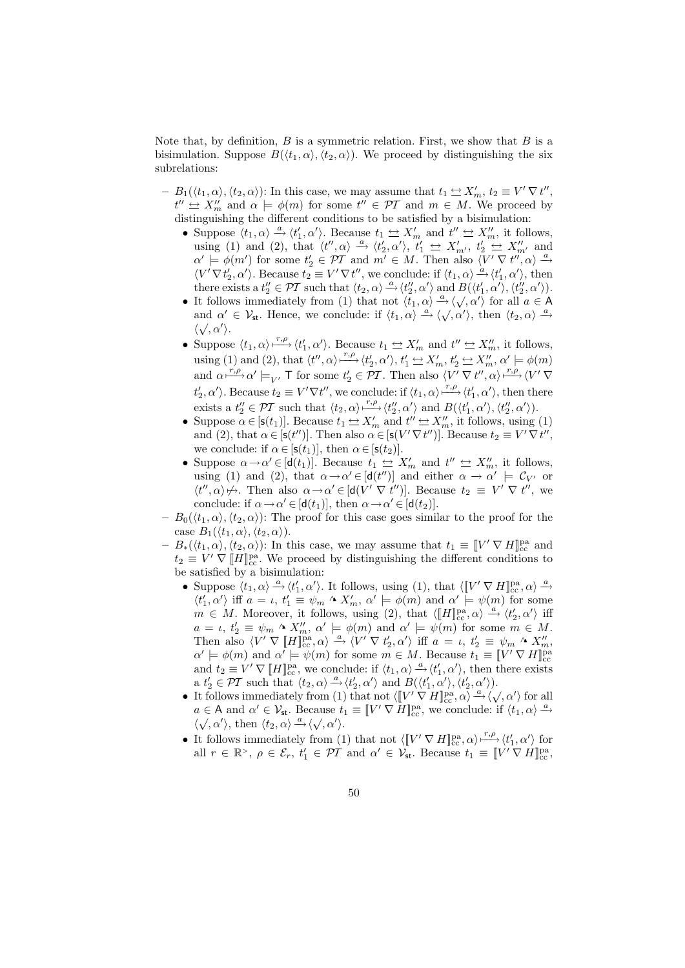Note that, by definition,  $B$  is a symmetric relation. First, we show that  $B$  is a bisimulation. Suppose  $B(\langle t_1, \alpha \rangle, \langle t_2, \alpha \rangle)$ . We proceed by distinguishing the six subrelations:

- $B_1(\langle t_1, \alpha \rangle, \langle t_2, \alpha \rangle)$ : In this case, we may assume that  $t_1 \Leftrightarrow X'_m, t_2 \equiv V' \nabla t''$ ,  $t'' \nightharpoonup X''_m$  and  $\alpha \models \phi(m)$  for some  $t'' \in \mathcal{PT}$  and  $m \in M$ . We proceed by distinguishing the different conditions to be satisfied by a bisimulation:
	- Suppose  $\langle t_1, \alpha \rangle \stackrel{a}{\rightarrow} \langle t'_1, \alpha' \rangle$ . Because  $t_1 \leftrightarrow X'_m$  and  $t'' \leftrightarrow X''_m$ , it follows, using (1) and (2), that  $\langle t'', \alpha \rangle \stackrel{a}{\rightarrow} \langle t'_2, \alpha' \rangle$ ,  $t'_1 \stackrel{\leftrightarrow}{\rightarrow} X'_{m'}$ ,  $t'_2 \stackrel{\leftrightarrow}{\rightarrow} X''_{m'}$  and  $\alpha' \models \phi(m')$  for some  $t'_2 \in \mathcal{PT}$  and  $m' \in M$ . Then also  $\langle V' \nabla t''', \alpha \rangle \stackrel{a}{\rightarrow}$  $\langle V' \nabla t'_2, \alpha' \rangle$ . Because  $t_2 \equiv V' \nabla t''$ , we conclude: if  $\langle t_1, \alpha \rangle \stackrel{a}{\rightarrow} \langle t'_1, \alpha' \rangle$ , then there exists a  $t_2'' \in \mathcal{PT}$  such that  $\langle t_2, \alpha \rangle \stackrel{a}{\rightarrow} \langle t_2'', \alpha' \rangle$  and  $B(\langle t_1', \alpha' \rangle, \langle t_2'', \alpha' \rangle)$ .
	- It follows immediately from (1) that not  $\langle t_1, \alpha \rangle \stackrel{a}{\rightarrow} \langle \sqrt{\,} \alpha' \rangle$  for all  $a \in A$ To do and  $\alpha' \in \mathcal{V}_{st}$ . Hence, we conclude: if  $\langle t_1, \alpha \rangle \stackrel{a}{\rightarrow} \langle \sqrt{\,}, \alpha' \rangle$ , then  $\langle t_2, \alpha \rangle \stackrel{a}{\rightarrow}$  $\langle \sqrt{\, \alpha'} \rangle$ .
	- Suppose  $\langle t_1, \alpha \rangle \stackrel{r,\rho}{\longrightarrow} \langle t_1', \alpha' \rangle$ . Because  $t_1 \Leftrightarrow X_m'$  and  $t'' \Leftrightarrow X_m''$ , it follows, using (1) and (2), that  $\langle t'', \alpha \rangle \stackrel{r,\rho}{\longrightarrow} \langle t'_2, \alpha' \rangle$ ,  $t'_1 \stackrel{\leftrightarrow}{\longrightarrow} X'_m$ ,  $t'_2 \stackrel{\leftrightarrow}{\longrightarrow} X''_m$ ,  $\alpha' \models \phi(m)$ 2 and  $\alpha \xrightarrow{r,\rho} \alpha' \models_{V'} \mathsf{T}$  for some  $t'_{2} \in \mathcal{PI}$ . Then also  $\langle V' \nabla t'', \alpha \rangle \xrightarrow{r,\rho} \langle V' \nabla$  $t'_2, \alpha'$ ). Because  $t_2 \equiv V' \nabla t''$ , we conclude: if  $\langle t_1, \alpha \rangle \stackrel{r, \rho}{\longrightarrow} \langle t'_1, \alpha' \rangle$ , then there exists a  $t''_2 \in \mathcal{PI}$  such that  $\langle t_2, \alpha \rangle \xrightarrow{r,\rho} \langle t''_2, \alpha' \rangle$  and  $B(\langle t'_1, \alpha' \rangle, \langle t''_2, \alpha' \rangle)$ .
	- Suppose  $\alpha \in [\mathsf{s}(t_1)]$ . Because  $t_1 \leq X'_m$  and  $t'' \leq X''_m$ , it follows, using (1) and (2), that  $\alpha \in [s(t'')]$ . Then also  $\alpha \in [s(V' \nabla t'')]$ . Because  $t_2 \equiv V' \nabla t''$ , we conclude: if  $\alpha \in [\mathsf{s}(t_1)],$  then  $\alpha \in [\mathsf{s}(t_2)].$
	- Suppose  $\alpha \rightarrow \alpha' \in [\mathsf{d}(t_1)]$ . Because  $t_1 \leftrightarroweq X'_m$  and  $t'' \leftrightarrowqq X''_m$ , it follows, using (1) and (2), that  $\alpha \to \alpha' \in [d(t'')]$  and either  $\alpha \to \alpha' \models C_{V'}$  or  $\langle t'', \alpha \rangle \nleftrightarrow$ . Then also  $\alpha \rightarrow \alpha' \in [d(V' \nabla t'')]$ . Because  $t_2 \equiv V' \nabla t''$ , we conclude: if  $\alpha \rightarrow \alpha' \in [d(t_1)],$  then  $\alpha \rightarrow \alpha' \in [d(t_2)].$
- $-B_0(\langle t_1, \alpha \rangle, \langle t_2, \alpha \rangle)$ : The proof for this case goes similar to the proof for the case  $B_1(\langle t_1, \alpha \rangle, \langle t_2, \alpha \rangle).$
- $-B_*(\langle t_1, \alpha \rangle, \langle t_2, \alpha \rangle)$ : In this case, we may assume that  $t_1 \equiv [[V' \nabla H]]_{cc}^{pa}$  and  $t_2 \equiv V' \nabla \llbracket H \rrbracket^{\text{pa}}$ . We proceed by distinguishing the different conditions to be satisfied by a bisimulation:
	- Suppose  $\langle t_1, \alpha \rangle \stackrel{a}{\longrightarrow} \langle t_1', \alpha' \rangle$ . It follows, using (1), that  $\langle \llbracket V' \nabla H \rrbracket_{cc}^{pa}, \alpha \rangle \stackrel{a}{\longrightarrow}$  $\langle t'_1, \alpha' \rangle$  iff  $a = \iota, t'_1 \equiv \psi_m \wedge X'_m, \alpha' \models \phi(m)$  and  $\alpha' \models \psi(m)$  for some  $m \in M$ . Moreover, it follows, using (2), that  $\langle \llbracket H \rrbracket^{\text{pa}}_{cc}, \alpha \rangle \stackrel{a}{\rightarrow} \langle t'_2, \alpha' \rangle$  iff  $a = \iota, t'_2 \equiv \psi_m \wedge X''_m, \, \alpha' \models \phi(m) \text{ and } \alpha' \models \psi(m) \text{ for some } m \in M.$ Then also  $\langle V' \nabla [H]_{cc}^{pa}, \alpha \rangle \stackrel{a}{\rightarrow} \langle V' \nabla t'_2, \alpha' \rangle$  iff  $a = \iota, t'_2 \equiv \psi_m \wedge X''_m$ ,  $\alpha' \models \phi(m)$  and  $\alpha' \models \psi(m)$  for some  $m \in M$ . Because  $t_1 \equiv \llbracket V' \nabla H \rrbracket^{\text{pa}}_{\text{cc}}$ and  $t_2 \equiv V' \nabla [H]_{cc}^{pa}$ , we conclude: if  $\langle t_1, \alpha \rangle \stackrel{a}{\rightarrow} \langle t'_1, \alpha' \rangle$ , then there exists a  $t'_2 \in \mathcal{PI}$  such that  $\langle t_2, \alpha \rangle \stackrel{a}{\rightarrow} \langle t'_2, \alpha' \rangle$  and  $B(\langle t'_1, \alpha' \rangle, \langle t'_2, \alpha' \rangle)$ .
	- It follows immediately from (1) that not  $\langle [V' \nabla H]_{\text{cc}}^{p\alpha}, \alpha \rangle \xrightarrow{a} \langle \sqrt{, \alpha'} \rangle$  for all  $a \in A$  and  $\alpha' \in V_{st}$ . Because  $t_1 \equiv \llbracket V' \nabla H \rrbracket_{cc}^{pa}$ , we conclude: if  $\langle t_1, \alpha \rangle \stackrel{a}{\longrightarrow}$  $\langle \psi, \alpha' \rangle$ , then  $\langle t_2, \alpha \rangle \stackrel{a}{\rightarrow} \langle \psi, \alpha' \rangle$ .
	- It follows immediately from (1) that not  $\langle \llbracket V' \nabla H \rrbracket_{\text{cc}}^{\text{pa}}, \alpha \rangle \longrightarrow^{\mathbf{r}, \rho} \langle t'_1, \alpha' \rangle$  for all  $r \in \mathbb{R}^>$ ,  $\rho \in \mathcal{E}_r$ ,  $t'_1 \in \overline{PI}$  and  $\alpha' \in \mathcal{V}_{st}$ . Because  $t_1 \equiv \llbracket V' \nabla H \rrbracket_{cc}^{pa}$ ,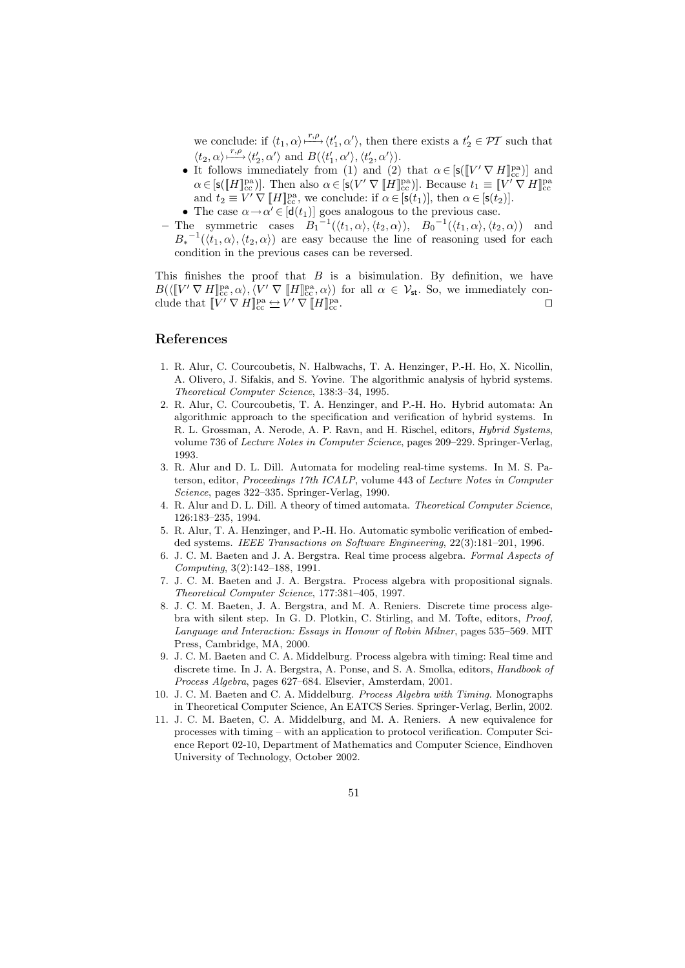we conclude: if  $\langle t_1, \alpha \rangle \stackrel{r,\rho}{\longrightarrow} \langle t'_1, \alpha' \rangle$ , then there exists a  $t'_2 \in \mathcal{PI}$  such that  $\langle t_2, \alpha \rangle \stackrel{r, \rho}{\longmapsto} \langle t_2', \alpha' \rangle$  and  $B(\langle t_1', \alpha' \rangle, \langle t_2', \alpha' \rangle)$ .

- It follows immediately from (1) and (2) that  $\alpha \in [s([V' \nabla H]_{cc}^{\text{pa}})]$  and  $\alpha \in [\mathsf{s}(\llbracket H \rrbracket^{\text{pa}}_{\text{cc}})].$  Then also  $\alpha \in [\mathsf{s}(V' \nabla \llbracket H \rrbracket^{\text{pa}}_{\text{cc}})].$  Because  $t_1 \equiv \llbracket V' \nabla H \rrbracket^{\text{pa}}_{\text{cc}}$ and  $t_2 \equiv V' \nabla [H]_{cc}^{pa}$ , we conclude: if  $\alpha \in [s(t_1)],$  then  $\alpha \in [s(t_2)].$
- The case  $\alpha \rightarrow \alpha' \in [\mathbf{d}(t_1)]$  goes analogous to the previous case.
- The symmetric cases  $B_1^{-1}(\langle t_1, \alpha \rangle, \langle t_2, \alpha \rangle), B_0^{-1}(\langle t_1, \alpha \rangle, \langle t_2, \alpha \rangle)$  and  $B_*^{-1}(\langle t_1,\alpha\rangle,\langle t_2,\alpha\rangle)$  are easy because the line of reasoning used for each condition in the previous cases can be reversed.

This finishes the proof that  $B$  is a bisimulation. By definition, we have  $B(\langle [V' \nabla H]_{cc}^{pa}, \alpha \rangle, \langle V' \nabla [H]_{cc}^{pa}, \alpha \rangle)$  for all  $\alpha \in V_{st}$ . So, we immediately conclude that  $[V' \nabla H]_{cc}^{pa} \rightleftharpoons V' \nabla [H]_{cc}^{pa}$ .

## References

- 1. R. Alur, C. Courcoubetis, N. Halbwachs, T. A. Henzinger, P.-H. Ho, X. Nicollin, A. Olivero, J. Sifakis, and S. Yovine. The algorithmic analysis of hybrid systems. Theoretical Computer Science, 138:3–34, 1995.
- 2. R. Alur, C. Courcoubetis, T. A. Henzinger, and P.-H. Ho. Hybrid automata: An algorithmic approach to the specification and verification of hybrid systems. In R. L. Grossman, A. Nerode, A. P. Ravn, and H. Rischel, editors, Hybrid Systems, volume 736 of Lecture Notes in Computer Science, pages 209–229. Springer-Verlag, 1993.
- 3. R. Alur and D. L. Dill. Automata for modeling real-time systems. In M. S. Paterson, editor, Proceedings 17th ICALP, volume 443 of Lecture Notes in Computer Science, pages 322–335. Springer-Verlag, 1990.
- 4. R. Alur and D. L. Dill. A theory of timed automata. Theoretical Computer Science, 126:183–235, 1994.
- 5. R. Alur, T. A. Henzinger, and P.-H. Ho. Automatic symbolic verification of embedded systems. IEEE Transactions on Software Engineering, 22(3):181–201, 1996.
- 6. J. C. M. Baeten and J. A. Bergstra. Real time process algebra. Formal Aspects of Computing, 3(2):142–188, 1991.
- 7. J. C. M. Baeten and J. A. Bergstra. Process algebra with propositional signals. Theoretical Computer Science, 177:381–405, 1997.
- 8. J. C. M. Baeten, J. A. Bergstra, and M. A. Reniers. Discrete time process algebra with silent step. In G. D. Plotkin, C. Stirling, and M. Tofte, editors, Proof, Language and Interaction: Essays in Honour of Robin Milner, pages 535–569. MIT Press, Cambridge, MA, 2000.
- 9. J. C. M. Baeten and C. A. Middelburg. Process algebra with timing: Real time and discrete time. In J. A. Bergstra, A. Ponse, and S. A. Smolka, editors, Handbook of Process Algebra, pages 627–684. Elsevier, Amsterdam, 2001.
- 10. J. C. M. Baeten and C. A. Middelburg. Process Algebra with Timing. Monographs in Theoretical Computer Science, An EATCS Series. Springer-Verlag, Berlin, 2002.
- 11. J. C. M. Baeten, C. A. Middelburg, and M. A. Reniers. A new equivalence for processes with timing – with an application to protocol verification. Computer Science Report 02-10, Department of Mathematics and Computer Science, Eindhoven University of Technology, October 2002.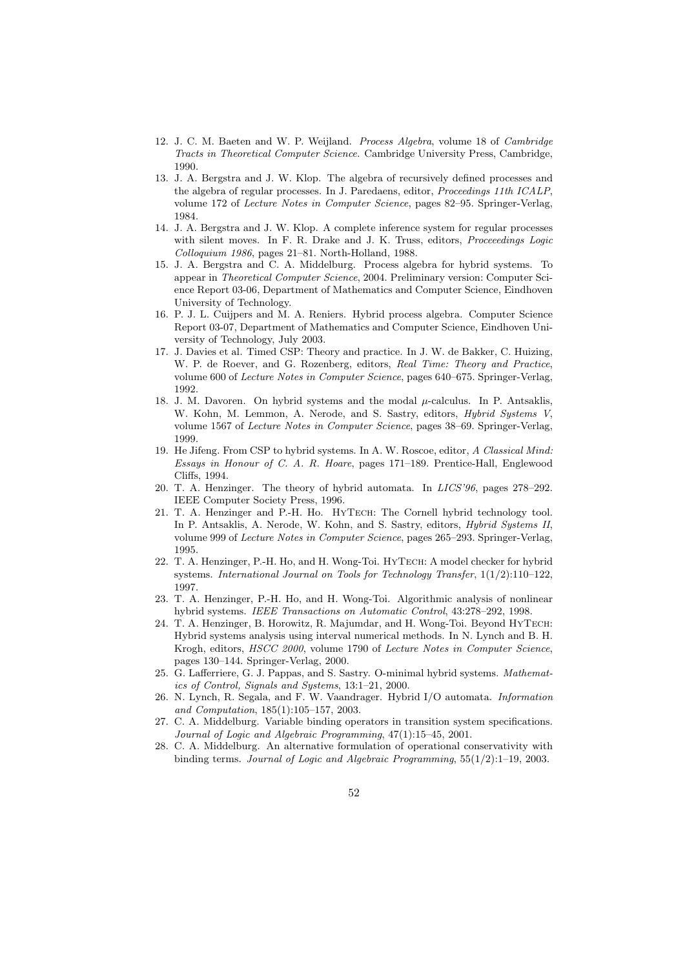- 12. J. C. M. Baeten and W. P. Weijland. Process Algebra, volume 18 of Cambridge Tracts in Theoretical Computer Science. Cambridge University Press, Cambridge, 1990.
- 13. J. A. Bergstra and J. W. Klop. The algebra of recursively defined processes and the algebra of regular processes. In J. Paredaens, editor, Proceedings 11th ICALP, volume 172 of Lecture Notes in Computer Science, pages 82–95. Springer-Verlag, 1984.
- 14. J. A. Bergstra and J. W. Klop. A complete inference system for regular processes with silent moves. In F. R. Drake and J. K. Truss, editors, Proceeedings Logic Colloquium 1986, pages 21–81. North-Holland, 1988.
- 15. J. A. Bergstra and C. A. Middelburg. Process algebra for hybrid systems. To appear in Theoretical Computer Science, 2004. Preliminary version: Computer Science Report 03-06, Department of Mathematics and Computer Science, Eindhoven University of Technology.
- 16. P. J. L. Cuijpers and M. A. Reniers. Hybrid process algebra. Computer Science Report 03-07, Department of Mathematics and Computer Science, Eindhoven University of Technology, July 2003.
- 17. J. Davies et al. Timed CSP: Theory and practice. In J. W. de Bakker, C. Huizing, W. P. de Roever, and G. Rozenberg, editors, Real Time: Theory and Practice, volume 600 of Lecture Notes in Computer Science, pages 640–675. Springer-Verlag, 1992.
- 18. J. M. Davoren. On hybrid systems and the modal  $\mu$ -calculus. In P. Antsaklis, W. Kohn, M. Lemmon, A. Nerode, and S. Sastry, editors, Hybrid Systems V, volume 1567 of Lecture Notes in Computer Science, pages 38–69. Springer-Verlag, 1999.
- 19. He Jifeng. From CSP to hybrid systems. In A. W. Roscoe, editor, A Classical Mind: Essays in Honour of C. A. R. Hoare, pages 171–189. Prentice-Hall, Englewood Cliffs, 1994.
- 20. T. A. Henzinger. The theory of hybrid automata. In LICS'96, pages 278–292. IEEE Computer Society Press, 1996.
- 21. T. A. Henzinger and P.-H. Ho. HyTech: The Cornell hybrid technology tool. In P. Antsaklis, A. Nerode, W. Kohn, and S. Sastry, editors, Hybrid Systems II, volume 999 of Lecture Notes in Computer Science, pages 265–293. Springer-Verlag, 1995.
- 22. T. A. Henzinger, P.-H. Ho, and H. Wong-Toi. HyTech: A model checker for hybrid systems. International Journal on Tools for Technology Transfer, 1(1/2):110–122, 1997.
- 23. T. A. Henzinger, P.-H. Ho, and H. Wong-Toi. Algorithmic analysis of nonlinear hybrid systems. IEEE Transactions on Automatic Control, 43:278–292, 1998.
- 24. T. A. Henzinger, B. Horowitz, R. Majumdar, and H. Wong-Toi. Beyond HyTech: Hybrid systems analysis using interval numerical methods. In N. Lynch and B. H. Krogh, editors, HSCC 2000, volume 1790 of Lecture Notes in Computer Science, pages 130–144. Springer-Verlag, 2000.
- 25. G. Lafferriere, G. J. Pappas, and S. Sastry. O-minimal hybrid systems. Mathematics of Control, Signals and Systems, 13:1–21, 2000.
- 26. N. Lynch, R. Segala, and F. W. Vaandrager. Hybrid I/O automata. Information and Computation, 185(1):105–157, 2003.
- 27. C. A. Middelburg. Variable binding operators in transition system specifications. Journal of Logic and Algebraic Programming, 47(1):15–45, 2001.
- 28. C. A. Middelburg. An alternative formulation of operational conservativity with binding terms. Journal of Logic and Algebraic Programming, 55(1/2):1–19, 2003.